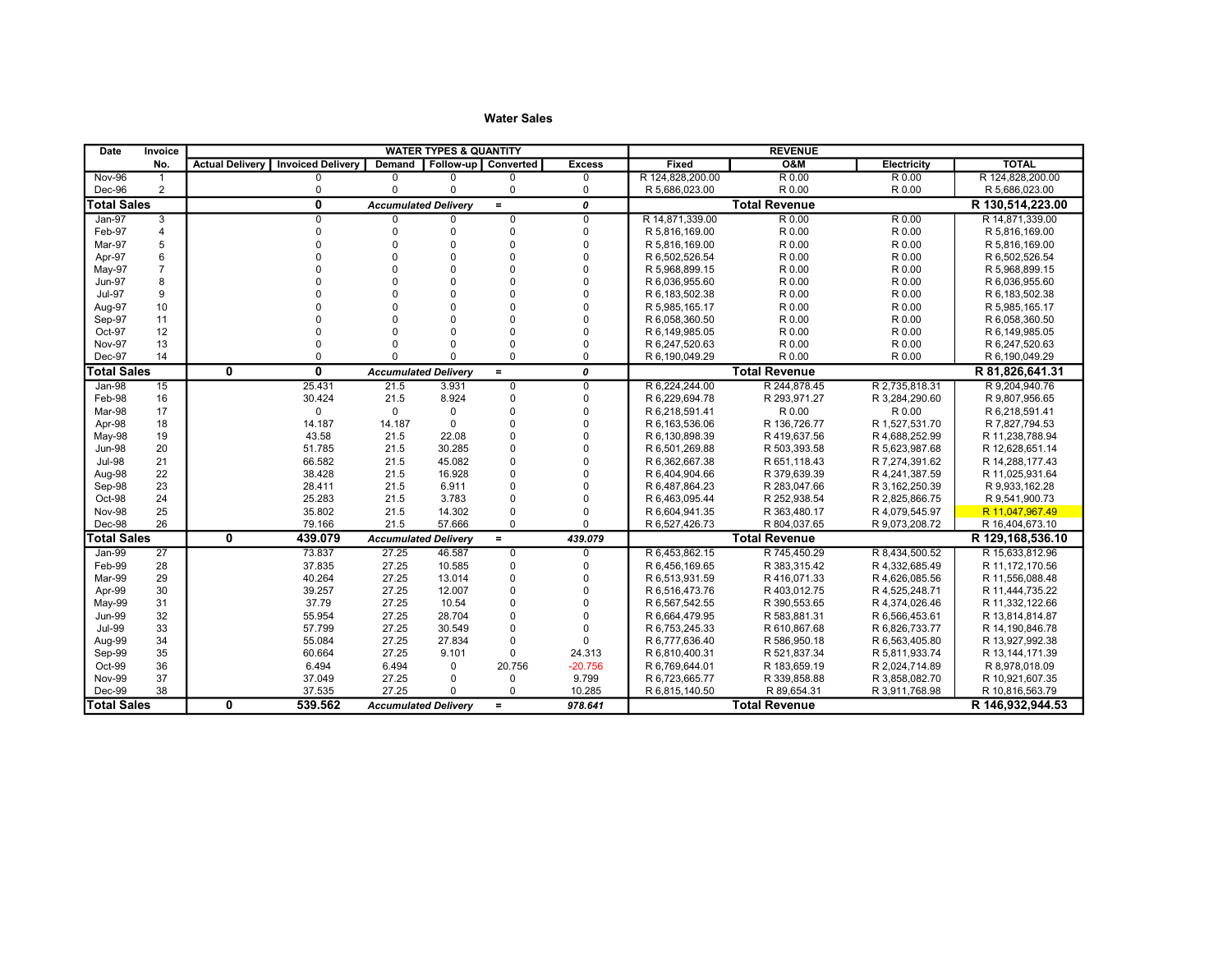| Date               | Invoice        |                        |                          |                             | <b>WATER TYPES &amp; QUANTITY</b> |                |                |                  | <b>REVENUE</b>       |                |                  |
|--------------------|----------------|------------------------|--------------------------|-----------------------------|-----------------------------------|----------------|----------------|------------------|----------------------|----------------|------------------|
|                    | No.            | <b>Actual Deliverv</b> | <b>Invoiced Delivery</b> | Demand                      | Follow-up   Converted             |                | <b>Excess</b>  | Fixed            | <b>O&amp;M</b>       | Electricity    | <b>TOTAL</b>     |
| <b>Nov-96</b>      | $\mathbf{1}$   |                        | $\Omega$                 | $\mathbf 0$                 | $\Omega$                          | $\Omega$       | $\Omega$       | R 124.828.200.00 | R 0.00               | R 0.00         | R 124.828.200.00 |
| Dec-96             | 2              |                        | $\mathbf 0$              | $\Omega$                    | $\Omega$                          | $\mathbf 0$    | $\mathbf 0$    | R 5,686,023.00   | R 0.00               | R 0.00         | R 5,686,023.00   |
| <b>Total Sales</b> |                |                        | 0                        | <b>Accumulated Delivery</b> |                                   | $\equiv$       | 0              |                  | <b>Total Revenue</b> |                | R 130,514,223.00 |
| $Jan-97$           | 3              |                        | $\overline{0}$           | 0                           | $\Omega$                          | $\overline{0}$ | $\overline{0}$ | R 14,871,339.00  | R 0.00               | R 0.00         | R 14,871,339.00  |
| Feb-97             | $\overline{4}$ |                        | $\Omega$                 | $\Omega$                    | $\Omega$                          | $\Omega$       | $\mathbf 0$    | R 5,816,169.00   | R 0.00               | R 0.00         | R 5,816,169.00   |
| Mar-97             | 5              |                        | $\Omega$                 |                             | $\Omega$                          | $\Omega$       | $\Omega$       | R 5,816,169.00   | R 0.00               | R 0.00         | R 5,816,169.00   |
| Apr-97             | 6              |                        | $\Omega$                 |                             | $\Omega$                          | $\Omega$       | $\Omega$       | R 6,502,526.54   | R 0.00               | R 0.00         | R 6,502,526.54   |
| May-97             | $\overline{7}$ |                        | $\Omega$                 |                             | $\Omega$                          | $\Omega$       | $\mathbf 0$    | R 5.968.899.15   | R 0.00               | R 0.00         | R 5.968.899.15   |
| <b>Jun-97</b>      | 8              |                        | $\Omega$                 |                             | $\Omega$                          | $\mathbf 0$    | $\mathbf 0$    | R 6.036.955.60   | R 0.00               | R 0.00         | R 6,036,955.60   |
| <b>Jul-97</b>      | 9              |                        |                          |                             | $\Omega$                          | $\Omega$       | $\Omega$       | R 6,183,502.38   | R 0.00               | R 0.00         | R 6, 183, 502.38 |
| Aug-97             | 10             |                        |                          |                             | $\Omega$                          | $\Omega$       | $\Omega$       | R 5,985,165.17   | R 0.00               | R 0.00         | R 5,985,165.17   |
| Sep-97             | 11             |                        |                          |                             | $\Omega$                          | $\Omega$       | $\Omega$       | R 6,058,360.50   | R 0.00               | R 0.00         | R 6,058,360.50   |
| Oct-97             | 12             |                        |                          |                             | $\Omega$                          | $\Omega$       | $\Omega$       | R 6,149,985.05   | R 0.00               | R 0.00         | R 6,149,985.05   |
| Nov-97             | 13             |                        |                          |                             | $\Omega$                          | $\Omega$       | $\Omega$       | R 6,247,520.63   | R 0.00               | R 0.00         | R 6,247,520.63   |
| Dec-97             | 14             |                        | $\Omega$                 |                             | $\Omega$                          | $\Omega$       | $\Omega$       | R 6,190,049.29   | R 0.00               | R 0.00         | R 6,190,049.29   |
| <b>Total Sales</b> |                | $\mathbf{0}$           | $\overline{\mathbf{0}}$  | <b>Accumulated Delivery</b> |                                   | $\equiv$       | 0              |                  | <b>Total Revenue</b> |                | R 81,826,641.31  |
| Jan-98             | 15             |                        | 25.431                   | 21.5                        | 3.931                             | $\overline{0}$ | $\overline{0}$ | R 6,224,244.00   | R 244,878.45         | R 2,735,818.31 | R 9,204,940.76   |
| Feb-98             | 16             |                        | 30.424                   | 21.5                        | 8.924                             | $\mathbf 0$    | $\mathbf 0$    | R 6.229.694.78   | R 293,971.27         | R 3,284,290.60 | R 9,807,956.65   |
| Mar-98             | 17             |                        | $\mathbf 0$              | $\mathbf 0$                 | $\Omega$                          | $\mathbf 0$    | $\Omega$       | R 6,218,591.41   | R 0.00               | R 0.00         | R 6,218,591.41   |
| Apr-98             | 18             |                        | 14.187                   | 14.187                      | $\Omega$                          | $\Omega$       | $\Omega$       | R 6, 163, 536.06 | R 136,726.77         | R 1,527,531.70 | R 7,827,794.53   |
| May-98             | 19             |                        | 43.58                    | 21.5                        | 22.08                             | $\Omega$       | $\Omega$       | R 6.130.898.39   | R 419,637.56         | R 4,688,252.99 | R 11,238,788.94  |
| <b>Jun-98</b>      | 20             |                        | 51.785                   | 21.5                        | 30.285                            | $\mathbf 0$    | $\Omega$       | R 6,501,269.88   | R 503,393.58         | R 5,623,987.68 | R 12,628,651.14  |
| <b>Jul-98</b>      | 21             |                        | 66.582                   | 21.5                        | 45.082                            | $\mathbf 0$    | $\mathbf 0$    | R 6,362,667.38   | R 651,118.43         | R 7,274,391.62 | R 14,288,177.43  |
| Aug-98             | 22             |                        | 38.428                   | 21.5                        | 16.928                            | $\Omega$       | $\Omega$       | R 6.404.904.66   | R 379.639.39         | R 4,241,387.59 | R 11.025.931.64  |
| Sep-98             | 23             |                        | 28.411                   | 21.5                        | 6.911                             | $\mathbf 0$    | $\Omega$       | R 6,487,864.23   | R 283,047.66         | R 3,162,250.39 | R 9,933,162.28   |
| Oct-98             | 24             |                        | 25.283                   | 21.5                        | 3.783                             | $\mathbf 0$    | $\Omega$       | R 6,463,095.44   | R 252,938.54         | R 2,825,866.75 | R 9,541,900.73   |
| Nov-98             | 25             |                        | 35.802                   | 21.5                        | 14.302                            | $\mathbf 0$    | $\Omega$       | R 6,604,941.35   | R 363,480.17         | R 4,079,545.97 | R 11,047,967.49  |
| Dec-98             | 26             |                        | 79.166                   | 21.5                        | 57.666                            | $\mathbf 0$    | $\Omega$       | R 6,527,426.73   | R 804,037.65         | R 9,073,208.72 | R 16,404,673.10  |
| <b>Total Sales</b> |                | $\mathbf{0}$           | 439.079                  | <b>Accumulated Delivery</b> |                                   | $=$            | 439.079        |                  | <b>Total Revenue</b> |                | R 129,168,536.10 |
| Jan-99             | 27             |                        | 73.837                   | 27.25                       | 46.587                            | $\mathbf 0$    | $\mathbf 0$    | R 6.453.862.15   | R 745,450.29         | R 8,434,500.52 | R 15.633.812.96  |
| Feb-99             | 28             |                        | 37.835                   | 27.25                       | 10.585                            | $\mathbf 0$    | $\mathbf 0$    | R 6.456.169.65   | R 383,315.42         | R 4.332.685.49 | R 11.172.170.56  |
| Mar-99             | 29             |                        | 40.264                   | 27.25                       | 13.014                            | $\mathbf 0$    | $\Omega$       | R 6,513,931.59   | R 416,071.33         | R 4,626,085.56 | R 11,556,088.48  |
| Apr-99             | 30             |                        | 39.257                   | 27.25                       | 12.007                            | $\mathbf 0$    | $\Omega$       | R 6,516,473.76   | R 403,012.75         | R 4,525,248.71 | R 11,444,735.22  |
| May-99             | 31             |                        | 37.79                    | 27.25                       | 10.54                             | $\mathbf 0$    | $\Omega$       | R 6,567,542.55   | R 390,553.65         | R 4,374,026.46 | R 11,332,122.66  |
| <b>Jun-99</b>      | 32             |                        | 55.954                   | 27.25                       | 28.704                            | $\mathbf 0$    | $\Omega$       | R 6,664,479.95   | R 583,881.31         | R 6,566,453.61 | R 13,814,814.87  |
| <b>Jul-99</b>      | 33             |                        | 57.799                   | 27.25                       | 30.549                            | $\Omega$       | $\Omega$       | R 6,753,245.33   | R 610,867.68         | R 6,826,733.77 | R 14,190,846.78  |
| Aug-99             | 34             |                        | 55.084                   | 27.25                       | 27.834                            | $\mathbf 0$    | $\Omega$       | R 6,777,636.40   | R 586,950.18         | R 6,563,405.80 | R 13,927,992.38  |
| Sep-99             | 35             |                        | 60.664                   | 27.25                       | 9.101                             | $\Omega$       | 24.313         | R 6,810,400.31   | R 521,837.34         | R 5,811,933.74 | R 13,144,171.39  |
| Oct-99             | 36             |                        | 6.494                    | 6.494                       | $\mathbf{0}$                      | 20.756         | $-20.756$      | R 6.769.644.01   | R 183,659.19         | R 2,024,714.89 | R 8,978,018.09   |
| Nov-99             | 37             |                        | 37.049                   | 27.25                       | 0                                 | $\mathbf 0$    | 9.799          | R 6,723,665.77   | R 339,858.88         | R 3,858,082.70 | R 10,921,607.35  |
| Dec-99             | 38             |                        | 37.535                   | 27.25                       | $\Omega$                          | $\mathbf 0$    | 10.285         | R 6,815,140.50   | R 89,654.31          | R 3,911,768.98 | R 10,816,563.79  |
| <b>Total Sales</b> |                | 0                      | 539.562                  | <b>Accumulated Delivery</b> |                                   | $=$            | 978.641        |                  | <b>Total Revenue</b> |                | R 146,932,944.53 |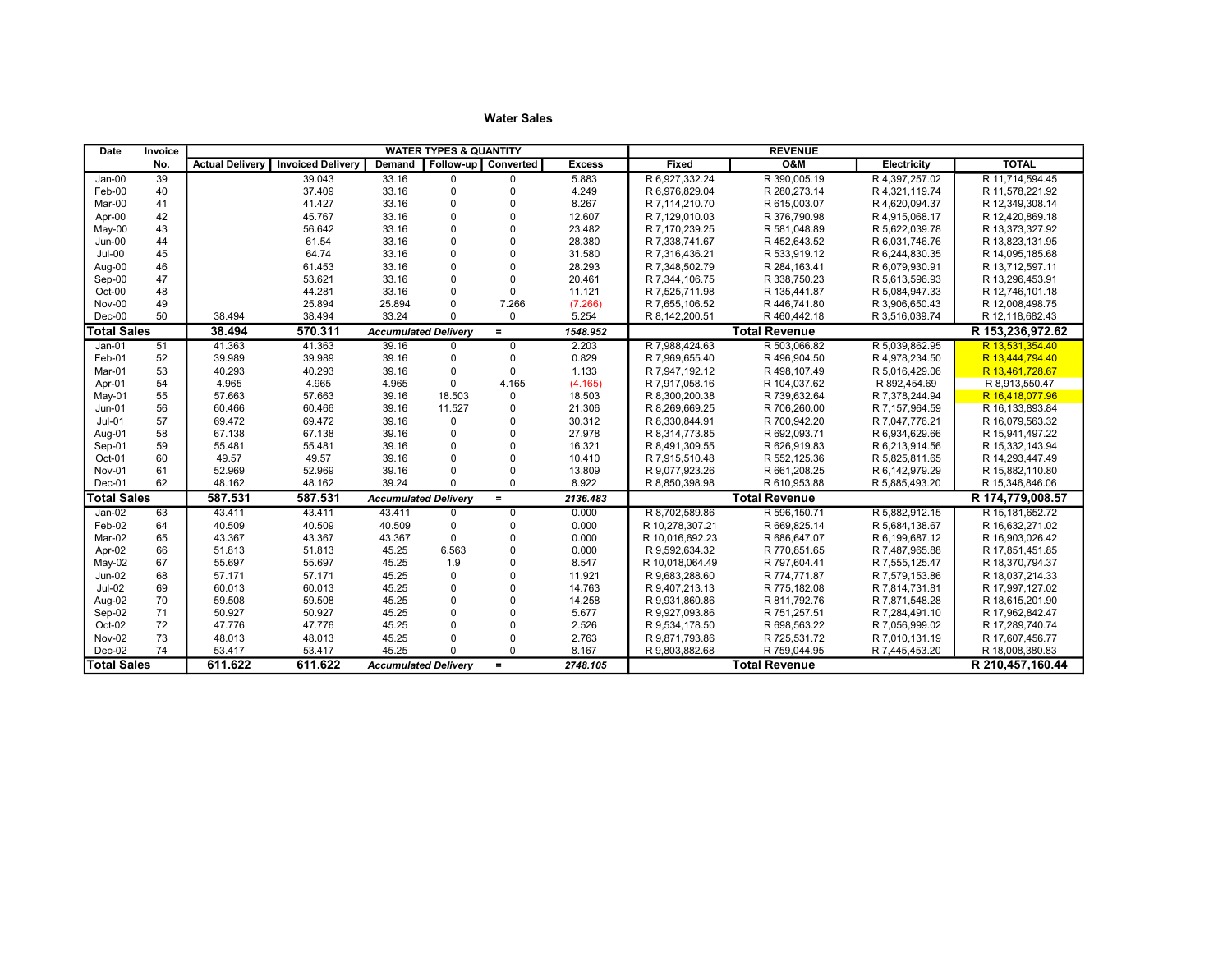| Date               | <b>Invoice</b> | <b>WATER TYPES &amp; QUANTITY</b> |                          |                             |                     |             |               |                 | <b>REVENUE</b>       |                  |                   |
|--------------------|----------------|-----------------------------------|--------------------------|-----------------------------|---------------------|-------------|---------------|-----------------|----------------------|------------------|-------------------|
|                    | No.            | <b>Actual Delivery</b>            | <b>Invoiced Delivery</b> | <b>Demand</b>               | Follow-up Converted |             | <b>Excess</b> | Fixed           | <b>O&amp;M</b>       | Electricity      | <b>TOTAL</b>      |
| $Jan-00$           | 39             |                                   | 39.043                   | $33.\overline{16}$          | $\Omega$            | $\Omega$    | 5.883         | R 6.927.332.24  | R 390,005.19         | R 4.397.257.02   | R 11.714.594.45   |
| Feb-00             | 40             |                                   | 37.409                   | 33.16                       | $\mathbf 0$         | $\Omega$    | 4.249         | R 6.976.829.04  | R 280, 273.14        | R 4,321,119.74   | R 11,578,221.92   |
| Mar-00             | 41             |                                   | 41.427                   | 33.16                       | $\Omega$            | $\Omega$    | 8.267         | R 7.114.210.70  | R 615,003.07         | R 4.620.094.37   | R 12,349,308.14   |
| Apr-00             | 42             |                                   | 45.767                   | 33.16                       | $\mathbf 0$         | $\Omega$    | 12.607        | R 7.129.010.03  | R 376,790.98         | R 4,915,068.17   | R 12,420,869.18   |
| $May-00$           | 43             |                                   | 56.642                   | 33.16                       | $\Omega$            | $\Omega$    | 23.482        | R 7,170,239.25  | R 581,048.89         | R 5,622,039.78   | R 13,373,327.92   |
| Jun-00             | 44             |                                   | 61.54                    | 33.16                       | $\Omega$            | $\Omega$    | 28.380        | R 7,338,741.67  | R 452,643.52         | R 6,031,746.76   | R 13,823,131.95   |
| $Jul-00$           | 45             |                                   | 64.74                    | 33.16                       | $\Omega$            | $\Omega$    | 31.580        | R 7.316.436.21  | R 533,919.12         | R 6.244.830.35   | R 14.095.185.68   |
| Aug-00             | 46             |                                   | 61.453                   | 33.16                       | $\Omega$            | $\Omega$    | 28.293        | R 7,348,502.79  | R 284, 163.41        | R 6,079,930.91   | R 13,712,597.11   |
| Sep-00             | 47             |                                   | 53.621                   | 33.16                       | $\Omega$            | $\mathbf 0$ | 20.461        | R 7.344.106.75  | R 338,750.23         | R 5,613,596.93   | R 13,296,453.91   |
| Oct-00             | 48             |                                   | 44.281                   | 33.16                       | $\mathbf 0$         | $\Omega$    | 11.121        | R 7,525,711.98  | R 135,441.87         | R 5,084,947.33   | R 12,746,101.18   |
| Nov-00             | 49             |                                   | 25.894                   | 25.894                      | $\Omega$            | 7.266       | (7.266)       | R 7,655,106.52  | R 446,741.80         | R 3,906,650.43   | R 12,008,498.75   |
| $Dec-00$           | 50             | 38.494                            | 38.494                   | 33.24                       | $\Omega$            | $\Omega$    | 5.254         | R 8,142,200.51  | R 460,442.18         | R 3,516,039.74   | R 12,118,682.43   |
| <b>Total Sales</b> |                | 38.494                            | 570.311                  | <b>Accumulated Delivery</b> |                     | $=$         | 1548.952      |                 | <b>Total Revenue</b> |                  | R 153,236,972.62  |
| $Jan-01$           | 51             | 41.363                            | 41.363                   | 39.16                       | $\Omega$            | $\mathbf 0$ | 2.203         | R 7.988.424.63  | R 503.066.82         | R 5,039,862.95   | R 13.531.354.40   |
| Feb-01             | 52             | 39.989                            | 39.989                   | 39.16                       | $\Omega$            | $\Omega$    | 0.829         | R 7.969.655.40  | R 496,904.50         | R 4,978,234.50   | R 13,444,794.40   |
| Mar-01             | 53             | 40.293                            | 40.293                   | 39.16                       | $\mathbf 0$         | $\Omega$    | 1.133         | R 7,947,192.12  | R 498,107.49         | R 5,016,429.06   | R 13,461,728.67   |
| Apr-01             | 54             | 4.965                             | 4.965                    | 4.965                       | $\mathbf 0$         | 4.165       | (4.165)       | R 7.917.058.16  | R 104.037.62         | R 892.454.69     | R 8,913,550.47    |
| May-01             | 55             | 57.663                            | 57.663                   | 39.16                       | 18.503              | $\mathbf 0$ | 18.503        | R 8,300,200.38  | R 739,632.64         | R 7,378,244.94   | R 16,418,077.96   |
| $Jun-01$           | 56             | 60.466                            | 60.466                   | 39.16                       | 11.527              | $\Omega$    | 21.306        | R 8,269,669.25  | R 706,260.00         | R 7,157,964.59   | R 16, 133, 893.84 |
| $Jul-01$           | 57             | 69.472                            | 69.472                   | 39.16                       | $\mathbf 0$         | $\Omega$    | 30.312        | R 8,330,844.91  | R 700,942.20         | R 7,047,776.21   | R 16,079,563.32   |
| Aug-01             | 58             | 67.138                            | 67.138                   | 39.16                       | $\mathbf 0$         | $\Omega$    | 27.978        | R 8,314,773.85  | R 692,093.71         | R 6,934,629.66   | R 15,941,497.22   |
| Sep-01             | 59             | 55.481                            | 55.481                   | 39.16                       | $\Omega$            | $\Omega$    | 16.321        | R 8.491.309.55  | R 626,919.83         | R 6,213,914.56   | R 15,332,143.94   |
| Oct-01             | 60             | 49.57                             | 49.57                    | 39.16                       | $\Omega$            | $\Omega$    | 10.410        | R 7,915,510.48  | R 552,125.36         | R 5,825,811.65   | R 14,293,447.49   |
| Nov-01             | 61             | 52.969                            | 52.969                   | 39.16                       | $\Omega$            | $\Omega$    | 13.809        | R 9,077,923.26  | R 661,208.25         | R 6, 142, 979.29 | R 15,882,110.80   |
| Dec-01             | 62             | 48.162                            | 48.162                   | 39.24                       | $\Omega$            | $\Omega$    | 8.922         | R 8,850,398.98  | R 610,953.88         | R 5,885,493.20   | R 15,346,846.06   |
| <b>Total Sales</b> |                | 587.531                           | 587.531                  | <b>Accumulated Delivery</b> |                     | $\equiv$    | 2136.483      |                 | <b>Total Revenue</b> |                  | R 174,779,008.57  |
| $Jan-02$           | 63             | 43.411                            | 43.411                   | 43.411                      | $\mathbf 0$         | $\Omega$    | 0.000         | R 8,702,589.86  | R 596,150.71         | R 5,882,912.15   | R 15,181,652.72   |
| Feb-02             | 64             | 40.509                            | 40.509                   | 40.509                      | $\mathbf 0$         | $\Omega$    | 0.000         | R 10.278.307.21 | R 669.825.14         | R 5,684,138.67   | R 16,632,271.02   |
| Mar-02             | 65             | 43.367                            | 43.367                   | 43.367                      | $\Omega$            | $\Omega$    | 0.000         | R 10.016.692.23 | R 686,647.07         | R 6.199.687.12   | R 16.903.026.42   |
| Apr-02             | 66             | 51.813                            | 51.813                   | 45.25                       | 6.563               | $\Omega$    | 0.000         | R 9.592.634.32  | R 770.851.65         | R 7,487,965.88   | R 17,851,451.85   |
| May-02             | 67             | 55.697                            | 55.697                   | 45.25                       | 1.9                 | $\Omega$    | 8.547         | R 10,018,064.49 | R 797,604.41         | R 7,555,125.47   | R 18,370,794.37   |
| $Jun-02$           | 68             | 57.171                            | 57.171                   | 45.25                       | $\mathbf 0$         | $\Omega$    | 11.921        | R 9.683.288.60  | R 774,771.87         | R 7,579,153.86   | R 18.037.214.33   |
| <b>Jul-02</b>      | 69             | 60.013                            | 60.013                   | 45.25                       | $\Omega$            | $\Omega$    | 14.763        | R 9,407,213.13  | R 775,182.08         | R 7,814,731.81   | R 17,997,127.02   |
| Aug-02             | 70             | 59.508                            | 59.508                   | 45.25                       | $\Omega$            | $\Omega$    | 14.258        | R 9,931,860.86  | R 811,792.76         | R 7,871,548.28   | R 18,615,201.90   |
| Sep-02             | 71             | 50.927                            | 50.927                   | 45.25                       | $\Omega$            | $\Omega$    | 5.677         | R 9,927,093.86  | R 751,257.51         | R 7,284,491.10   | R 17,962,842.47   |
| Oct-02             | 72             | 47.776                            | 47.776                   | 45.25                       | $\Omega$            | $\Omega$    | 2.526         | R 9,534,178.50  | R 698,563.22         | R 7,056,999.02   | R 17,289,740.74   |
| Nov-02             | 73             | 48.013                            | 48.013                   | 45.25                       | $\Omega$            | $\Omega$    | 2.763         | R 9.871.793.86  | R 725.531.72         | R 7.010.131.19   | R 17.607.456.77   |
| $Dec-02$           | 74             | 53.417                            | 53.417                   | 45.25                       |                     | $\Omega$    | 8.167         | R 9,803,882.68  | R 759,044.95         | R 7,445,453.20   | R 18,008,380.83   |
| <b>Total Sales</b> |                | 611.622                           | 611.622                  | <b>Accumulated Deliverv</b> |                     | $=$         | 2748.105      |                 | <b>Total Revenue</b> |                  | R 210,457,160.44  |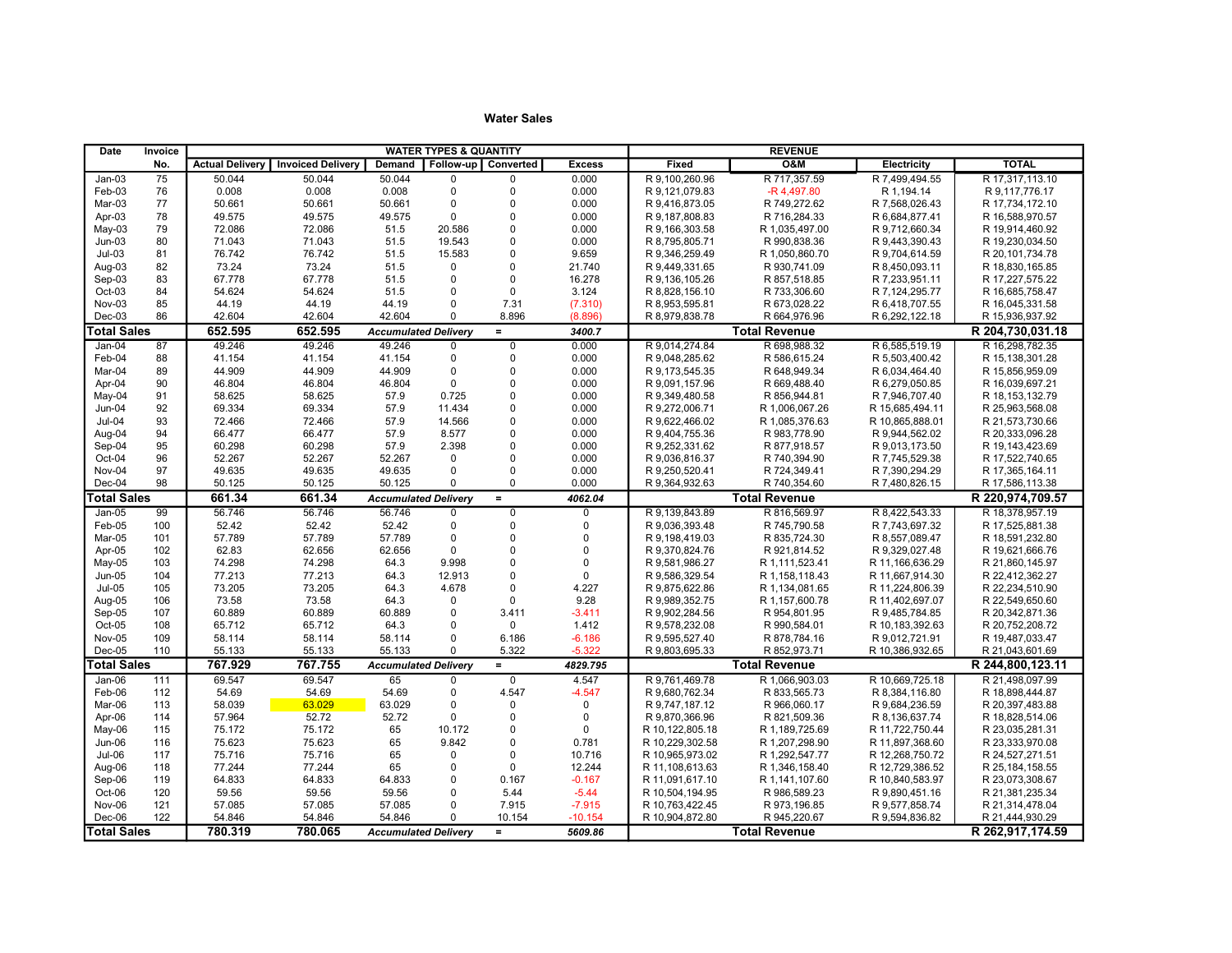| Date               | Invoice    |                        |                          |                             | <b>WATER TYPES &amp; QUANTITY</b> |                      |                   |                                  |                              |                                   |                                    |
|--------------------|------------|------------------------|--------------------------|-----------------------------|-----------------------------------|----------------------|-------------------|----------------------------------|------------------------------|-----------------------------------|------------------------------------|
|                    | No.        | <b>Actual Delivery</b> | <b>Invoiced Delivery</b> | <b>Demand</b>               |                                   | Follow-up Converted  | <b>Excess</b>     | Fixed                            | <b>O&amp;M</b>               | Electricity                       | <b>TOTAL</b>                       |
| $Jan-03$           | 75         | 50.044                 | 50.044                   | 50.044                      | $\Omega$                          | $\mathbf 0$          | 0.000             | R 9,100,260.96                   | R 717,357.59                 | R 7,499,494.55                    | R 17,317,113.10                    |
| Feb-03             | 76         | 0.008                  | 0.008                    | 0.008                       | $\pmb{0}$                         | $\Omega$             | 0.000             | R 9.121.079.83                   | -R 4.497.80                  | R 1.194.14                        | R 9,117,776.17                     |
| Mar-03             | 77         | 50.661                 | 50.661                   | 50.661                      | $\mathbf 0$                       | $\Omega$             | 0.000             | R 9,416,873.05                   | R 749,272.62                 | R 7,568,026.43                    | R 17,734,172.10                    |
| Apr-03             | 78         | 49.575                 | 49.575                   | 49.575                      | $\mathbf 0$                       | $\Omega$             | 0.000             | R 9,187,808.83                   | R 716,284.33                 | R 6,684,877.41                    | R 16,588,970.57                    |
| $May-03$           | 79         | 72.086                 | 72.086                   | 51.5                        | 20.586                            | $\Omega$             | 0.000             | R 9,166,303.58                   | R 1,035,497.00               | R 9,712,660.34                    | R 19,914,460.92                    |
| $Jun-03$           | 80         | 71.043                 | 71.043                   | 51.5                        | 19.543                            | $\Omega$             | 0.000             | R 8,795,805.71                   | R 990,838.36                 | R 9,443,390.43                    | R 19,230,034.50                    |
| $Jul-03$           | 81         | 76.742                 | 76.742                   | 51.5                        | 15.583                            | $\Omega$             | 9.659             | R 9,346,259.49                   | R 1,050,860.70               | R 9,704,614.59                    | R 20,101,734.78                    |
| Aug-03             | 82         | 73.24                  | 73.24                    | 51.5                        | 0                                 | $\Omega$             | 21.740            | R 9,449,331.65                   | R 930,741.09                 | R 8,450,093.11                    | R 18,830,165.85                    |
| $Sep-03$           | 83         | 67.778                 | 67.778                   | 51.5                        | $\mathbf 0$                       | $\Omega$             | 16.278            | R 9,136,105.26                   | R 857,518.85                 | R 7,233,951.11                    | R 17,227,575.22                    |
| $Oct-03$           | 84         | 54.624                 | 54.624                   | 51.5                        | $\mathbf 0$                       | $\Omega$             | 3.124             | R 8,828,156.10                   | R 733,306.60                 | R 7,124,295.77                    | R 16,685,758.47                    |
| Nov-03             | 85         | 44.19                  | 44.19                    | 44.19                       | $\mathbf 0$                       | 7.31                 | (7.310)           | R 8,953,595.81                   | R 673,028.22                 | R 6,418,707.55                    | R 16,045,331.58                    |
| $Dec-03$           | 86         | 42.604                 | 42.604                   | 42.604                      | $\Omega$                          | 8.896                | (8.896)           | R 8,979,838.78                   | R 664,976.96                 | R 6,292,122.18                    | R 15,936,937.92                    |
| <b>Total Sales</b> |            | 652.595                | 652.595                  | <b>Accumulated Delivery</b> |                                   | $=$                  | 3400.7            |                                  | <b>Total Revenue</b>         |                                   | R 204,730,031.18                   |
| $Jan-04$           | 87         | 49.246                 | 49.246                   | 49.246                      | $\mathbf 0$                       | $\overline{0}$       | 0.000             | R 9,014,274.84                   | R 698,988.32                 | R 6,585,519.19                    | R 16,298,782.35                    |
| Feb-04             | 88         | 41.154                 | 41.154                   | 41.154                      | $\mathbf 0$                       | $\Omega$             | 0.000             | R 9,048,285.62                   | R 586,615.24                 | R 5,503,400.42                    | R 15,138,301.28                    |
| Mar-04             | 89         | 44.909                 | 44.909                   | 44.909                      | $\mathbf 0$                       | $\Omega$             | 0.000             | R 9,173,545.35                   | R 648,949.34                 | R 6,034,464.40                    | R 15,856,959.09                    |
| Apr-04             | 90         | 46.804                 | 46.804                   | 46.804                      | $\mathbf 0$                       | $\Omega$             | 0.000             | R 9,091,157.96                   | R 669,488.40                 | R 6,279,050.85                    | R 16,039,697.21                    |
| May-04             | 91         | 58.625                 | 58.625                   | 57.9                        | 0.725                             | $\pmb{0}$            | 0.000             | R 9,349,480.58                   | R 856,944.81                 | R 7,946,707.40                    | R 18, 153, 132.79                  |
| Jun-04             | 92         | 69.334                 | 69.334                   | 57.9                        | 11.434                            | $\Omega$             | 0.000             | R 9,272,006.71                   | R 1,006,067.26               | R 15,685,494.11                   | R 25,963,568.08                    |
| $Jul-04$           | 93         | 72.466                 | 72.466                   | 57.9                        | 14.566                            | $\Omega$             | 0.000             | R 9,622,466.02                   | R 1,085,376.63               | R 10,865,888.01                   | R 21,573,730.66                    |
| Aug-04             | 94         | 66.477                 | 66.477                   | 57.9                        | 8.577                             | $\mathbf 0$          | 0.000             | R 9,404,755.36                   | R 983,778.90                 | R 9,944,562.02                    | R 20,333,096.28                    |
| Sep-04             | 95         | 60.298                 | 60.298                   | 57.9                        | 2.398                             | $\Omega$             | 0.000             | R 9,252,331.62                   | R 877,918.57                 | R 9,013,173.50                    | R 19,143,423.69                    |
| Oct-04             | 96         | 52.267                 | 52.267                   | 52.267                      | $\mathbf 0$                       | $\Omega$             | 0.000             | R 9,036,816.37                   | R 740,394.90                 | R 7,745,529.38                    | R 17,522,740.65                    |
| Nov-04             | 97         | 49.635                 | 49.635                   | 49.635                      | $\mathbf 0$                       | $\Omega$             | 0.000             | R 9,250,520.41                   | R 724,349.41                 | R 7,390,294.29                    | R 17,365,164.11                    |
| Dec-04             | 98         | 50.125                 | 50.125                   | 50.125                      | $\Omega$                          | $\Omega$             | 0.000             | R 9,364,932.63                   | R 740,354.60                 | R 7,480,826.15                    | R 17,586,113.38                    |
| <b>Total Sales</b> |            | 661.34                 | 661.34                   | <b>Accumulated Delivery</b> |                                   | $=$                  | 4062.04           |                                  | <b>Total Revenue</b>         |                                   | R 220,974,709.57                   |
| $Jan-05$           | 99         | 56.746                 | 56.746                   | 56.746                      | $\mathbf 0$                       | $\overline{0}$       | $\overline{0}$    | R 9,139,843.89                   | R 816,569.97                 | R 8,422,543.33                    | R 18,378,957.19                    |
| Feb-05             | 100        | 52.42                  | 52.42                    | 52.42                       | $\mathbf 0$                       | $\Omega$             | $\mathbf 0$       | R 9,036,393.48                   | R 745,790.58                 | R 7,743,697.32                    | R 17,525,881.38                    |
| Mar-05             | 101        | 57.789                 | 57.789                   | 57.789                      | $\mathbf 0$                       | $\Omega$             | $\mathbf 0$       | R 9,198,419.03                   | R 835,724.30                 | R 8,557,089.47                    | R 18,591,232.80                    |
| Apr-05             | 102        | 62.83                  | 62.656                   | 62.656                      | $\Omega$                          | $\mathbf 0$          | $\mathbf 0$       | R 9,370,824.76                   | R 921,814.52                 | R 9,329,027.48                    | R 19,621,666.76                    |
| $May-05$           | 103        | 74.298                 | 74.298                   | 64.3                        | 9.998                             | $\Omega$             | $\Omega$          | R 9,581,986.27                   | R 1,111,523.41               | R 11,166,636.29                   | R 21,860,145.97                    |
| $Jun-05$           | 104        | 77.213                 | 77.213                   | 64.3                        | 12.913                            | $\Omega$             | $\Omega$          | R 9,586,329.54                   | R 1,158,118.43               | R 11,667,914.30                   | R 22,412,362.27                    |
| $Jul-05$           | 105        | 73.205                 | 73.205                   | 64.3                        | 4.678                             | $\Omega$             | 4.227             | R 9,875,622.86                   | R 1,134,081.65               | R 11,224,806.39                   | R 22,234,510.90                    |
| Aug-05             | 106        | 73.58                  | 73.58                    | 64.3                        | $\mathbf 0$<br>$\mathbf 0$        | $\Omega$             | 9.28              | R 9.989.352.75                   | R 1,157,600.78               | R 11,402,697.07                   | R 22.549.650.60                    |
| Sep-05<br>Oct-05   | 107<br>108 | 60.889<br>65.712       | 60.889<br>65.712         | 60.889<br>64.3              | $\mathbf 0$                       | 3.411<br>$\mathbf 0$ | $-3.411$<br>1.412 | R 9,902,284.56<br>R 9,578,232.08 | R 954,801.95<br>R 990,584.01 | R 9,485,784.85<br>R 10,183,392.63 | R 20,342,871.36<br>R 20,752,208.72 |
| Nov-05             | 109        | 58.114                 | 58.114                   | 58.114                      | $\mathbf 0$                       | 6.186                | $-6.186$          | R 9,595,527.40                   | R 878,784.16                 | R 9,012,721.91                    | R 19,487,033.47                    |
| Dec-05             | 110        | 55.133                 | 55.133                   | 55.133                      | $\Omega$                          | 5.322                | $-5.322$          | R 9,803,695.33                   | R 852,973.71                 | R 10,386,932.65                   | R 21,043,601.69                    |
| <b>Total Sales</b> |            | 767.929                | 767.755                  | <b>Accumulated Delivery</b> |                                   | $=$                  | 4829.795          |                                  | <b>Total Revenue</b>         |                                   | R 244,800,123.11                   |
| $Jan-06$           | 111        | 69.547                 | 69.547                   | 65                          | $\mathbf 0$                       | $\overline{0}$       | 4.547             | R 9,761,469.78                   | R 1,066,903.03               | R 10,669,725.18                   | R 21,498,097.99                    |
| Feb-06             | 112        | 54.69                  | 54.69                    | 54.69                       | $\pmb{0}$                         | 4.547                | $-4.547$          | R 9,680,762.34                   | R 833,565.73                 | R 8,384,116.80                    | R 18,898,444.87                    |
| Mar-06             | 113        | 58.039                 | 63.029                   | 63.029                      | $\mathbf 0$                       | $\Omega$             | $\mathbf 0$       | R 9,747,187.12                   | R 966,060.17                 | R 9,684,236.59                    | R 20,397,483.88                    |
| Apr-06             | 114        | 57.964                 | 52.72                    | 52.72                       | $\Omega$                          | $\Omega$             | $\mathbf 0$       | R 9,870,366.96                   | R 821,509.36                 | R 8,136,637.74                    | R 18,828,514.06                    |
| May-06             | 115        | 75.172                 | 75.172                   | 65                          | 10.172                            | $\Omega$             | $\mathbf{0}$      | R 10,122,805.18                  | R 1,189,725.69               | R 11,722,750.44                   | R 23,035,281.31                    |
| Jun-06             | 116        | 75.623                 | 75.623                   | 65                          | 9.842                             | $\Omega$             | 0.781             | R 10,229,302.58                  | R 1,207,298.90               | R 11,897,368.60                   | R 23,333,970.08                    |
| <b>Jul-06</b>      | 117        | 75.716                 | 75.716                   | 65                          | $\mathbf 0$                       | $\Omega$             | 10.716            | R 10,965,973.02                  | R 1,292,547.77               | R 12,268,750.72                   | R 24,527,271.51                    |
| Aug-06             | 118        | 77.244                 | 77.244                   | 65                          | $\mathbf 0$                       | $\mathbf 0$          | 12.244            | R 11,108,613.63                  | R 1,346,158.40               | R 12,729,386.52                   | R 25,184,158.55                    |
| Sep-06             | 119        | 64.833                 | 64.833                   | 64.833                      | $\mathbf 0$                       | 0.167                | $-0.167$          | R 11,091,617.10                  | R 1,141,107.60               | R 10,840,583.97                   | R 23,073,308.67                    |
| Oct-06             | 120        | 59.56                  | 59.56                    | 59.56                       | $\mathbf 0$                       | 5.44                 | $-5.44$           | R 10,504,194.95                  | R 986,589.23                 | R 9,890,451.16                    | R 21,381,235.34                    |
| Nov-06             | 121        | 57.085                 | 57.085                   | 57.085                      | $\mathbf 0$                       | 7.915                | $-7.915$          | R 10,763,422.45                  | R 973,196.85                 | R 9,577,858.74                    | R 21,314,478.04                    |
| Dec-06             | 122        | 54.846                 | 54.846                   | 54.846                      | $\Omega$                          | 10.154               | $-10.154$         | R 10,904,872.80                  | R 945,220.67                 | R 9,594,836.82                    | R 21,444,930.29                    |
| <b>Total Sales</b> |            | 780.319                | 780.065                  | <b>Accumulated Delivery</b> |                                   | $=$                  | 5609.86           |                                  | <b>Total Revenue</b>         |                                   | R 262,917,174.59                   |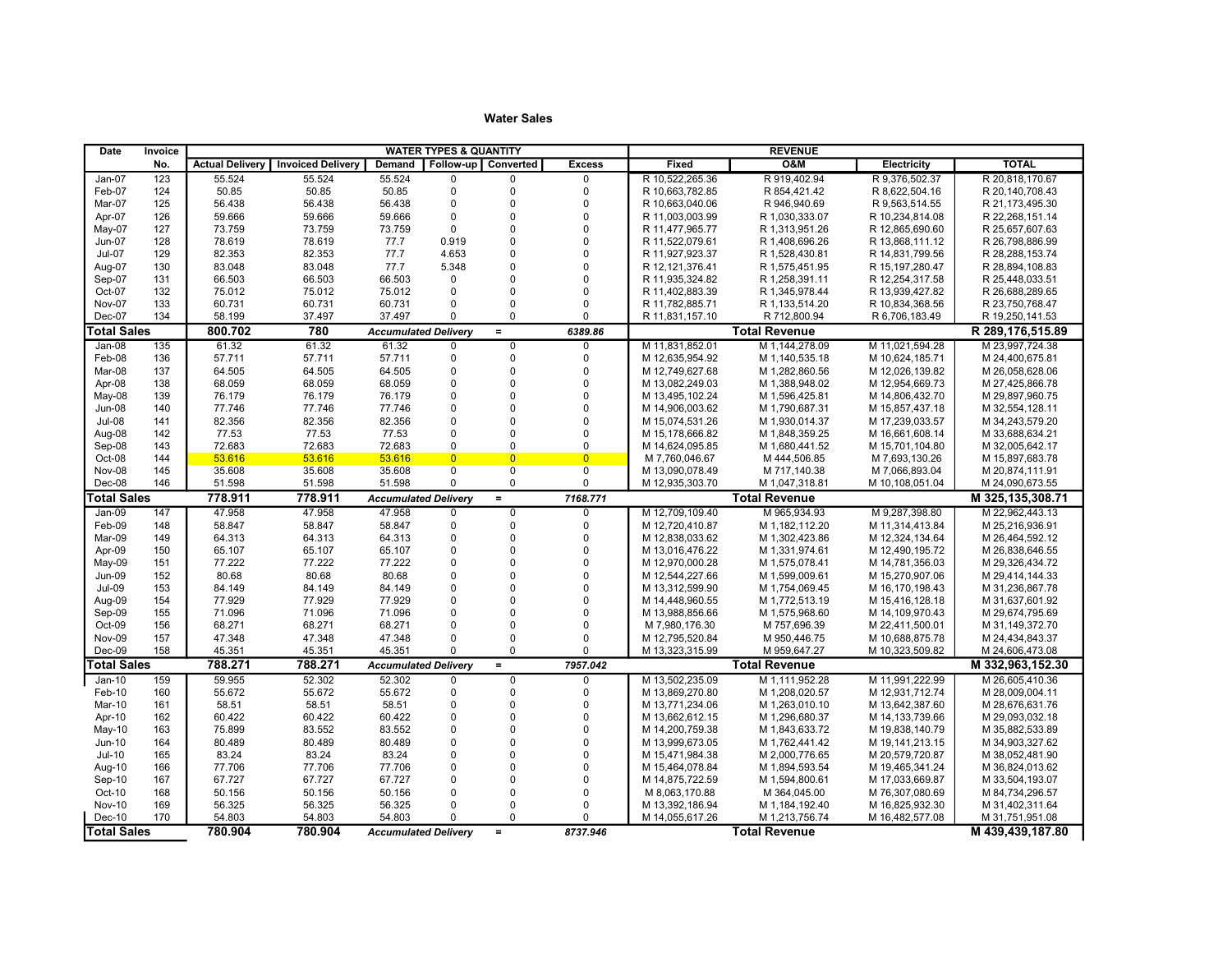| <b>TOTAL</b><br>No.<br><b>Invoiced Delivery</b><br>Follow-up   Converted<br><b>Excess</b><br>Fixed<br><b>O&amp;M</b><br><b>Electricity</b><br><b>Actual Delivery</b><br>Demand<br>55.524<br>R 10,522,265.36<br>R 919,402.94<br>123<br>55.524<br>55.524<br>$\mathbf 0$<br>R 9,376,502.37<br>R 20,818,170.67<br>Jan-07<br>$\Omega$<br>$\Omega$<br>Feb-07<br>124<br>50.85<br>50.85<br>50.85<br>$\pmb{0}$<br>$\mathbf 0$<br>$\mathbf 0$<br>R 10.663.782.85<br>R 854,421.42<br>R 8,622,504.16<br>R 20,140,708.43<br>56.438<br>56.438<br>$\mathbf 0$<br>$\Omega$<br>$\Omega$<br>R 10,663,040.06<br>R 21,173,495.30<br>Mar-07<br>125<br>56.438<br>R 946,940.69<br>R 9,563,514.55<br>$\mathbf 0$<br>$\Omega$<br>$\mathbf 0$<br>Apr-07<br>126<br>59.666<br>59.666<br>59.666<br>R 11,003,003.99<br>R 1,030,333.07<br>R 10,234,814.08<br>R 22,268,151.14<br>$\Omega$<br>$\Omega$<br>$\mathbf 0$<br>127<br>73.759<br>73.759<br>73.759<br>R 11.477.965.77<br>R 12.865.690.60<br>R 25.657.607.63<br>May-07<br>R 1,313,951.26<br>$\Omega$<br>$\Omega$<br>78.619<br>78.619<br>77.7<br>0.919<br>R 11,522,079.61<br>R 26,798,886.99<br>Jun-07<br>128<br>R 1,408,696.26<br>R 13,868,111.12<br>$\Omega$<br><b>Jul-07</b><br>129<br>82.353<br>82.353<br>77.7<br>4.653<br>$\Omega$<br>R 11,927,923.37<br>R 1,528,430.81<br>R 14,831,799.56<br>R 28,288,153.74<br>$\Omega$<br>$\mathbf 0$<br>83.048<br>83.048<br>77.7<br>Aug-07<br>130<br>5.348<br>R 12, 121, 376.41<br>R 1,575,451.95<br>R 15,197,280.47<br>R 28,894,108.83<br>66.503<br>$\Omega$<br>$\Omega$<br>R 11,935,324.82<br>R 1,258,391.11<br>Sep-07<br>131<br>66.503<br>66.503<br>$\mathbf 0$<br>R 12,254,317.58<br>R 25,448,033.51<br>132<br>75.012<br>75.012<br>75.012<br>$\Omega$<br>$\Omega$<br>R 11,402,883.39<br>Oct-07<br>$\mathbf 0$<br>R 1,345,978.44<br>R 13,939,427.82<br>R 26,688,289.65<br>$\mathbf 0$<br>$\mathbf 0$<br>Nov-07<br>133<br>60.731<br>60.731<br>60.731<br>$\mathbf 0$<br>R 11,782,885.71<br>R 1,133,514.20<br>R 10,834,368.56<br>R 23,750,768.47<br>Dec-07<br>134<br>58.199<br>37.497<br>37.497<br>$\Omega$<br>$\Omega$<br>R 11,831,157.10<br>R 712,800.94<br>R 6,706,183.49<br>R 19,250,141.53<br>$\Omega$<br>780<br><b>Total Sales</b><br>800.702<br><b>Accumulated Delivery</b><br>6389.86<br><b>Total Revenue</b><br>$\equiv$<br>61.32<br>61.32<br>M 11,831,852.01<br>M 11,021,594.28<br>$Jan-08$<br>135<br>61.32<br>M 1,144,278.09<br>M 23,997,724.38<br>$\mathbf 0$<br>$\Omega$<br>$\Omega$<br>Feb-08<br>136<br>57.711<br>57.711<br>57.711<br>$\mathbf 0$<br>$\Omega$<br>$\mathbf 0$<br>M 12.635.954.92<br>M 1,140,535.18<br>M 24,400,675.81<br>M 10,624,185.71<br>64.505<br>64.505<br>$\mathbf 0$<br>$\Omega$<br>$\mathbf 0$<br>M 12,749,627.68<br>M 1,282,860.56<br>Mar-08<br>137<br>64.505<br>M 12,026,139.82<br>M 26,058,628.06<br>68.059<br>68.059<br>$\mathbf 0$<br>$\Omega$<br>$\mathbf 0$<br>Apr-08<br>138<br>68.059<br>M 13,082,249.03<br>M 1,388,948.02<br>M 12,954,669.73<br>M 27,425,866.78<br>$\mathbf 0$<br>$\Omega$<br>$\mathbf 0$<br>May-08<br>139<br>76.179<br>76.179<br>76.179<br>M 13,495,102.24<br>M 1,596,425.81<br>M 29,897,960.75<br>M 14,806,432.70<br>$\Omega$<br><b>Jun-08</b><br>140<br>77.746<br>77.746<br>77.746<br>$\Omega$<br>$\Omega$<br>M 14,906,003.62<br>M 1,790,687.31<br>M 15,857,437.18<br>M 32,554,128.11<br><b>Jul-08</b><br>82.356<br>82.356<br>82.356<br>$\Omega$<br>$\Omega$<br>$\Omega$<br>M 15,074,531.26<br>M 1,930,014.37<br>M 17,239,033.57<br>M 34,243,579.20<br>141<br>$\Omega$<br>$\mathbf 0$<br>77.53<br>77.53<br>$\Omega$<br>Aug-08<br>142<br>77.53<br>M 15,178,666.82<br>M 1,848,359.25<br>M 16,661,608.14<br>M 33,688,634.21<br>72.683<br>72.683<br>72.683<br>$\Omega$<br>$\Omega$<br>M 14,624,095.85<br>M 1,680,441.52<br>M 32,005,642.17<br>Sep-08<br>143<br>$\mathbf 0$<br>M 15,701,104.80<br>Oct-08<br>53.616<br>53.616<br>53.616<br>$\overline{0}$<br>$\overline{0}$<br>$\overline{0}$<br>144<br>M 7,760,046.67<br>M 444,506.85<br>M 7,693,130.26<br>M 15,897,683.78<br>35.608<br>35.608<br>$\mathbf 0$<br>$\pmb{0}$<br>0<br>Nov-08<br>145<br>35.608<br>M 13,090,078.49<br>M 717,140.38<br>M 7,066,893.04<br>M 20,874,111.91<br>0<br>Dec-08<br>146<br>51.598<br>51.598<br>51.598<br>$\mathbf 0$<br>0<br>M 12,935,303.70<br>M 1,047,318.81<br>M 10,108,051.04<br>M 24,090,673.55<br><b>Total Sales</b><br>778.911<br>778.911<br>7168.771<br><b>Total Revenue</b><br>M 325, 135, 308.71<br><b>Accumulated Delivery</b><br>$=$<br>47.958<br>47.958<br>47.958<br>M 12,709,109.40<br>M 965,934.93<br>M 9,287,398.80<br>$Jan-09$<br>147<br>$\overline{0}$<br>M 22,962,443.13<br>$\Omega$<br>$\Omega$<br>$\mathbf 0$<br>Feb-09<br>148<br>58.847<br>58.847<br>58.847<br>$\mathbf 0$<br>$\Omega$<br>M 12,720,410.87<br>M 1,182,112.20<br>M 25,216,936.91<br>M 11,314,413.84 |                  |                 |                |                 |             |          | <b>WATER TYPES &amp; QUANTITY</b> |        |        |        | Invoice | Date   |
|----------------------------------------------------------------------------------------------------------------------------------------------------------------------------------------------------------------------------------------------------------------------------------------------------------------------------------------------------------------------------------------------------------------------------------------------------------------------------------------------------------------------------------------------------------------------------------------------------------------------------------------------------------------------------------------------------------------------------------------------------------------------------------------------------------------------------------------------------------------------------------------------------------------------------------------------------------------------------------------------------------------------------------------------------------------------------------------------------------------------------------------------------------------------------------------------------------------------------------------------------------------------------------------------------------------------------------------------------------------------------------------------------------------------------------------------------------------------------------------------------------------------------------------------------------------------------------------------------------------------------------------------------------------------------------------------------------------------------------------------------------------------------------------------------------------------------------------------------------------------------------------------------------------------------------------------------------------------------------------------------------------------------------------------------------------------------------------------------------------------------------------------------------------------------------------------------------------------------------------------------------------------------------------------------------------------------------------------------------------------------------------------------------------------------------------------------------------------------------------------------------------------------------------------------------------------------------------------------------------------------------------------------------------------------------------------------------------------------------------------------------------------------------------------------------------------------------------------------------------------------------------------------------------------------------------------------------------------------------------------------------------------------------------------------------------------------------------------------------------------------------------------------------------------------------------------------------------------------------------------------------------------------------------------------------------------------------------------------------------------------------------------------------------------------------------------------------------------------------------------------------------------------------------------------------------------------------------------------------------------------------------------------------------------------------------------------------------------------------------------------------------------------------------------------------------------------------------------------------------------------------------------------------------------------------------------------------------------------------------------------------------------------------------------------------------------------------------------------------------------------------------------------------------------------------------------------------------------------------------------------------------------------------------------------------------------------------------------------------------------------------------------------------------------------------------------------------------------------------------------------------------------------------------------------------------------------------------------------------------------------------------------------------------------------------------------------------------------------------------------------------------------------------------------------|------------------|-----------------|----------------|-----------------|-------------|----------|-----------------------------------|--------|--------|--------|---------|--------|
|                                                                                                                                                                                                                                                                                                                                                                                                                                                                                                                                                                                                                                                                                                                                                                                                                                                                                                                                                                                                                                                                                                                                                                                                                                                                                                                                                                                                                                                                                                                                                                                                                                                                                                                                                                                                                                                                                                                                                                                                                                                                                                                                                                                                                                                                                                                                                                                                                                                                                                                                                                                                                                                                                                                                                                                                                                                                                                                                                                                                                                                                                                                                                                                                                                                                                                                                                                                                                                                                                                                                                                                                                                                                                                                                                                                                                                                                                                                                                                                                                                                                                                                                                                                                                                                                                                                                                                                                                                                                                                                                                                                                                                                                                                                                                                                                    |                  |                 |                |                 |             |          |                                   |        |        |        |         |        |
|                                                                                                                                                                                                                                                                                                                                                                                                                                                                                                                                                                                                                                                                                                                                                                                                                                                                                                                                                                                                                                                                                                                                                                                                                                                                                                                                                                                                                                                                                                                                                                                                                                                                                                                                                                                                                                                                                                                                                                                                                                                                                                                                                                                                                                                                                                                                                                                                                                                                                                                                                                                                                                                                                                                                                                                                                                                                                                                                                                                                                                                                                                                                                                                                                                                                                                                                                                                                                                                                                                                                                                                                                                                                                                                                                                                                                                                                                                                                                                                                                                                                                                                                                                                                                                                                                                                                                                                                                                                                                                                                                                                                                                                                                                                                                                                                    |                  |                 |                |                 |             |          |                                   |        |        |        |         |        |
|                                                                                                                                                                                                                                                                                                                                                                                                                                                                                                                                                                                                                                                                                                                                                                                                                                                                                                                                                                                                                                                                                                                                                                                                                                                                                                                                                                                                                                                                                                                                                                                                                                                                                                                                                                                                                                                                                                                                                                                                                                                                                                                                                                                                                                                                                                                                                                                                                                                                                                                                                                                                                                                                                                                                                                                                                                                                                                                                                                                                                                                                                                                                                                                                                                                                                                                                                                                                                                                                                                                                                                                                                                                                                                                                                                                                                                                                                                                                                                                                                                                                                                                                                                                                                                                                                                                                                                                                                                                                                                                                                                                                                                                                                                                                                                                                    |                  |                 |                |                 |             |          |                                   |        |        |        |         |        |
|                                                                                                                                                                                                                                                                                                                                                                                                                                                                                                                                                                                                                                                                                                                                                                                                                                                                                                                                                                                                                                                                                                                                                                                                                                                                                                                                                                                                                                                                                                                                                                                                                                                                                                                                                                                                                                                                                                                                                                                                                                                                                                                                                                                                                                                                                                                                                                                                                                                                                                                                                                                                                                                                                                                                                                                                                                                                                                                                                                                                                                                                                                                                                                                                                                                                                                                                                                                                                                                                                                                                                                                                                                                                                                                                                                                                                                                                                                                                                                                                                                                                                                                                                                                                                                                                                                                                                                                                                                                                                                                                                                                                                                                                                                                                                                                                    |                  |                 |                |                 |             |          |                                   |        |        |        |         |        |
|                                                                                                                                                                                                                                                                                                                                                                                                                                                                                                                                                                                                                                                                                                                                                                                                                                                                                                                                                                                                                                                                                                                                                                                                                                                                                                                                                                                                                                                                                                                                                                                                                                                                                                                                                                                                                                                                                                                                                                                                                                                                                                                                                                                                                                                                                                                                                                                                                                                                                                                                                                                                                                                                                                                                                                                                                                                                                                                                                                                                                                                                                                                                                                                                                                                                                                                                                                                                                                                                                                                                                                                                                                                                                                                                                                                                                                                                                                                                                                                                                                                                                                                                                                                                                                                                                                                                                                                                                                                                                                                                                                                                                                                                                                                                                                                                    |                  |                 |                |                 |             |          |                                   |        |        |        |         |        |
|                                                                                                                                                                                                                                                                                                                                                                                                                                                                                                                                                                                                                                                                                                                                                                                                                                                                                                                                                                                                                                                                                                                                                                                                                                                                                                                                                                                                                                                                                                                                                                                                                                                                                                                                                                                                                                                                                                                                                                                                                                                                                                                                                                                                                                                                                                                                                                                                                                                                                                                                                                                                                                                                                                                                                                                                                                                                                                                                                                                                                                                                                                                                                                                                                                                                                                                                                                                                                                                                                                                                                                                                                                                                                                                                                                                                                                                                                                                                                                                                                                                                                                                                                                                                                                                                                                                                                                                                                                                                                                                                                                                                                                                                                                                                                                                                    |                  |                 |                |                 |             |          |                                   |        |        |        |         |        |
|                                                                                                                                                                                                                                                                                                                                                                                                                                                                                                                                                                                                                                                                                                                                                                                                                                                                                                                                                                                                                                                                                                                                                                                                                                                                                                                                                                                                                                                                                                                                                                                                                                                                                                                                                                                                                                                                                                                                                                                                                                                                                                                                                                                                                                                                                                                                                                                                                                                                                                                                                                                                                                                                                                                                                                                                                                                                                                                                                                                                                                                                                                                                                                                                                                                                                                                                                                                                                                                                                                                                                                                                                                                                                                                                                                                                                                                                                                                                                                                                                                                                                                                                                                                                                                                                                                                                                                                                                                                                                                                                                                                                                                                                                                                                                                                                    |                  |                 |                |                 |             |          |                                   |        |        |        |         |        |
|                                                                                                                                                                                                                                                                                                                                                                                                                                                                                                                                                                                                                                                                                                                                                                                                                                                                                                                                                                                                                                                                                                                                                                                                                                                                                                                                                                                                                                                                                                                                                                                                                                                                                                                                                                                                                                                                                                                                                                                                                                                                                                                                                                                                                                                                                                                                                                                                                                                                                                                                                                                                                                                                                                                                                                                                                                                                                                                                                                                                                                                                                                                                                                                                                                                                                                                                                                                                                                                                                                                                                                                                                                                                                                                                                                                                                                                                                                                                                                                                                                                                                                                                                                                                                                                                                                                                                                                                                                                                                                                                                                                                                                                                                                                                                                                                    |                  |                 |                |                 |             |          |                                   |        |        |        |         |        |
|                                                                                                                                                                                                                                                                                                                                                                                                                                                                                                                                                                                                                                                                                                                                                                                                                                                                                                                                                                                                                                                                                                                                                                                                                                                                                                                                                                                                                                                                                                                                                                                                                                                                                                                                                                                                                                                                                                                                                                                                                                                                                                                                                                                                                                                                                                                                                                                                                                                                                                                                                                                                                                                                                                                                                                                                                                                                                                                                                                                                                                                                                                                                                                                                                                                                                                                                                                                                                                                                                                                                                                                                                                                                                                                                                                                                                                                                                                                                                                                                                                                                                                                                                                                                                                                                                                                                                                                                                                                                                                                                                                                                                                                                                                                                                                                                    |                  |                 |                |                 |             |          |                                   |        |        |        |         |        |
|                                                                                                                                                                                                                                                                                                                                                                                                                                                                                                                                                                                                                                                                                                                                                                                                                                                                                                                                                                                                                                                                                                                                                                                                                                                                                                                                                                                                                                                                                                                                                                                                                                                                                                                                                                                                                                                                                                                                                                                                                                                                                                                                                                                                                                                                                                                                                                                                                                                                                                                                                                                                                                                                                                                                                                                                                                                                                                                                                                                                                                                                                                                                                                                                                                                                                                                                                                                                                                                                                                                                                                                                                                                                                                                                                                                                                                                                                                                                                                                                                                                                                                                                                                                                                                                                                                                                                                                                                                                                                                                                                                                                                                                                                                                                                                                                    |                  |                 |                |                 |             |          |                                   |        |        |        |         |        |
|                                                                                                                                                                                                                                                                                                                                                                                                                                                                                                                                                                                                                                                                                                                                                                                                                                                                                                                                                                                                                                                                                                                                                                                                                                                                                                                                                                                                                                                                                                                                                                                                                                                                                                                                                                                                                                                                                                                                                                                                                                                                                                                                                                                                                                                                                                                                                                                                                                                                                                                                                                                                                                                                                                                                                                                                                                                                                                                                                                                                                                                                                                                                                                                                                                                                                                                                                                                                                                                                                                                                                                                                                                                                                                                                                                                                                                                                                                                                                                                                                                                                                                                                                                                                                                                                                                                                                                                                                                                                                                                                                                                                                                                                                                                                                                                                    |                  |                 |                |                 |             |          |                                   |        |        |        |         |        |
|                                                                                                                                                                                                                                                                                                                                                                                                                                                                                                                                                                                                                                                                                                                                                                                                                                                                                                                                                                                                                                                                                                                                                                                                                                                                                                                                                                                                                                                                                                                                                                                                                                                                                                                                                                                                                                                                                                                                                                                                                                                                                                                                                                                                                                                                                                                                                                                                                                                                                                                                                                                                                                                                                                                                                                                                                                                                                                                                                                                                                                                                                                                                                                                                                                                                                                                                                                                                                                                                                                                                                                                                                                                                                                                                                                                                                                                                                                                                                                                                                                                                                                                                                                                                                                                                                                                                                                                                                                                                                                                                                                                                                                                                                                                                                                                                    |                  |                 |                |                 |             |          |                                   |        |        |        |         |        |
|                                                                                                                                                                                                                                                                                                                                                                                                                                                                                                                                                                                                                                                                                                                                                                                                                                                                                                                                                                                                                                                                                                                                                                                                                                                                                                                                                                                                                                                                                                                                                                                                                                                                                                                                                                                                                                                                                                                                                                                                                                                                                                                                                                                                                                                                                                                                                                                                                                                                                                                                                                                                                                                                                                                                                                                                                                                                                                                                                                                                                                                                                                                                                                                                                                                                                                                                                                                                                                                                                                                                                                                                                                                                                                                                                                                                                                                                                                                                                                                                                                                                                                                                                                                                                                                                                                                                                                                                                                                                                                                                                                                                                                                                                                                                                                                                    |                  |                 |                |                 |             |          |                                   |        |        |        |         |        |
|                                                                                                                                                                                                                                                                                                                                                                                                                                                                                                                                                                                                                                                                                                                                                                                                                                                                                                                                                                                                                                                                                                                                                                                                                                                                                                                                                                                                                                                                                                                                                                                                                                                                                                                                                                                                                                                                                                                                                                                                                                                                                                                                                                                                                                                                                                                                                                                                                                                                                                                                                                                                                                                                                                                                                                                                                                                                                                                                                                                                                                                                                                                                                                                                                                                                                                                                                                                                                                                                                                                                                                                                                                                                                                                                                                                                                                                                                                                                                                                                                                                                                                                                                                                                                                                                                                                                                                                                                                                                                                                                                                                                                                                                                                                                                                                                    | R 289,176,515.89 |                 |                |                 |             |          |                                   |        |        |        |         |        |
|                                                                                                                                                                                                                                                                                                                                                                                                                                                                                                                                                                                                                                                                                                                                                                                                                                                                                                                                                                                                                                                                                                                                                                                                                                                                                                                                                                                                                                                                                                                                                                                                                                                                                                                                                                                                                                                                                                                                                                                                                                                                                                                                                                                                                                                                                                                                                                                                                                                                                                                                                                                                                                                                                                                                                                                                                                                                                                                                                                                                                                                                                                                                                                                                                                                                                                                                                                                                                                                                                                                                                                                                                                                                                                                                                                                                                                                                                                                                                                                                                                                                                                                                                                                                                                                                                                                                                                                                                                                                                                                                                                                                                                                                                                                                                                                                    |                  |                 |                |                 |             |          |                                   |        |        |        |         |        |
|                                                                                                                                                                                                                                                                                                                                                                                                                                                                                                                                                                                                                                                                                                                                                                                                                                                                                                                                                                                                                                                                                                                                                                                                                                                                                                                                                                                                                                                                                                                                                                                                                                                                                                                                                                                                                                                                                                                                                                                                                                                                                                                                                                                                                                                                                                                                                                                                                                                                                                                                                                                                                                                                                                                                                                                                                                                                                                                                                                                                                                                                                                                                                                                                                                                                                                                                                                                                                                                                                                                                                                                                                                                                                                                                                                                                                                                                                                                                                                                                                                                                                                                                                                                                                                                                                                                                                                                                                                                                                                                                                                                                                                                                                                                                                                                                    |                  |                 |                |                 |             |          |                                   |        |        |        |         |        |
|                                                                                                                                                                                                                                                                                                                                                                                                                                                                                                                                                                                                                                                                                                                                                                                                                                                                                                                                                                                                                                                                                                                                                                                                                                                                                                                                                                                                                                                                                                                                                                                                                                                                                                                                                                                                                                                                                                                                                                                                                                                                                                                                                                                                                                                                                                                                                                                                                                                                                                                                                                                                                                                                                                                                                                                                                                                                                                                                                                                                                                                                                                                                                                                                                                                                                                                                                                                                                                                                                                                                                                                                                                                                                                                                                                                                                                                                                                                                                                                                                                                                                                                                                                                                                                                                                                                                                                                                                                                                                                                                                                                                                                                                                                                                                                                                    |                  |                 |                |                 |             |          |                                   |        |        |        |         |        |
|                                                                                                                                                                                                                                                                                                                                                                                                                                                                                                                                                                                                                                                                                                                                                                                                                                                                                                                                                                                                                                                                                                                                                                                                                                                                                                                                                                                                                                                                                                                                                                                                                                                                                                                                                                                                                                                                                                                                                                                                                                                                                                                                                                                                                                                                                                                                                                                                                                                                                                                                                                                                                                                                                                                                                                                                                                                                                                                                                                                                                                                                                                                                                                                                                                                                                                                                                                                                                                                                                                                                                                                                                                                                                                                                                                                                                                                                                                                                                                                                                                                                                                                                                                                                                                                                                                                                                                                                                                                                                                                                                                                                                                                                                                                                                                                                    |                  |                 |                |                 |             |          |                                   |        |        |        |         |        |
|                                                                                                                                                                                                                                                                                                                                                                                                                                                                                                                                                                                                                                                                                                                                                                                                                                                                                                                                                                                                                                                                                                                                                                                                                                                                                                                                                                                                                                                                                                                                                                                                                                                                                                                                                                                                                                                                                                                                                                                                                                                                                                                                                                                                                                                                                                                                                                                                                                                                                                                                                                                                                                                                                                                                                                                                                                                                                                                                                                                                                                                                                                                                                                                                                                                                                                                                                                                                                                                                                                                                                                                                                                                                                                                                                                                                                                                                                                                                                                                                                                                                                                                                                                                                                                                                                                                                                                                                                                                                                                                                                                                                                                                                                                                                                                                                    |                  |                 |                |                 |             |          |                                   |        |        |        |         |        |
|                                                                                                                                                                                                                                                                                                                                                                                                                                                                                                                                                                                                                                                                                                                                                                                                                                                                                                                                                                                                                                                                                                                                                                                                                                                                                                                                                                                                                                                                                                                                                                                                                                                                                                                                                                                                                                                                                                                                                                                                                                                                                                                                                                                                                                                                                                                                                                                                                                                                                                                                                                                                                                                                                                                                                                                                                                                                                                                                                                                                                                                                                                                                                                                                                                                                                                                                                                                                                                                                                                                                                                                                                                                                                                                                                                                                                                                                                                                                                                                                                                                                                                                                                                                                                                                                                                                                                                                                                                                                                                                                                                                                                                                                                                                                                                                                    |                  |                 |                |                 |             |          |                                   |        |        |        |         |        |
|                                                                                                                                                                                                                                                                                                                                                                                                                                                                                                                                                                                                                                                                                                                                                                                                                                                                                                                                                                                                                                                                                                                                                                                                                                                                                                                                                                                                                                                                                                                                                                                                                                                                                                                                                                                                                                                                                                                                                                                                                                                                                                                                                                                                                                                                                                                                                                                                                                                                                                                                                                                                                                                                                                                                                                                                                                                                                                                                                                                                                                                                                                                                                                                                                                                                                                                                                                                                                                                                                                                                                                                                                                                                                                                                                                                                                                                                                                                                                                                                                                                                                                                                                                                                                                                                                                                                                                                                                                                                                                                                                                                                                                                                                                                                                                                                    |                  |                 |                |                 |             |          |                                   |        |        |        |         |        |
|                                                                                                                                                                                                                                                                                                                                                                                                                                                                                                                                                                                                                                                                                                                                                                                                                                                                                                                                                                                                                                                                                                                                                                                                                                                                                                                                                                                                                                                                                                                                                                                                                                                                                                                                                                                                                                                                                                                                                                                                                                                                                                                                                                                                                                                                                                                                                                                                                                                                                                                                                                                                                                                                                                                                                                                                                                                                                                                                                                                                                                                                                                                                                                                                                                                                                                                                                                                                                                                                                                                                                                                                                                                                                                                                                                                                                                                                                                                                                                                                                                                                                                                                                                                                                                                                                                                                                                                                                                                                                                                                                                                                                                                                                                                                                                                                    |                  |                 |                |                 |             |          |                                   |        |        |        |         |        |
|                                                                                                                                                                                                                                                                                                                                                                                                                                                                                                                                                                                                                                                                                                                                                                                                                                                                                                                                                                                                                                                                                                                                                                                                                                                                                                                                                                                                                                                                                                                                                                                                                                                                                                                                                                                                                                                                                                                                                                                                                                                                                                                                                                                                                                                                                                                                                                                                                                                                                                                                                                                                                                                                                                                                                                                                                                                                                                                                                                                                                                                                                                                                                                                                                                                                                                                                                                                                                                                                                                                                                                                                                                                                                                                                                                                                                                                                                                                                                                                                                                                                                                                                                                                                                                                                                                                                                                                                                                                                                                                                                                                                                                                                                                                                                                                                    |                  |                 |                |                 |             |          |                                   |        |        |        |         |        |
|                                                                                                                                                                                                                                                                                                                                                                                                                                                                                                                                                                                                                                                                                                                                                                                                                                                                                                                                                                                                                                                                                                                                                                                                                                                                                                                                                                                                                                                                                                                                                                                                                                                                                                                                                                                                                                                                                                                                                                                                                                                                                                                                                                                                                                                                                                                                                                                                                                                                                                                                                                                                                                                                                                                                                                                                                                                                                                                                                                                                                                                                                                                                                                                                                                                                                                                                                                                                                                                                                                                                                                                                                                                                                                                                                                                                                                                                                                                                                                                                                                                                                                                                                                                                                                                                                                                                                                                                                                                                                                                                                                                                                                                                                                                                                                                                    |                  |                 |                |                 |             |          |                                   |        |        |        |         |        |
|                                                                                                                                                                                                                                                                                                                                                                                                                                                                                                                                                                                                                                                                                                                                                                                                                                                                                                                                                                                                                                                                                                                                                                                                                                                                                                                                                                                                                                                                                                                                                                                                                                                                                                                                                                                                                                                                                                                                                                                                                                                                                                                                                                                                                                                                                                                                                                                                                                                                                                                                                                                                                                                                                                                                                                                                                                                                                                                                                                                                                                                                                                                                                                                                                                                                                                                                                                                                                                                                                                                                                                                                                                                                                                                                                                                                                                                                                                                                                                                                                                                                                                                                                                                                                                                                                                                                                                                                                                                                                                                                                                                                                                                                                                                                                                                                    |                  |                 |                |                 |             |          |                                   |        |        |        |         |        |
|                                                                                                                                                                                                                                                                                                                                                                                                                                                                                                                                                                                                                                                                                                                                                                                                                                                                                                                                                                                                                                                                                                                                                                                                                                                                                                                                                                                                                                                                                                                                                                                                                                                                                                                                                                                                                                                                                                                                                                                                                                                                                                                                                                                                                                                                                                                                                                                                                                                                                                                                                                                                                                                                                                                                                                                                                                                                                                                                                                                                                                                                                                                                                                                                                                                                                                                                                                                                                                                                                                                                                                                                                                                                                                                                                                                                                                                                                                                                                                                                                                                                                                                                                                                                                                                                                                                                                                                                                                                                                                                                                                                                                                                                                                                                                                                                    |                  |                 |                |                 |             |          |                                   |        |        |        |         |        |
|                                                                                                                                                                                                                                                                                                                                                                                                                                                                                                                                                                                                                                                                                                                                                                                                                                                                                                                                                                                                                                                                                                                                                                                                                                                                                                                                                                                                                                                                                                                                                                                                                                                                                                                                                                                                                                                                                                                                                                                                                                                                                                                                                                                                                                                                                                                                                                                                                                                                                                                                                                                                                                                                                                                                                                                                                                                                                                                                                                                                                                                                                                                                                                                                                                                                                                                                                                                                                                                                                                                                                                                                                                                                                                                                                                                                                                                                                                                                                                                                                                                                                                                                                                                                                                                                                                                                                                                                                                                                                                                                                                                                                                                                                                                                                                                                    |                  |                 |                |                 |             |          |                                   |        |        |        |         |        |
|                                                                                                                                                                                                                                                                                                                                                                                                                                                                                                                                                                                                                                                                                                                                                                                                                                                                                                                                                                                                                                                                                                                                                                                                                                                                                                                                                                                                                                                                                                                                                                                                                                                                                                                                                                                                                                                                                                                                                                                                                                                                                                                                                                                                                                                                                                                                                                                                                                                                                                                                                                                                                                                                                                                                                                                                                                                                                                                                                                                                                                                                                                                                                                                                                                                                                                                                                                                                                                                                                                                                                                                                                                                                                                                                                                                                                                                                                                                                                                                                                                                                                                                                                                                                                                                                                                                                                                                                                                                                                                                                                                                                                                                                                                                                                                                                    |                  |                 |                |                 |             |          |                                   |        |        |        |         |        |
|                                                                                                                                                                                                                                                                                                                                                                                                                                                                                                                                                                                                                                                                                                                                                                                                                                                                                                                                                                                                                                                                                                                                                                                                                                                                                                                                                                                                                                                                                                                                                                                                                                                                                                                                                                                                                                                                                                                                                                                                                                                                                                                                                                                                                                                                                                                                                                                                                                                                                                                                                                                                                                                                                                                                                                                                                                                                                                                                                                                                                                                                                                                                                                                                                                                                                                                                                                                                                                                                                                                                                                                                                                                                                                                                                                                                                                                                                                                                                                                                                                                                                                                                                                                                                                                                                                                                                                                                                                                                                                                                                                                                                                                                                                                                                                                                    |                  |                 |                |                 |             |          |                                   |        |        |        |         |        |
|                                                                                                                                                                                                                                                                                                                                                                                                                                                                                                                                                                                                                                                                                                                                                                                                                                                                                                                                                                                                                                                                                                                                                                                                                                                                                                                                                                                                                                                                                                                                                                                                                                                                                                                                                                                                                                                                                                                                                                                                                                                                                                                                                                                                                                                                                                                                                                                                                                                                                                                                                                                                                                                                                                                                                                                                                                                                                                                                                                                                                                                                                                                                                                                                                                                                                                                                                                                                                                                                                                                                                                                                                                                                                                                                                                                                                                                                                                                                                                                                                                                                                                                                                                                                                                                                                                                                                                                                                                                                                                                                                                                                                                                                                                                                                                                                    | M 26,464,592.12  | M 12,324,134.64 | M 1,302,423.86 | M 12,838,033.62 | $\mathbf 0$ | $\Omega$ | $\mathbf 0$                       | 64.313 | 64.313 | 64.313 | 149     | Mar-09 |
| 65.107<br>65.107<br>$\mathbf 0$<br>$\Omega$<br>$\mathbf 0$<br>Apr-09<br>150<br>65.107<br>M 13,016,476.22<br>M 1,331,974.61<br>M 12,490,195.72<br>M 26,838,646.55                                                                                                                                                                                                                                                                                                                                                                                                                                                                                                                                                                                                                                                                                                                                                                                                                                                                                                                                                                                                                                                                                                                                                                                                                                                                                                                                                                                                                                                                                                                                                                                                                                                                                                                                                                                                                                                                                                                                                                                                                                                                                                                                                                                                                                                                                                                                                                                                                                                                                                                                                                                                                                                                                                                                                                                                                                                                                                                                                                                                                                                                                                                                                                                                                                                                                                                                                                                                                                                                                                                                                                                                                                                                                                                                                                                                                                                                                                                                                                                                                                                                                                                                                                                                                                                                                                                                                                                                                                                                                                                                                                                                                                   |                  |                 |                |                 |             |          |                                   |        |        |        |         |        |
| $\mathbf 0$<br>$\Omega$<br>$\mathbf 0$<br>May-09<br>151<br>77.222<br>77.222<br>77.222<br>M 12,970,000.28<br>M 29,326,434.72<br>M 1,575,078.41<br>M 14,781,356.03                                                                                                                                                                                                                                                                                                                                                                                                                                                                                                                                                                                                                                                                                                                                                                                                                                                                                                                                                                                                                                                                                                                                                                                                                                                                                                                                                                                                                                                                                                                                                                                                                                                                                                                                                                                                                                                                                                                                                                                                                                                                                                                                                                                                                                                                                                                                                                                                                                                                                                                                                                                                                                                                                                                                                                                                                                                                                                                                                                                                                                                                                                                                                                                                                                                                                                                                                                                                                                                                                                                                                                                                                                                                                                                                                                                                                                                                                                                                                                                                                                                                                                                                                                                                                                                                                                                                                                                                                                                                                                                                                                                                                                   |                  |                 |                |                 |             |          |                                   |        |        |        |         |        |
| 80.68<br>$\Omega$<br>$\Omega$<br><b>Jun-09</b><br>152<br>80.68<br>80.68<br>$\Omega$<br>M 12,544,227.66<br>M 1,599,009.61<br>M 15,270,907.06<br>M 29,414,144.33                                                                                                                                                                                                                                                                                                                                                                                                                                                                                                                                                                                                                                                                                                                                                                                                                                                                                                                                                                                                                                                                                                                                                                                                                                                                                                                                                                                                                                                                                                                                                                                                                                                                                                                                                                                                                                                                                                                                                                                                                                                                                                                                                                                                                                                                                                                                                                                                                                                                                                                                                                                                                                                                                                                                                                                                                                                                                                                                                                                                                                                                                                                                                                                                                                                                                                                                                                                                                                                                                                                                                                                                                                                                                                                                                                                                                                                                                                                                                                                                                                                                                                                                                                                                                                                                                                                                                                                                                                                                                                                                                                                                                                     |                  |                 |                |                 |             |          |                                   |        |        |        |         |        |
| <b>Jul-09</b><br>153<br>84.149<br>84.149<br>84.149<br>$\Omega$<br>$\Omega$<br>$\Omega$<br>M 13,312,599.90<br>M 1,754,069.45<br>M 16,170,198.43<br>M 31,236,867.78                                                                                                                                                                                                                                                                                                                                                                                                                                                                                                                                                                                                                                                                                                                                                                                                                                                                                                                                                                                                                                                                                                                                                                                                                                                                                                                                                                                                                                                                                                                                                                                                                                                                                                                                                                                                                                                                                                                                                                                                                                                                                                                                                                                                                                                                                                                                                                                                                                                                                                                                                                                                                                                                                                                                                                                                                                                                                                                                                                                                                                                                                                                                                                                                                                                                                                                                                                                                                                                                                                                                                                                                                                                                                                                                                                                                                                                                                                                                                                                                                                                                                                                                                                                                                                                                                                                                                                                                                                                                                                                                                                                                                                  |                  |                 |                |                 |             |          |                                   |        |        |        |         |        |
| $\mathbf 0$<br>$\Omega$<br>$\mathbf 0$<br>77.929<br>77.929<br>77.929<br>Aug-09<br>154<br>M 14,448,960.55<br>M 1,772,513.19<br>M 15,416,128.18<br>M 31,637,601.92                                                                                                                                                                                                                                                                                                                                                                                                                                                                                                                                                                                                                                                                                                                                                                                                                                                                                                                                                                                                                                                                                                                                                                                                                                                                                                                                                                                                                                                                                                                                                                                                                                                                                                                                                                                                                                                                                                                                                                                                                                                                                                                                                                                                                                                                                                                                                                                                                                                                                                                                                                                                                                                                                                                                                                                                                                                                                                                                                                                                                                                                                                                                                                                                                                                                                                                                                                                                                                                                                                                                                                                                                                                                                                                                                                                                                                                                                                                                                                                                                                                                                                                                                                                                                                                                                                                                                                                                                                                                                                                                                                                                                                   |                  |                 |                |                 |             |          |                                   |        |        |        |         |        |
| 71.096<br>71.096<br>71.096<br>$\Omega$<br>$\Omega$<br>$\Omega$<br>M 13,988,856.66<br>M 1,575,968.60<br>M 29,674,795.69<br>Sep-09<br>155<br>M 14,109,970.43                                                                                                                                                                                                                                                                                                                                                                                                                                                                                                                                                                                                                                                                                                                                                                                                                                                                                                                                                                                                                                                                                                                                                                                                                                                                                                                                                                                                                                                                                                                                                                                                                                                                                                                                                                                                                                                                                                                                                                                                                                                                                                                                                                                                                                                                                                                                                                                                                                                                                                                                                                                                                                                                                                                                                                                                                                                                                                                                                                                                                                                                                                                                                                                                                                                                                                                                                                                                                                                                                                                                                                                                                                                                                                                                                                                                                                                                                                                                                                                                                                                                                                                                                                                                                                                                                                                                                                                                                                                                                                                                                                                                                                         |                  |                 |                |                 |             |          |                                   |        |        |        |         |        |
| Oct-09<br>68.271<br>68.271<br>68.271<br>$\Omega$<br>$\Omega$<br>$\Omega$<br>156<br>M 7,980,176.30<br>M 757,696.39<br>M 22,411,500.01<br>M 31,149,372.70                                                                                                                                                                                                                                                                                                                                                                                                                                                                                                                                                                                                                                                                                                                                                                                                                                                                                                                                                                                                                                                                                                                                                                                                                                                                                                                                                                                                                                                                                                                                                                                                                                                                                                                                                                                                                                                                                                                                                                                                                                                                                                                                                                                                                                                                                                                                                                                                                                                                                                                                                                                                                                                                                                                                                                                                                                                                                                                                                                                                                                                                                                                                                                                                                                                                                                                                                                                                                                                                                                                                                                                                                                                                                                                                                                                                                                                                                                                                                                                                                                                                                                                                                                                                                                                                                                                                                                                                                                                                                                                                                                                                                                            |                  |                 |                |                 |             |          |                                   |        |        |        |         |        |
| $\mathbf 0$<br>$\mathbf 0$<br>$\mathbf 0$<br>Nov-09<br>157<br>47.348<br>47.348<br>47.348<br>M 12,795,520.84<br>M 950,446.75<br>M 10,688,875.78<br>M 24,434,843.37                                                                                                                                                                                                                                                                                                                                                                                                                                                                                                                                                                                                                                                                                                                                                                                                                                                                                                                                                                                                                                                                                                                                                                                                                                                                                                                                                                                                                                                                                                                                                                                                                                                                                                                                                                                                                                                                                                                                                                                                                                                                                                                                                                                                                                                                                                                                                                                                                                                                                                                                                                                                                                                                                                                                                                                                                                                                                                                                                                                                                                                                                                                                                                                                                                                                                                                                                                                                                                                                                                                                                                                                                                                                                                                                                                                                                                                                                                                                                                                                                                                                                                                                                                                                                                                                                                                                                                                                                                                                                                                                                                                                                                  |                  |                 |                |                 |             |          |                                   |        |        |        |         |        |
| $\Omega$<br>M 13,323,315.99<br>Dec-09<br>158<br>45.351<br>45.351<br>45.351<br>$\Omega$<br>$\Omega$<br>M 959,647.27<br>M 10,323,509.82<br>M 24,606,473.08                                                                                                                                                                                                                                                                                                                                                                                                                                                                                                                                                                                                                                                                                                                                                                                                                                                                                                                                                                                                                                                                                                                                                                                                                                                                                                                                                                                                                                                                                                                                                                                                                                                                                                                                                                                                                                                                                                                                                                                                                                                                                                                                                                                                                                                                                                                                                                                                                                                                                                                                                                                                                                                                                                                                                                                                                                                                                                                                                                                                                                                                                                                                                                                                                                                                                                                                                                                                                                                                                                                                                                                                                                                                                                                                                                                                                                                                                                                                                                                                                                                                                                                                                                                                                                                                                                                                                                                                                                                                                                                                                                                                                                           |                  |                 |                |                 |             |          |                                   |        |        |        |         |        |
| <b>Total Sales</b><br>788.271<br>788.271<br>7957.042<br><b>Total Revenue</b><br><b>Accumulated Delivery</b><br>$\equiv$                                                                                                                                                                                                                                                                                                                                                                                                                                                                                                                                                                                                                                                                                                                                                                                                                                                                                                                                                                                                                                                                                                                                                                                                                                                                                                                                                                                                                                                                                                                                                                                                                                                                                                                                                                                                                                                                                                                                                                                                                                                                                                                                                                                                                                                                                                                                                                                                                                                                                                                                                                                                                                                                                                                                                                                                                                                                                                                                                                                                                                                                                                                                                                                                                                                                                                                                                                                                                                                                                                                                                                                                                                                                                                                                                                                                                                                                                                                                                                                                                                                                                                                                                                                                                                                                                                                                                                                                                                                                                                                                                                                                                                                                            | M 332.963.152.30 |                 |                |                 |             |          |                                   |        |        |        |         |        |
| 59.955<br>52.302<br>52.302<br>M 13,502,235.09<br>M 1,111,952.28<br>M 11,991,222.99<br>$Jan-10$<br>159<br>$\overline{0}$<br>M 26,605,410.36<br>$\Omega$<br>$\Omega$                                                                                                                                                                                                                                                                                                                                                                                                                                                                                                                                                                                                                                                                                                                                                                                                                                                                                                                                                                                                                                                                                                                                                                                                                                                                                                                                                                                                                                                                                                                                                                                                                                                                                                                                                                                                                                                                                                                                                                                                                                                                                                                                                                                                                                                                                                                                                                                                                                                                                                                                                                                                                                                                                                                                                                                                                                                                                                                                                                                                                                                                                                                                                                                                                                                                                                                                                                                                                                                                                                                                                                                                                                                                                                                                                                                                                                                                                                                                                                                                                                                                                                                                                                                                                                                                                                                                                                                                                                                                                                                                                                                                                                 |                  |                 |                |                 |             |          |                                   |        |        |        |         |        |
| Feb-10<br>160<br>55.672<br>55.672<br>55.672<br>$\mathbf 0$<br>$\Omega$<br>$\mathbf 0$<br>M 13.869.270.80<br>M 1.208.020.57<br>M 28,009,004.11<br>M 12,931,712.74<br>$\Omega$<br>58.51<br>58.51<br>58.51<br>$\mathbf 0$<br>$\Omega$<br>M 13,771,234.06<br>161                                                                                                                                                                                                                                                                                                                                                                                                                                                                                                                                                                                                                                                                                                                                                                                                                                                                                                                                                                                                                                                                                                                                                                                                                                                                                                                                                                                                                                                                                                                                                                                                                                                                                                                                                                                                                                                                                                                                                                                                                                                                                                                                                                                                                                                                                                                                                                                                                                                                                                                                                                                                                                                                                                                                                                                                                                                                                                                                                                                                                                                                                                                                                                                                                                                                                                                                                                                                                                                                                                                                                                                                                                                                                                                                                                                                                                                                                                                                                                                                                                                                                                                                                                                                                                                                                                                                                                                                                                                                                                                                       |                  |                 |                |                 |             |          |                                   |        |        |        |         |        |
| M 1,263,010.10<br>M 28,676,631.76<br>Mar-10<br>M 13,642,387.60<br>60.422<br>60.422<br>$\mathbf 0$<br>$\Omega$<br>$\mathbf 0$<br>M 1,296,680.37<br>Apr-10<br>162<br>60.422<br>M 13,662,612.15<br>M 14,133,739.66<br>M 29,093,032.18                                                                                                                                                                                                                                                                                                                                                                                                                                                                                                                                                                                                                                                                                                                                                                                                                                                                                                                                                                                                                                                                                                                                                                                                                                                                                                                                                                                                                                                                                                                                                                                                                                                                                                                                                                                                                                                                                                                                                                                                                                                                                                                                                                                                                                                                                                                                                                                                                                                                                                                                                                                                                                                                                                                                                                                                                                                                                                                                                                                                                                                                                                                                                                                                                                                                                                                                                                                                                                                                                                                                                                                                                                                                                                                                                                                                                                                                                                                                                                                                                                                                                                                                                                                                                                                                                                                                                                                                                                                                                                                                                                 |                  |                 |                |                 |             |          |                                   |        |        |        |         |        |
| 75.899<br>83.552<br>83.552<br>$\mathbf 0$<br>$\Omega$<br>$\mathbf 0$<br>163<br>M 14,200,759.38<br>M 1,843,633.72<br>M 35,882,533.89                                                                                                                                                                                                                                                                                                                                                                                                                                                                                                                                                                                                                                                                                                                                                                                                                                                                                                                                                                                                                                                                                                                                                                                                                                                                                                                                                                                                                                                                                                                                                                                                                                                                                                                                                                                                                                                                                                                                                                                                                                                                                                                                                                                                                                                                                                                                                                                                                                                                                                                                                                                                                                                                                                                                                                                                                                                                                                                                                                                                                                                                                                                                                                                                                                                                                                                                                                                                                                                                                                                                                                                                                                                                                                                                                                                                                                                                                                                                                                                                                                                                                                                                                                                                                                                                                                                                                                                                                                                                                                                                                                                                                                                                |                  |                 |                |                 |             |          |                                   |        |        |        |         |        |
| May-10<br>M 19,838,140.79<br>80.489<br>$\mathbf 0$<br>$\mathbf 0$<br>$Jun-10$<br>164<br>80.489<br>$\Omega$                                                                                                                                                                                                                                                                                                                                                                                                                                                                                                                                                                                                                                                                                                                                                                                                                                                                                                                                                                                                                                                                                                                                                                                                                                                                                                                                                                                                                                                                                                                                                                                                                                                                                                                                                                                                                                                                                                                                                                                                                                                                                                                                                                                                                                                                                                                                                                                                                                                                                                                                                                                                                                                                                                                                                                                                                                                                                                                                                                                                                                                                                                                                                                                                                                                                                                                                                                                                                                                                                                                                                                                                                                                                                                                                                                                                                                                                                                                                                                                                                                                                                                                                                                                                                                                                                                                                                                                                                                                                                                                                                                                                                                                                                         |                  |                 |                |                 |             |          |                                   |        |        |        |         |        |
| 80.489<br>M 13,999,673.05<br>M 1,762,441.42<br>M 34,903,327.62<br>M 19,141,213.15<br>$\Omega$<br>$Jul-10$<br>165<br>83.24<br>83.24<br>83.24<br>$\Omega$<br>$\Omega$<br>M 15,471,984.38<br>M 2,000,776.65<br>M 20,579,720.87<br>M 38,052,481.90                                                                                                                                                                                                                                                                                                                                                                                                                                                                                                                                                                                                                                                                                                                                                                                                                                                                                                                                                                                                                                                                                                                                                                                                                                                                                                                                                                                                                                                                                                                                                                                                                                                                                                                                                                                                                                                                                                                                                                                                                                                                                                                                                                                                                                                                                                                                                                                                                                                                                                                                                                                                                                                                                                                                                                                                                                                                                                                                                                                                                                                                                                                                                                                                                                                                                                                                                                                                                                                                                                                                                                                                                                                                                                                                                                                                                                                                                                                                                                                                                                                                                                                                                                                                                                                                                                                                                                                                                                                                                                                                                     |                  |                 |                |                 |             |          |                                   |        |        |        |         |        |
| $\mathbf 0$<br>$\Omega$<br>$\mathbf 0$<br>77.706<br>77.706<br>77.706<br>Aug-10<br>166<br>M 15,464,078.84<br>M 1,894,593.54<br>M 19,465,341.24<br>M 36,824,013.62                                                                                                                                                                                                                                                                                                                                                                                                                                                                                                                                                                                                                                                                                                                                                                                                                                                                                                                                                                                                                                                                                                                                                                                                                                                                                                                                                                                                                                                                                                                                                                                                                                                                                                                                                                                                                                                                                                                                                                                                                                                                                                                                                                                                                                                                                                                                                                                                                                                                                                                                                                                                                                                                                                                                                                                                                                                                                                                                                                                                                                                                                                                                                                                                                                                                                                                                                                                                                                                                                                                                                                                                                                                                                                                                                                                                                                                                                                                                                                                                                                                                                                                                                                                                                                                                                                                                                                                                                                                                                                                                                                                                                                   |                  |                 |                |                 |             |          |                                   |        |        |        |         |        |
| 67.727<br>$\Omega$<br>$\Omega$<br>Sep-10<br>167<br>67.727<br>67.727<br>$\Omega$<br>M 14,875,722.59<br>M 1,594,800.61<br>M 17,033,669.87<br>M 33,504,193.07                                                                                                                                                                                                                                                                                                                                                                                                                                                                                                                                                                                                                                                                                                                                                                                                                                                                                                                                                                                                                                                                                                                                                                                                                                                                                                                                                                                                                                                                                                                                                                                                                                                                                                                                                                                                                                                                                                                                                                                                                                                                                                                                                                                                                                                                                                                                                                                                                                                                                                                                                                                                                                                                                                                                                                                                                                                                                                                                                                                                                                                                                                                                                                                                                                                                                                                                                                                                                                                                                                                                                                                                                                                                                                                                                                                                                                                                                                                                                                                                                                                                                                                                                                                                                                                                                                                                                                                                                                                                                                                                                                                                                                         |                  |                 |                |                 |             |          |                                   |        |        |        |         |        |
| 50.156<br>50.156<br>$\Omega$<br>$\Omega$<br>$\Omega$<br>Oct-10<br>168<br>50.156<br>M 8,063,170.88<br>M 364,045.00<br>M 76,307,080.69<br>M 84,734,296.57                                                                                                                                                                                                                                                                                                                                                                                                                                                                                                                                                                                                                                                                                                                                                                                                                                                                                                                                                                                                                                                                                                                                                                                                                                                                                                                                                                                                                                                                                                                                                                                                                                                                                                                                                                                                                                                                                                                                                                                                                                                                                                                                                                                                                                                                                                                                                                                                                                                                                                                                                                                                                                                                                                                                                                                                                                                                                                                                                                                                                                                                                                                                                                                                                                                                                                                                                                                                                                                                                                                                                                                                                                                                                                                                                                                                                                                                                                                                                                                                                                                                                                                                                                                                                                                                                                                                                                                                                                                                                                                                                                                                                                            |                  |                 |                |                 |             |          |                                   |        |        |        |         |        |
| $\mathbf 0$<br>$\mathbf 0$<br>$\mathbf 0$<br><b>Nov-10</b><br>169<br>56.325<br>56.325<br>56.325<br>M 13,392,186.94<br>M 1,184,192.40<br>M 16,825,932.30<br>M 31,402,311.64                                                                                                                                                                                                                                                                                                                                                                                                                                                                                                                                                                                                                                                                                                                                                                                                                                                                                                                                                                                                                                                                                                                                                                                                                                                                                                                                                                                                                                                                                                                                                                                                                                                                                                                                                                                                                                                                                                                                                                                                                                                                                                                                                                                                                                                                                                                                                                                                                                                                                                                                                                                                                                                                                                                                                                                                                                                                                                                                                                                                                                                                                                                                                                                                                                                                                                                                                                                                                                                                                                                                                                                                                                                                                                                                                                                                                                                                                                                                                                                                                                                                                                                                                                                                                                                                                                                                                                                                                                                                                                                                                                                                                         |                  |                 |                |                 |             |          |                                   |        |        |        |         |        |
| $\Omega$<br>Dec-10<br>170<br>54.803<br>54.803<br>54.803<br>$\Omega$<br>$\Omega$<br>M 14,055,617.26<br>M 1,213,756.74<br>M 16,482,577.08<br>M 31,751,951.08                                                                                                                                                                                                                                                                                                                                                                                                                                                                                                                                                                                                                                                                                                                                                                                                                                                                                                                                                                                                                                                                                                                                                                                                                                                                                                                                                                                                                                                                                                                                                                                                                                                                                                                                                                                                                                                                                                                                                                                                                                                                                                                                                                                                                                                                                                                                                                                                                                                                                                                                                                                                                                                                                                                                                                                                                                                                                                                                                                                                                                                                                                                                                                                                                                                                                                                                                                                                                                                                                                                                                                                                                                                                                                                                                                                                                                                                                                                                                                                                                                                                                                                                                                                                                                                                                                                                                                                                                                                                                                                                                                                                                                         |                  |                 |                |                 |             |          |                                   |        |        |        |         |        |
| <b>Total Sales</b><br>780.904<br>780.904<br>8737.946<br><b>Total Revenue</b><br><b>Accumulated Delivery</b><br>$=$                                                                                                                                                                                                                                                                                                                                                                                                                                                                                                                                                                                                                                                                                                                                                                                                                                                                                                                                                                                                                                                                                                                                                                                                                                                                                                                                                                                                                                                                                                                                                                                                                                                                                                                                                                                                                                                                                                                                                                                                                                                                                                                                                                                                                                                                                                                                                                                                                                                                                                                                                                                                                                                                                                                                                                                                                                                                                                                                                                                                                                                                                                                                                                                                                                                                                                                                                                                                                                                                                                                                                                                                                                                                                                                                                                                                                                                                                                                                                                                                                                                                                                                                                                                                                                                                                                                                                                                                                                                                                                                                                                                                                                                                                 | M 439,439,187.80 |                 |                |                 |             |          |                                   |        |        |        |         |        |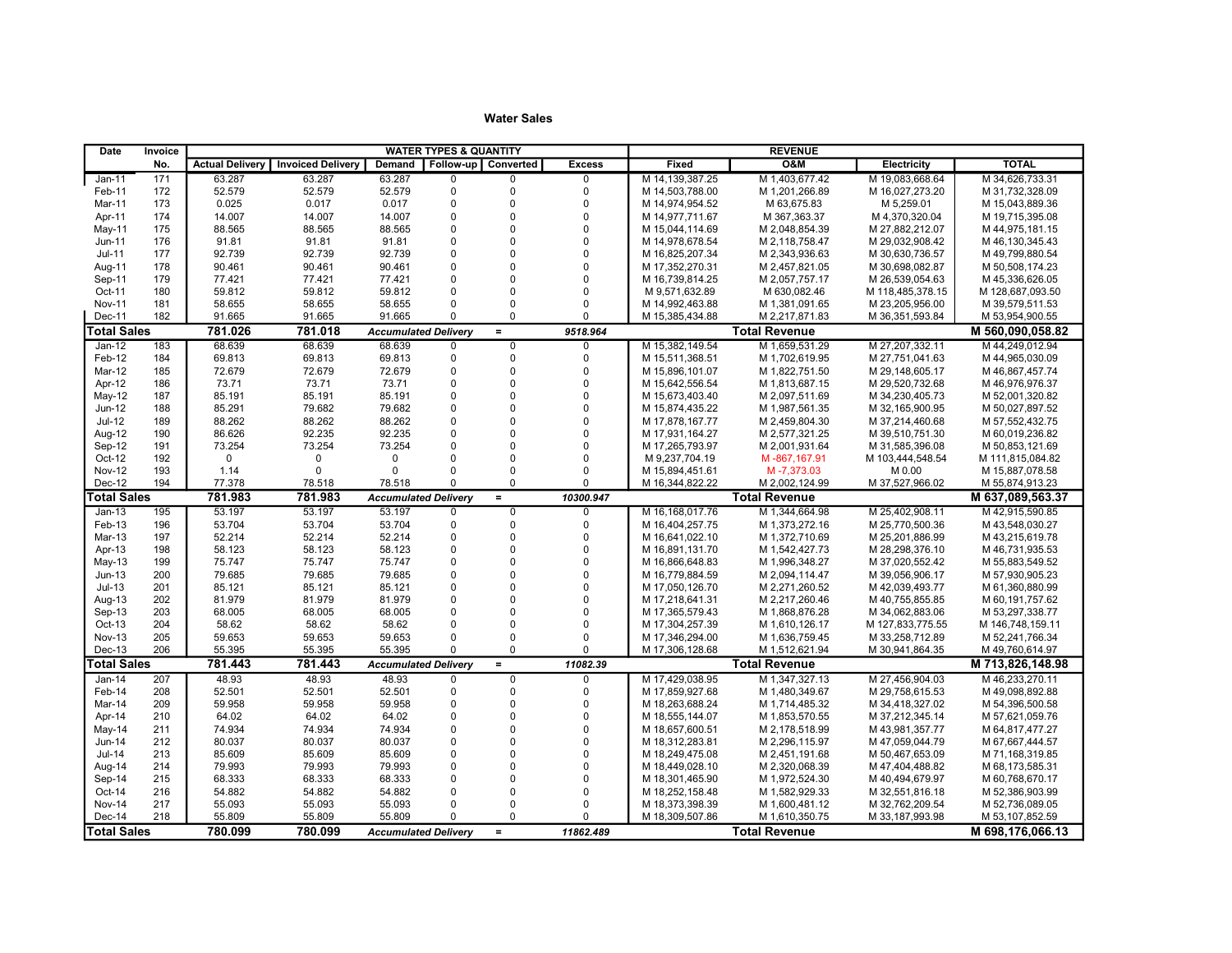| <b>TOTAL</b><br>Follow-up   Converted<br><b>Excess</b><br>Fixed<br><b>O&amp;M</b><br>Electricity<br>No.<br><b>Actual Delivery</b><br><b>Invoiced Delivery</b><br>Demand<br>171<br>63.287<br>63.287<br>M 14, 139, 387.25<br>M 1,403,677.42<br>M 19,083,668.64<br>M 34,626,733.31<br>$Jan-11$<br>63.287<br>$\mathbf 0$<br>$\Omega$<br>$\Omega$<br>$\mathbf 0$<br>$\Omega$<br>$\overline{0}$<br>172<br>52.579<br>52.579<br>52.579<br>Feb-11<br>M 14,503,788.00<br>M 1,201,266.89<br>M 16,027,273.20<br>M 31,732,328.09<br>0.017<br>$\mathbf 0$<br>$\mathbf 0$<br>Mar-11<br>173<br>0.025<br>0.017<br>$\Omega$<br>M 14,974,954.52<br>M 63,675.83<br>M 5,259.01<br>M 15,043,889.36<br>14.007<br>14.007<br>$\mathbf 0$<br>$\Omega$<br>$\Omega$<br>M 19,715,395.08<br>174<br>14.007<br>M 14.977.711.67<br>M 367,363.37<br>M 4,370,320.04<br>Apr-11<br>$\mathbf 0$<br>$\Omega$<br>$\overline{0}$<br>175<br>88.565<br>88.565<br>88.565<br>May-11<br>M 15,044,114.69<br>M 2,048,854.39<br>M 27,882,212.07<br>M 44,975,181.15<br>176<br>91.81<br>91.81<br>91.81<br>$\mathbf 0$<br>$\Omega$<br>$\Omega$<br>M 14,978,678.54<br>M 29,032,908.42<br>Jun-11<br>M 2,118,758.47<br>M 46,130,345.43<br>$\Omega$<br>177<br>92.739<br>92.739<br>92.739<br>$\mathbf 0$<br>$\Omega$<br>M 16,825,207.34<br>M 49,799,880.54<br>$Jul-11$<br>M 2,343,936.63<br>M 30,630,736.57<br>$\Omega$<br>$\mathbf 0$<br>Aug-11<br>178<br>90.461<br>90.461<br>90.461<br>$\mathbf 0$<br>M 17,352,270.31<br>M 2,457,821.05<br>M 30,698,082.87<br>M 50,508,174.23<br>$\mathbf 0$<br>$\Omega$<br>$\mathbf 0$<br>Sep-11<br>179<br>77.421<br>77.421<br>77.421<br>M 16,739,814.25<br>M 2,057,757.17<br>M 45,336,626.05<br>M 26,539,054.63<br>$\mathbf 0$<br>$\mathbf 0$<br>Oct-11<br>180<br>59.812<br>59.812<br>59.812<br>$\Omega$<br>M 9,571,632.89<br>M 630,082.46<br>M 118,485,378.15<br>M 128,687,093.50<br>$\Omega$<br><b>Nov-11</b><br>181<br>58.655<br>58.655<br>58.655<br>$\Omega$<br>$\Omega$<br>M 14,992,463.88<br>M 1,381,091.65<br>M 23,205,956.00<br>M 39,579,511.53<br>Dec-11<br>182<br>91.665<br>91.665<br>91.665<br>$\Omega$<br>$\Omega$<br>$\Omega$<br>M 15,385,434.88<br>M 2,217,871.83<br>M 36,351,593.84<br>M 53,954,900.55<br><b>Total Sales</b><br>781.026<br>781.018<br>9518.964<br><b>Total Revenue</b><br>M 560,090,058.82<br><b>Accumulated Delivery</b><br>$=$<br>68.639<br>183<br>68.639<br>68.639<br>$\overline{0}$<br>M 15,382,149.54<br>M 1,659,531.29<br>M 27,207,332.11<br>M 44,249,012.94<br>Jan-12<br>$\mathbf 0$<br>$\mathbf 0$<br>Feb-12<br>184<br>69.813<br>69.813<br>69.813<br>$\mathbf 0$<br>$\Omega$<br>$\mathbf 0$<br>M 15,511,368.51<br>M 1,702,619.95<br>M 44,965,030.09<br>M 27,751,041.63<br>72.679<br>72.679<br>$\mathbf 0$<br>Mar-12<br>185<br>72.679<br>$\mathbf 0$<br>$\Omega$<br>M 15,896,101.07<br>M 1,822,751.50<br>M 29,148,605.17<br>M 46,867,457.74<br>73.71<br>73.71<br>73.71<br>$\mathbf 0$<br>$\Omega$<br>$\Omega$<br>Apr-12<br>186<br>M 15,642,556.54<br>M 1,813,687.15<br>M 29,520,732.68<br>M 46,976,976.37<br>$\overline{0}$<br>85.191<br>85.191<br>85.191<br>$\mathbf 0$<br>$\Omega$<br>May-12<br>187<br>M 15,673,403.40<br>M 2,097,511.69<br>M 34,230,405.73<br>M 52,001,320.82<br>$\Omega$<br>$Jun-12$<br>188<br>85.291<br>79.682<br>79.682<br>$\mathbf 0$<br>$\Omega$<br>M 1,987,561.35<br>M 50,027,897.52<br>M 15,874,435.22<br>M 32,165,900.95<br>$\Omega$<br><b>Jul-12</b><br>88.262<br>88.262<br>88.262<br>$\mathbf 0$<br>$\Omega$<br>189<br>M 17,878,167.77<br>M 2,459,804.30<br>M 37,214,460.68<br>M 57,552,432.75<br>92.235<br>$\mathbf 0$<br>Aug-12<br>190<br>86.626<br>92.235<br>$\mathbf 0$<br>$\Omega$<br>M 17,931,164.27<br>M 2,577,321.25<br>M 60,019,236.82<br>M 39,510,751.30<br>73.254<br>$\mathbf 0$<br>$\Omega$<br>$\mathbf 0$<br>Sep-12<br>191<br>73.254<br>73.254<br>M 17,265,793.97<br>M 2,001,931.64<br>M 31,585,396.08<br>M 50,853,121.69<br>Oct-12<br>$\Omega$<br>192<br>$\mathbf 0$<br>$\Omega$<br>$\Omega$<br>$\Omega$<br>$\Omega$<br>M 9,237,704.19<br>M-867,167.91<br>M 103,444,548.54<br>M 111,815,084.82<br>$\mathbf 0$<br>$\Omega$<br><b>Nov-12</b><br>193<br>1.14<br>$\Omega$<br>$\Omega$<br>$\Omega$<br>M 15,894,451.61<br>M-7,373.03<br>M 0.00<br>M 15,887,078.58<br>194<br>77.378<br>78.518<br>$\mathbf 0$<br>$\Omega$<br>M 37,527,966.02<br>Dec-12<br>78.518<br>$\Omega$<br>M 16,344,822.22<br>M 2,002,124.99<br>M 55,874,913.23<br>781.983<br><b>Total Sales</b><br>781.983<br>$=$<br>10300.947<br><b>Total Revenue</b><br>M 637,089,563.37<br><b>Accumulated Delivery</b><br>53.197<br>M 16,168,017.76<br>195<br>53.197<br>53.197<br>M 1,344,664.98<br>M 25,402,908.11<br>M 42,915,590.85<br>$Jan-13$<br>$\mathbf 0$<br>$\Omega$<br>$\mathbf 0$<br>Feb-13<br>196<br>53.704<br>53.704<br>53.704<br>$\mathbf 0$<br>$\Omega$<br>$\mathbf 0$<br>M 16.404.257.75<br>M 1.373.272.16<br>M 25.770.500.36<br>M43.548.030.27<br>52.214<br>52.214<br>$\mathbf 0$<br>$\Omega$<br>M 1,372,710.69<br>Mar-13<br>197<br>52.214<br>$\Omega$<br>M 16,641,022.10<br>M 25,201,886.99<br>M 43,215,619.78<br>Apr-13<br>58.123<br>58.123<br>58.123<br>$\mathbf 0$<br>$\Omega$<br>$\Omega$<br>M 1,542,427.73<br>198<br>M 16,891,131.70<br>M 28,298,376.10<br>M 46,731,935.53<br>$\mathbf 0$<br>$\Omega$<br>$\overline{0}$<br>199<br>75.747<br>75.747<br>75.747<br>$May-13$<br>M 16,866,648.83<br>M 1,996,348.27<br>M 37,020,552.42<br>M 55,883,549.52<br>$\Omega$<br>79.685<br>79.685<br>$\mathbf 0$<br>$\Omega$<br>$Jun-13$<br>200<br>79.685<br>M 16,779,884.59<br>M 2,094,114.47<br>M 39,056,906.17<br>M 57,930,905.23<br>$Jul-13$<br>201<br>85.121<br>85.121<br>85.121<br>$\mathbf 0$<br>$\Omega$<br>$\Omega$<br>M 2,271,260.52<br>M 17,050,126.70<br>M 42,039,493.77<br>M 61,360,880.99<br>$\overline{0}$<br>$\mathbf 0$<br>$\Omega$<br>Aug-13<br>202<br>81.979<br>81.979<br>81.979<br>M 17,218,641.31<br>M 2,217,260.46<br>M 40,755,855.85<br>M 60, 191, 757.62<br>$\Omega$<br>Sep-13<br>203<br>68.005<br>68.005<br>68.005<br>$\Omega$<br>$\Omega$<br>M 17.365.579.43<br>M 1.868.876.28<br>M 53.297.338.77<br>M 34,062,883.06<br>$\Omega$<br>Oct-13<br>204<br>58.62<br>58.62<br>58.62<br>$\Omega$<br>$\Omega$<br>M 17,304,257.39<br>M 1,610,126.17<br>M 127,833,775.55<br>M 146,748,159.11<br>$\Omega$<br><b>Nov-13</b><br>205<br>59.653<br>59.653<br>59.653<br>$\mathbf 0$<br>$\Omega$<br>M 17,346,294.00<br>M 1,636,759.45<br>M 33,258,712.89<br>M 52,241,766.34<br>206<br>55.395<br>55.395<br>55.395<br>$\Omega$<br>$\Omega$<br>$Dec-13$<br>$\mathbf 0$<br>M 17,306,128.68<br>M 1,512,621.94<br>M 30,941,864.35<br>M 49,760,614.97<br><b>Total Sales</b><br>781.443<br>781.443<br>$=$<br>11082.39<br><b>Total Revenue</b><br>M 713,826,148.98<br><b>Accumulated Delivery</b><br>48.93<br>48.93<br>207<br>48.93<br>M 17,429,038.95<br>M 1,347,327.13<br>M 27,456,904.03<br>M 46,233,270.11<br>$Jan-14$<br>$\mathbf 0$<br>0<br>$\Omega$<br>208<br>52.501<br>52.501<br>52.501<br>$\mathbf 0$<br>$\Omega$<br>$\Omega$<br>Feb-14<br>M 17.859.927.68<br>M 1.480.349.67<br>M 49.098.892.88<br>M 29.758.615.53<br>$\mathbf 0$<br>$\mathbf 0$<br>209<br>59.958<br>59.958<br>59.958<br>$\Omega$<br>M 18,263,688.24<br>M 1,714,485.32<br>M 54,396,500.58<br>Mar-14<br>M 34,418,327.02<br>$\Omega$<br>210<br>64.02<br>64.02<br>64.02<br>$\mathbf 0$<br>$\Omega$<br>M 18,555,144.07<br>M 1,853,570.55<br>M 57,621,059.76<br>Apr-14<br>M 37,212,345.14<br>$\overline{0}$<br>211<br>74.934<br>74.934<br>$\mathbf 0$<br>$\Omega$<br>May-14<br>74.934<br>M 18,657,600.51<br>M 2,178,518.99<br>M 43,981,357.77<br>M 64,817,477.27<br>$\Omega$<br>80.037<br>$\mathbf 0$<br>Jun-14<br>212<br>80.037<br>80.037<br>$\Omega$<br>M 18,312,283.81<br>M 2,296,115.97<br>M 47,059,044.79<br>M 67,667,444.57<br>85.609<br>85.609<br>$\mathbf 0$<br>$\Omega$<br>$\mathbf 0$<br>$Jul-14$<br>213<br>85.609<br>M 18,249,475.08<br>M 2,451,191.68<br>M 71,168,319.85<br>M 50,467,653.09<br>$\Omega$<br>214<br>79.993<br>79.993<br>79.993<br>$\Omega$<br>$\Omega$<br>Aug-14<br>M 18,449,028.10<br>M 2,320,068.39<br>M 47,404,488.82<br>M 68, 173, 585.31<br>$\Omega$<br>215<br>68.333<br>68.333<br>68.333<br>$\mathbf 0$<br>$\Omega$<br>M 1,972,524.30<br>M 60,768,670.17<br>Sep-14<br>M 18,301,465.90<br>M 40,494,679.97<br>$\Omega$<br>Oct-14<br>216<br>54.882<br>54.882<br>54.882<br>$\mathbf 0$<br>$\Omega$<br>M 18,252,158.48<br>M 1,582,929.33<br>M 32,551,816.18<br>M 52,386,903.99<br>217<br>55.093<br>55.093<br>$\mathbf 0$<br>$\Omega$<br><b>Nov-14</b><br>55.093<br>$\Omega$<br>M 18,373,398.39<br>M 1,600,481.12<br>M 32,762,209.54<br>M 52,736,089.05<br>218<br>55.809<br>$\Omega$<br>$\Omega$<br>Dec-14<br>55.809<br>55.809<br>$\mathbf 0$<br>M 18,309,507.86<br>M 1,610,350.75<br>M 53, 107, 852.59<br>M 33,187,993.98<br><b>Total Sales</b><br><b>Accumulated Delivery</b> | Date | Invoice |         | <b>WATER TYPES &amp; QUANTITY</b><br><b>REVENUE</b> |  |  |          |           |  |                      |  |                  |
|----------------------------------------------------------------------------------------------------------------------------------------------------------------------------------------------------------------------------------------------------------------------------------------------------------------------------------------------------------------------------------------------------------------------------------------------------------------------------------------------------------------------------------------------------------------------------------------------------------------------------------------------------------------------------------------------------------------------------------------------------------------------------------------------------------------------------------------------------------------------------------------------------------------------------------------------------------------------------------------------------------------------------------------------------------------------------------------------------------------------------------------------------------------------------------------------------------------------------------------------------------------------------------------------------------------------------------------------------------------------------------------------------------------------------------------------------------------------------------------------------------------------------------------------------------------------------------------------------------------------------------------------------------------------------------------------------------------------------------------------------------------------------------------------------------------------------------------------------------------------------------------------------------------------------------------------------------------------------------------------------------------------------------------------------------------------------------------------------------------------------------------------------------------------------------------------------------------------------------------------------------------------------------------------------------------------------------------------------------------------------------------------------------------------------------------------------------------------------------------------------------------------------------------------------------------------------------------------------------------------------------------------------------------------------------------------------------------------------------------------------------------------------------------------------------------------------------------------------------------------------------------------------------------------------------------------------------------------------------------------------------------------------------------------------------------------------------------------------------------------------------------------------------------------------------------------------------------------------------------------------------------------------------------------------------------------------------------------------------------------------------------------------------------------------------------------------------------------------------------------------------------------------------------------------------------------------------------------------------------------------------------------------------------------------------------------------------------------------------------------------------------------------------------------------------------------------------------------------------------------------------------------------------------------------------------------------------------------------------------------------------------------------------------------------------------------------------------------------------------------------------------------------------------------------------------------------------------------------------------------------------------------------------------------------------------------------------------------------------------------------------------------------------------------------------------------------------------------------------------------------------------------------------------------------------------------------------------------------------------------------------------------------------------------------------------------------------------------------------------------------------------------------------------------------------------------------------------------------------------------------------------------------------------------------------------------------------------------------------------------------------------------------------------------------------------------------------------------------------------------------------------------------------------------------------------------------------------------------------------------------------------------------------------------------------------------------------------------------------------------------------------------------------------------------------------------------------------------------------------------------------------------------------------------------------------------------------------------------------------------------------------------------------------------------------------------------------------------------------------------------------------------------------------------------------------------------------------------------------------------------------------------------------------------------------------------------------------------------------------------------------------------------------------------------------------------------------------------------------------------------------------------------------------------------------------------------------------------------------------------------------------------------------------------------------------------------------------------------------------------------------------------------------------------------------------------------------------------------------------------------------------------------------------------------------------------------------------------------------------------------------------------------------------------------------------------------------------------------------------------------------------------------------------------------------------------------------------------------------------------------------------------------------------------------------------------------------------------------------------------------------------------------------------------------------------------------------------------------------------------------------------------------------------------------------------------------------------------------------------------------------------------------------------------------------------------------------------------------------------------------------------------------------------------------------------------------------------------------------------------------------------------------------------------------------------------------------------------------------------------------------------------------------------------------------------------------------------------------------------------------------------------------------------------------------------------------------------------------------------------------------------------------------------------------------------------------------------------------------------------------------------------------------------------------------------------------------------------------------------------------------------------------------------------------------------------------------------------------------------------------------------------------------------------------------------------------------------------------------------------------------------------------------------------------------------------------------------------------------------------------------------------------------------------------------------------------------------------------------------------------------------------------------------------------------------------------------------------------------------------------------------------------------------------------|------|---------|---------|-----------------------------------------------------|--|--|----------|-----------|--|----------------------|--|------------------|
|                                                                                                                                                                                                                                                                                                                                                                                                                                                                                                                                                                                                                                                                                                                                                                                                                                                                                                                                                                                                                                                                                                                                                                                                                                                                                                                                                                                                                                                                                                                                                                                                                                                                                                                                                                                                                                                                                                                                                                                                                                                                                                                                                                                                                                                                                                                                                                                                                                                                                                                                                                                                                                                                                                                                                                                                                                                                                                                                                                                                                                                                                                                                                                                                                                                                                                                                                                                                                                                                                                                                                                                                                                                                                                                                                                                                                                                                                                                                                                                                                                                                                                                                                                                                                                                                                                                                                                                                                                                                                                                                                                                                                                                                                                                                                                                                                                                                                                                                                                                                                                                                                                                                                                                                                                                                                                                                                                                                                                                                                                                                                                                                                                                                                                                                                                                                                                                                                                                                                                                                                                                                                                                                                                                                                                                                                                                                                                                                                                                                                                                                                                                                                                                                                                                                                                                                                                                                                                                                                                                                                                                                                                                                                                                                                                                                                                                                                                                                                                                                                                                                                                                                                                                                                                                                                                                                                                                                                                                                                                                                                                                                                                                                                                                                                                                                                                                                                                                                                                                                                                                                                                                                                                                                                                                                                                                                    |      |         |         |                                                     |  |  |          |           |  |                      |  |                  |
|                                                                                                                                                                                                                                                                                                                                                                                                                                                                                                                                                                                                                                                                                                                                                                                                                                                                                                                                                                                                                                                                                                                                                                                                                                                                                                                                                                                                                                                                                                                                                                                                                                                                                                                                                                                                                                                                                                                                                                                                                                                                                                                                                                                                                                                                                                                                                                                                                                                                                                                                                                                                                                                                                                                                                                                                                                                                                                                                                                                                                                                                                                                                                                                                                                                                                                                                                                                                                                                                                                                                                                                                                                                                                                                                                                                                                                                                                                                                                                                                                                                                                                                                                                                                                                                                                                                                                                                                                                                                                                                                                                                                                                                                                                                                                                                                                                                                                                                                                                                                                                                                                                                                                                                                                                                                                                                                                                                                                                                                                                                                                                                                                                                                                                                                                                                                                                                                                                                                                                                                                                                                                                                                                                                                                                                                                                                                                                                                                                                                                                                                                                                                                                                                                                                                                                                                                                                                                                                                                                                                                                                                                                                                                                                                                                                                                                                                                                                                                                                                                                                                                                                                                                                                                                                                                                                                                                                                                                                                                                                                                                                                                                                                                                                                                                                                                                                                                                                                                                                                                                                                                                                                                                                                                                                                                                                                    |      |         |         |                                                     |  |  |          |           |  |                      |  |                  |
|                                                                                                                                                                                                                                                                                                                                                                                                                                                                                                                                                                                                                                                                                                                                                                                                                                                                                                                                                                                                                                                                                                                                                                                                                                                                                                                                                                                                                                                                                                                                                                                                                                                                                                                                                                                                                                                                                                                                                                                                                                                                                                                                                                                                                                                                                                                                                                                                                                                                                                                                                                                                                                                                                                                                                                                                                                                                                                                                                                                                                                                                                                                                                                                                                                                                                                                                                                                                                                                                                                                                                                                                                                                                                                                                                                                                                                                                                                                                                                                                                                                                                                                                                                                                                                                                                                                                                                                                                                                                                                                                                                                                                                                                                                                                                                                                                                                                                                                                                                                                                                                                                                                                                                                                                                                                                                                                                                                                                                                                                                                                                                                                                                                                                                                                                                                                                                                                                                                                                                                                                                                                                                                                                                                                                                                                                                                                                                                                                                                                                                                                                                                                                                                                                                                                                                                                                                                                                                                                                                                                                                                                                                                                                                                                                                                                                                                                                                                                                                                                                                                                                                                                                                                                                                                                                                                                                                                                                                                                                                                                                                                                                                                                                                                                                                                                                                                                                                                                                                                                                                                                                                                                                                                                                                                                                                                                    |      |         |         |                                                     |  |  |          |           |  |                      |  |                  |
|                                                                                                                                                                                                                                                                                                                                                                                                                                                                                                                                                                                                                                                                                                                                                                                                                                                                                                                                                                                                                                                                                                                                                                                                                                                                                                                                                                                                                                                                                                                                                                                                                                                                                                                                                                                                                                                                                                                                                                                                                                                                                                                                                                                                                                                                                                                                                                                                                                                                                                                                                                                                                                                                                                                                                                                                                                                                                                                                                                                                                                                                                                                                                                                                                                                                                                                                                                                                                                                                                                                                                                                                                                                                                                                                                                                                                                                                                                                                                                                                                                                                                                                                                                                                                                                                                                                                                                                                                                                                                                                                                                                                                                                                                                                                                                                                                                                                                                                                                                                                                                                                                                                                                                                                                                                                                                                                                                                                                                                                                                                                                                                                                                                                                                                                                                                                                                                                                                                                                                                                                                                                                                                                                                                                                                                                                                                                                                                                                                                                                                                                                                                                                                                                                                                                                                                                                                                                                                                                                                                                                                                                                                                                                                                                                                                                                                                                                                                                                                                                                                                                                                                                                                                                                                                                                                                                                                                                                                                                                                                                                                                                                                                                                                                                                                                                                                                                                                                                                                                                                                                                                                                                                                                                                                                                                                                                    |      |         |         |                                                     |  |  |          |           |  |                      |  |                  |
|                                                                                                                                                                                                                                                                                                                                                                                                                                                                                                                                                                                                                                                                                                                                                                                                                                                                                                                                                                                                                                                                                                                                                                                                                                                                                                                                                                                                                                                                                                                                                                                                                                                                                                                                                                                                                                                                                                                                                                                                                                                                                                                                                                                                                                                                                                                                                                                                                                                                                                                                                                                                                                                                                                                                                                                                                                                                                                                                                                                                                                                                                                                                                                                                                                                                                                                                                                                                                                                                                                                                                                                                                                                                                                                                                                                                                                                                                                                                                                                                                                                                                                                                                                                                                                                                                                                                                                                                                                                                                                                                                                                                                                                                                                                                                                                                                                                                                                                                                                                                                                                                                                                                                                                                                                                                                                                                                                                                                                                                                                                                                                                                                                                                                                                                                                                                                                                                                                                                                                                                                                                                                                                                                                                                                                                                                                                                                                                                                                                                                                                                                                                                                                                                                                                                                                                                                                                                                                                                                                                                                                                                                                                                                                                                                                                                                                                                                                                                                                                                                                                                                                                                                                                                                                                                                                                                                                                                                                                                                                                                                                                                                                                                                                                                                                                                                                                                                                                                                                                                                                                                                                                                                                                                                                                                                                                                    |      |         |         |                                                     |  |  |          |           |  |                      |  |                  |
|                                                                                                                                                                                                                                                                                                                                                                                                                                                                                                                                                                                                                                                                                                                                                                                                                                                                                                                                                                                                                                                                                                                                                                                                                                                                                                                                                                                                                                                                                                                                                                                                                                                                                                                                                                                                                                                                                                                                                                                                                                                                                                                                                                                                                                                                                                                                                                                                                                                                                                                                                                                                                                                                                                                                                                                                                                                                                                                                                                                                                                                                                                                                                                                                                                                                                                                                                                                                                                                                                                                                                                                                                                                                                                                                                                                                                                                                                                                                                                                                                                                                                                                                                                                                                                                                                                                                                                                                                                                                                                                                                                                                                                                                                                                                                                                                                                                                                                                                                                                                                                                                                                                                                                                                                                                                                                                                                                                                                                                                                                                                                                                                                                                                                                                                                                                                                                                                                                                                                                                                                                                                                                                                                                                                                                                                                                                                                                                                                                                                                                                                                                                                                                                                                                                                                                                                                                                                                                                                                                                                                                                                                                                                                                                                                                                                                                                                                                                                                                                                                                                                                                                                                                                                                                                                                                                                                                                                                                                                                                                                                                                                                                                                                                                                                                                                                                                                                                                                                                                                                                                                                                                                                                                                                                                                                                                                    |      |         |         |                                                     |  |  |          |           |  |                      |  |                  |
|                                                                                                                                                                                                                                                                                                                                                                                                                                                                                                                                                                                                                                                                                                                                                                                                                                                                                                                                                                                                                                                                                                                                                                                                                                                                                                                                                                                                                                                                                                                                                                                                                                                                                                                                                                                                                                                                                                                                                                                                                                                                                                                                                                                                                                                                                                                                                                                                                                                                                                                                                                                                                                                                                                                                                                                                                                                                                                                                                                                                                                                                                                                                                                                                                                                                                                                                                                                                                                                                                                                                                                                                                                                                                                                                                                                                                                                                                                                                                                                                                                                                                                                                                                                                                                                                                                                                                                                                                                                                                                                                                                                                                                                                                                                                                                                                                                                                                                                                                                                                                                                                                                                                                                                                                                                                                                                                                                                                                                                                                                                                                                                                                                                                                                                                                                                                                                                                                                                                                                                                                                                                                                                                                                                                                                                                                                                                                                                                                                                                                                                                                                                                                                                                                                                                                                                                                                                                                                                                                                                                                                                                                                                                                                                                                                                                                                                                                                                                                                                                                                                                                                                                                                                                                                                                                                                                                                                                                                                                                                                                                                                                                                                                                                                                                                                                                                                                                                                                                                                                                                                                                                                                                                                                                                                                                                                                    |      |         |         |                                                     |  |  |          |           |  |                      |  |                  |
|                                                                                                                                                                                                                                                                                                                                                                                                                                                                                                                                                                                                                                                                                                                                                                                                                                                                                                                                                                                                                                                                                                                                                                                                                                                                                                                                                                                                                                                                                                                                                                                                                                                                                                                                                                                                                                                                                                                                                                                                                                                                                                                                                                                                                                                                                                                                                                                                                                                                                                                                                                                                                                                                                                                                                                                                                                                                                                                                                                                                                                                                                                                                                                                                                                                                                                                                                                                                                                                                                                                                                                                                                                                                                                                                                                                                                                                                                                                                                                                                                                                                                                                                                                                                                                                                                                                                                                                                                                                                                                                                                                                                                                                                                                                                                                                                                                                                                                                                                                                                                                                                                                                                                                                                                                                                                                                                                                                                                                                                                                                                                                                                                                                                                                                                                                                                                                                                                                                                                                                                                                                                                                                                                                                                                                                                                                                                                                                                                                                                                                                                                                                                                                                                                                                                                                                                                                                                                                                                                                                                                                                                                                                                                                                                                                                                                                                                                                                                                                                                                                                                                                                                                                                                                                                                                                                                                                                                                                                                                                                                                                                                                                                                                                                                                                                                                                                                                                                                                                                                                                                                                                                                                                                                                                                                                                                                    |      |         |         |                                                     |  |  |          |           |  |                      |  |                  |
|                                                                                                                                                                                                                                                                                                                                                                                                                                                                                                                                                                                                                                                                                                                                                                                                                                                                                                                                                                                                                                                                                                                                                                                                                                                                                                                                                                                                                                                                                                                                                                                                                                                                                                                                                                                                                                                                                                                                                                                                                                                                                                                                                                                                                                                                                                                                                                                                                                                                                                                                                                                                                                                                                                                                                                                                                                                                                                                                                                                                                                                                                                                                                                                                                                                                                                                                                                                                                                                                                                                                                                                                                                                                                                                                                                                                                                                                                                                                                                                                                                                                                                                                                                                                                                                                                                                                                                                                                                                                                                                                                                                                                                                                                                                                                                                                                                                                                                                                                                                                                                                                                                                                                                                                                                                                                                                                                                                                                                                                                                                                                                                                                                                                                                                                                                                                                                                                                                                                                                                                                                                                                                                                                                                                                                                                                                                                                                                                                                                                                                                                                                                                                                                                                                                                                                                                                                                                                                                                                                                                                                                                                                                                                                                                                                                                                                                                                                                                                                                                                                                                                                                                                                                                                                                                                                                                                                                                                                                                                                                                                                                                                                                                                                                                                                                                                                                                                                                                                                                                                                                                                                                                                                                                                                                                                                                                    |      |         |         |                                                     |  |  |          |           |  |                      |  |                  |
|                                                                                                                                                                                                                                                                                                                                                                                                                                                                                                                                                                                                                                                                                                                                                                                                                                                                                                                                                                                                                                                                                                                                                                                                                                                                                                                                                                                                                                                                                                                                                                                                                                                                                                                                                                                                                                                                                                                                                                                                                                                                                                                                                                                                                                                                                                                                                                                                                                                                                                                                                                                                                                                                                                                                                                                                                                                                                                                                                                                                                                                                                                                                                                                                                                                                                                                                                                                                                                                                                                                                                                                                                                                                                                                                                                                                                                                                                                                                                                                                                                                                                                                                                                                                                                                                                                                                                                                                                                                                                                                                                                                                                                                                                                                                                                                                                                                                                                                                                                                                                                                                                                                                                                                                                                                                                                                                                                                                                                                                                                                                                                                                                                                                                                                                                                                                                                                                                                                                                                                                                                                                                                                                                                                                                                                                                                                                                                                                                                                                                                                                                                                                                                                                                                                                                                                                                                                                                                                                                                                                                                                                                                                                                                                                                                                                                                                                                                                                                                                                                                                                                                                                                                                                                                                                                                                                                                                                                                                                                                                                                                                                                                                                                                                                                                                                                                                                                                                                                                                                                                                                                                                                                                                                                                                                                                                                    |      |         |         |                                                     |  |  |          |           |  |                      |  |                  |
|                                                                                                                                                                                                                                                                                                                                                                                                                                                                                                                                                                                                                                                                                                                                                                                                                                                                                                                                                                                                                                                                                                                                                                                                                                                                                                                                                                                                                                                                                                                                                                                                                                                                                                                                                                                                                                                                                                                                                                                                                                                                                                                                                                                                                                                                                                                                                                                                                                                                                                                                                                                                                                                                                                                                                                                                                                                                                                                                                                                                                                                                                                                                                                                                                                                                                                                                                                                                                                                                                                                                                                                                                                                                                                                                                                                                                                                                                                                                                                                                                                                                                                                                                                                                                                                                                                                                                                                                                                                                                                                                                                                                                                                                                                                                                                                                                                                                                                                                                                                                                                                                                                                                                                                                                                                                                                                                                                                                                                                                                                                                                                                                                                                                                                                                                                                                                                                                                                                                                                                                                                                                                                                                                                                                                                                                                                                                                                                                                                                                                                                                                                                                                                                                                                                                                                                                                                                                                                                                                                                                                                                                                                                                                                                                                                                                                                                                                                                                                                                                                                                                                                                                                                                                                                                                                                                                                                                                                                                                                                                                                                                                                                                                                                                                                                                                                                                                                                                                                                                                                                                                                                                                                                                                                                                                                                                                    |      |         |         |                                                     |  |  |          |           |  |                      |  |                  |
|                                                                                                                                                                                                                                                                                                                                                                                                                                                                                                                                                                                                                                                                                                                                                                                                                                                                                                                                                                                                                                                                                                                                                                                                                                                                                                                                                                                                                                                                                                                                                                                                                                                                                                                                                                                                                                                                                                                                                                                                                                                                                                                                                                                                                                                                                                                                                                                                                                                                                                                                                                                                                                                                                                                                                                                                                                                                                                                                                                                                                                                                                                                                                                                                                                                                                                                                                                                                                                                                                                                                                                                                                                                                                                                                                                                                                                                                                                                                                                                                                                                                                                                                                                                                                                                                                                                                                                                                                                                                                                                                                                                                                                                                                                                                                                                                                                                                                                                                                                                                                                                                                                                                                                                                                                                                                                                                                                                                                                                                                                                                                                                                                                                                                                                                                                                                                                                                                                                                                                                                                                                                                                                                                                                                                                                                                                                                                                                                                                                                                                                                                                                                                                                                                                                                                                                                                                                                                                                                                                                                                                                                                                                                                                                                                                                                                                                                                                                                                                                                                                                                                                                                                                                                                                                                                                                                                                                                                                                                                                                                                                                                                                                                                                                                                                                                                                                                                                                                                                                                                                                                                                                                                                                                                                                                                                                                    |      |         |         |                                                     |  |  |          |           |  |                      |  |                  |
|                                                                                                                                                                                                                                                                                                                                                                                                                                                                                                                                                                                                                                                                                                                                                                                                                                                                                                                                                                                                                                                                                                                                                                                                                                                                                                                                                                                                                                                                                                                                                                                                                                                                                                                                                                                                                                                                                                                                                                                                                                                                                                                                                                                                                                                                                                                                                                                                                                                                                                                                                                                                                                                                                                                                                                                                                                                                                                                                                                                                                                                                                                                                                                                                                                                                                                                                                                                                                                                                                                                                                                                                                                                                                                                                                                                                                                                                                                                                                                                                                                                                                                                                                                                                                                                                                                                                                                                                                                                                                                                                                                                                                                                                                                                                                                                                                                                                                                                                                                                                                                                                                                                                                                                                                                                                                                                                                                                                                                                                                                                                                                                                                                                                                                                                                                                                                                                                                                                                                                                                                                                                                                                                                                                                                                                                                                                                                                                                                                                                                                                                                                                                                                                                                                                                                                                                                                                                                                                                                                                                                                                                                                                                                                                                                                                                                                                                                                                                                                                                                                                                                                                                                                                                                                                                                                                                                                                                                                                                                                                                                                                                                                                                                                                                                                                                                                                                                                                                                                                                                                                                                                                                                                                                                                                                                                                                    |      |         |         |                                                     |  |  |          |           |  |                      |  |                  |
|                                                                                                                                                                                                                                                                                                                                                                                                                                                                                                                                                                                                                                                                                                                                                                                                                                                                                                                                                                                                                                                                                                                                                                                                                                                                                                                                                                                                                                                                                                                                                                                                                                                                                                                                                                                                                                                                                                                                                                                                                                                                                                                                                                                                                                                                                                                                                                                                                                                                                                                                                                                                                                                                                                                                                                                                                                                                                                                                                                                                                                                                                                                                                                                                                                                                                                                                                                                                                                                                                                                                                                                                                                                                                                                                                                                                                                                                                                                                                                                                                                                                                                                                                                                                                                                                                                                                                                                                                                                                                                                                                                                                                                                                                                                                                                                                                                                                                                                                                                                                                                                                                                                                                                                                                                                                                                                                                                                                                                                                                                                                                                                                                                                                                                                                                                                                                                                                                                                                                                                                                                                                                                                                                                                                                                                                                                                                                                                                                                                                                                                                                                                                                                                                                                                                                                                                                                                                                                                                                                                                                                                                                                                                                                                                                                                                                                                                                                                                                                                                                                                                                                                                                                                                                                                                                                                                                                                                                                                                                                                                                                                                                                                                                                                                                                                                                                                                                                                                                                                                                                                                                                                                                                                                                                                                                                                                    |      |         |         |                                                     |  |  |          |           |  |                      |  |                  |
|                                                                                                                                                                                                                                                                                                                                                                                                                                                                                                                                                                                                                                                                                                                                                                                                                                                                                                                                                                                                                                                                                                                                                                                                                                                                                                                                                                                                                                                                                                                                                                                                                                                                                                                                                                                                                                                                                                                                                                                                                                                                                                                                                                                                                                                                                                                                                                                                                                                                                                                                                                                                                                                                                                                                                                                                                                                                                                                                                                                                                                                                                                                                                                                                                                                                                                                                                                                                                                                                                                                                                                                                                                                                                                                                                                                                                                                                                                                                                                                                                                                                                                                                                                                                                                                                                                                                                                                                                                                                                                                                                                                                                                                                                                                                                                                                                                                                                                                                                                                                                                                                                                                                                                                                                                                                                                                                                                                                                                                                                                                                                                                                                                                                                                                                                                                                                                                                                                                                                                                                                                                                                                                                                                                                                                                                                                                                                                                                                                                                                                                                                                                                                                                                                                                                                                                                                                                                                                                                                                                                                                                                                                                                                                                                                                                                                                                                                                                                                                                                                                                                                                                                                                                                                                                                                                                                                                                                                                                                                                                                                                                                                                                                                                                                                                                                                                                                                                                                                                                                                                                                                                                                                                                                                                                                                                                                    |      |         |         |                                                     |  |  |          |           |  |                      |  |                  |
|                                                                                                                                                                                                                                                                                                                                                                                                                                                                                                                                                                                                                                                                                                                                                                                                                                                                                                                                                                                                                                                                                                                                                                                                                                                                                                                                                                                                                                                                                                                                                                                                                                                                                                                                                                                                                                                                                                                                                                                                                                                                                                                                                                                                                                                                                                                                                                                                                                                                                                                                                                                                                                                                                                                                                                                                                                                                                                                                                                                                                                                                                                                                                                                                                                                                                                                                                                                                                                                                                                                                                                                                                                                                                                                                                                                                                                                                                                                                                                                                                                                                                                                                                                                                                                                                                                                                                                                                                                                                                                                                                                                                                                                                                                                                                                                                                                                                                                                                                                                                                                                                                                                                                                                                                                                                                                                                                                                                                                                                                                                                                                                                                                                                                                                                                                                                                                                                                                                                                                                                                                                                                                                                                                                                                                                                                                                                                                                                                                                                                                                                                                                                                                                                                                                                                                                                                                                                                                                                                                                                                                                                                                                                                                                                                                                                                                                                                                                                                                                                                                                                                                                                                                                                                                                                                                                                                                                                                                                                                                                                                                                                                                                                                                                                                                                                                                                                                                                                                                                                                                                                                                                                                                                                                                                                                                                                    |      |         |         |                                                     |  |  |          |           |  |                      |  |                  |
|                                                                                                                                                                                                                                                                                                                                                                                                                                                                                                                                                                                                                                                                                                                                                                                                                                                                                                                                                                                                                                                                                                                                                                                                                                                                                                                                                                                                                                                                                                                                                                                                                                                                                                                                                                                                                                                                                                                                                                                                                                                                                                                                                                                                                                                                                                                                                                                                                                                                                                                                                                                                                                                                                                                                                                                                                                                                                                                                                                                                                                                                                                                                                                                                                                                                                                                                                                                                                                                                                                                                                                                                                                                                                                                                                                                                                                                                                                                                                                                                                                                                                                                                                                                                                                                                                                                                                                                                                                                                                                                                                                                                                                                                                                                                                                                                                                                                                                                                                                                                                                                                                                                                                                                                                                                                                                                                                                                                                                                                                                                                                                                                                                                                                                                                                                                                                                                                                                                                                                                                                                                                                                                                                                                                                                                                                                                                                                                                                                                                                                                                                                                                                                                                                                                                                                                                                                                                                                                                                                                                                                                                                                                                                                                                                                                                                                                                                                                                                                                                                                                                                                                                                                                                                                                                                                                                                                                                                                                                                                                                                                                                                                                                                                                                                                                                                                                                                                                                                                                                                                                                                                                                                                                                                                                                                                                                    |      |         |         |                                                     |  |  |          |           |  |                      |  |                  |
|                                                                                                                                                                                                                                                                                                                                                                                                                                                                                                                                                                                                                                                                                                                                                                                                                                                                                                                                                                                                                                                                                                                                                                                                                                                                                                                                                                                                                                                                                                                                                                                                                                                                                                                                                                                                                                                                                                                                                                                                                                                                                                                                                                                                                                                                                                                                                                                                                                                                                                                                                                                                                                                                                                                                                                                                                                                                                                                                                                                                                                                                                                                                                                                                                                                                                                                                                                                                                                                                                                                                                                                                                                                                                                                                                                                                                                                                                                                                                                                                                                                                                                                                                                                                                                                                                                                                                                                                                                                                                                                                                                                                                                                                                                                                                                                                                                                                                                                                                                                                                                                                                                                                                                                                                                                                                                                                                                                                                                                                                                                                                                                                                                                                                                                                                                                                                                                                                                                                                                                                                                                                                                                                                                                                                                                                                                                                                                                                                                                                                                                                                                                                                                                                                                                                                                                                                                                                                                                                                                                                                                                                                                                                                                                                                                                                                                                                                                                                                                                                                                                                                                                                                                                                                                                                                                                                                                                                                                                                                                                                                                                                                                                                                                                                                                                                                                                                                                                                                                                                                                                                                                                                                                                                                                                                                                                                    |      |         |         |                                                     |  |  |          |           |  |                      |  |                  |
|                                                                                                                                                                                                                                                                                                                                                                                                                                                                                                                                                                                                                                                                                                                                                                                                                                                                                                                                                                                                                                                                                                                                                                                                                                                                                                                                                                                                                                                                                                                                                                                                                                                                                                                                                                                                                                                                                                                                                                                                                                                                                                                                                                                                                                                                                                                                                                                                                                                                                                                                                                                                                                                                                                                                                                                                                                                                                                                                                                                                                                                                                                                                                                                                                                                                                                                                                                                                                                                                                                                                                                                                                                                                                                                                                                                                                                                                                                                                                                                                                                                                                                                                                                                                                                                                                                                                                                                                                                                                                                                                                                                                                                                                                                                                                                                                                                                                                                                                                                                                                                                                                                                                                                                                                                                                                                                                                                                                                                                                                                                                                                                                                                                                                                                                                                                                                                                                                                                                                                                                                                                                                                                                                                                                                                                                                                                                                                                                                                                                                                                                                                                                                                                                                                                                                                                                                                                                                                                                                                                                                                                                                                                                                                                                                                                                                                                                                                                                                                                                                                                                                                                                                                                                                                                                                                                                                                                                                                                                                                                                                                                                                                                                                                                                                                                                                                                                                                                                                                                                                                                                                                                                                                                                                                                                                                                                    |      |         |         |                                                     |  |  |          |           |  |                      |  |                  |
|                                                                                                                                                                                                                                                                                                                                                                                                                                                                                                                                                                                                                                                                                                                                                                                                                                                                                                                                                                                                                                                                                                                                                                                                                                                                                                                                                                                                                                                                                                                                                                                                                                                                                                                                                                                                                                                                                                                                                                                                                                                                                                                                                                                                                                                                                                                                                                                                                                                                                                                                                                                                                                                                                                                                                                                                                                                                                                                                                                                                                                                                                                                                                                                                                                                                                                                                                                                                                                                                                                                                                                                                                                                                                                                                                                                                                                                                                                                                                                                                                                                                                                                                                                                                                                                                                                                                                                                                                                                                                                                                                                                                                                                                                                                                                                                                                                                                                                                                                                                                                                                                                                                                                                                                                                                                                                                                                                                                                                                                                                                                                                                                                                                                                                                                                                                                                                                                                                                                                                                                                                                                                                                                                                                                                                                                                                                                                                                                                                                                                                                                                                                                                                                                                                                                                                                                                                                                                                                                                                                                                                                                                                                                                                                                                                                                                                                                                                                                                                                                                                                                                                                                                                                                                                                                                                                                                                                                                                                                                                                                                                                                                                                                                                                                                                                                                                                                                                                                                                                                                                                                                                                                                                                                                                                                                                                                    |      |         |         |                                                     |  |  |          |           |  |                      |  |                  |
|                                                                                                                                                                                                                                                                                                                                                                                                                                                                                                                                                                                                                                                                                                                                                                                                                                                                                                                                                                                                                                                                                                                                                                                                                                                                                                                                                                                                                                                                                                                                                                                                                                                                                                                                                                                                                                                                                                                                                                                                                                                                                                                                                                                                                                                                                                                                                                                                                                                                                                                                                                                                                                                                                                                                                                                                                                                                                                                                                                                                                                                                                                                                                                                                                                                                                                                                                                                                                                                                                                                                                                                                                                                                                                                                                                                                                                                                                                                                                                                                                                                                                                                                                                                                                                                                                                                                                                                                                                                                                                                                                                                                                                                                                                                                                                                                                                                                                                                                                                                                                                                                                                                                                                                                                                                                                                                                                                                                                                                                                                                                                                                                                                                                                                                                                                                                                                                                                                                                                                                                                                                                                                                                                                                                                                                                                                                                                                                                                                                                                                                                                                                                                                                                                                                                                                                                                                                                                                                                                                                                                                                                                                                                                                                                                                                                                                                                                                                                                                                                                                                                                                                                                                                                                                                                                                                                                                                                                                                                                                                                                                                                                                                                                                                                                                                                                                                                                                                                                                                                                                                                                                                                                                                                                                                                                                                                    |      |         |         |                                                     |  |  |          |           |  |                      |  |                  |
|                                                                                                                                                                                                                                                                                                                                                                                                                                                                                                                                                                                                                                                                                                                                                                                                                                                                                                                                                                                                                                                                                                                                                                                                                                                                                                                                                                                                                                                                                                                                                                                                                                                                                                                                                                                                                                                                                                                                                                                                                                                                                                                                                                                                                                                                                                                                                                                                                                                                                                                                                                                                                                                                                                                                                                                                                                                                                                                                                                                                                                                                                                                                                                                                                                                                                                                                                                                                                                                                                                                                                                                                                                                                                                                                                                                                                                                                                                                                                                                                                                                                                                                                                                                                                                                                                                                                                                                                                                                                                                                                                                                                                                                                                                                                                                                                                                                                                                                                                                                                                                                                                                                                                                                                                                                                                                                                                                                                                                                                                                                                                                                                                                                                                                                                                                                                                                                                                                                                                                                                                                                                                                                                                                                                                                                                                                                                                                                                                                                                                                                                                                                                                                                                                                                                                                                                                                                                                                                                                                                                                                                                                                                                                                                                                                                                                                                                                                                                                                                                                                                                                                                                                                                                                                                                                                                                                                                                                                                                                                                                                                                                                                                                                                                                                                                                                                                                                                                                                                                                                                                                                                                                                                                                                                                                                                                                    |      |         |         |                                                     |  |  |          |           |  |                      |  |                  |
|                                                                                                                                                                                                                                                                                                                                                                                                                                                                                                                                                                                                                                                                                                                                                                                                                                                                                                                                                                                                                                                                                                                                                                                                                                                                                                                                                                                                                                                                                                                                                                                                                                                                                                                                                                                                                                                                                                                                                                                                                                                                                                                                                                                                                                                                                                                                                                                                                                                                                                                                                                                                                                                                                                                                                                                                                                                                                                                                                                                                                                                                                                                                                                                                                                                                                                                                                                                                                                                                                                                                                                                                                                                                                                                                                                                                                                                                                                                                                                                                                                                                                                                                                                                                                                                                                                                                                                                                                                                                                                                                                                                                                                                                                                                                                                                                                                                                                                                                                                                                                                                                                                                                                                                                                                                                                                                                                                                                                                                                                                                                                                                                                                                                                                                                                                                                                                                                                                                                                                                                                                                                                                                                                                                                                                                                                                                                                                                                                                                                                                                                                                                                                                                                                                                                                                                                                                                                                                                                                                                                                                                                                                                                                                                                                                                                                                                                                                                                                                                                                                                                                                                                                                                                                                                                                                                                                                                                                                                                                                                                                                                                                                                                                                                                                                                                                                                                                                                                                                                                                                                                                                                                                                                                                                                                                                                                    |      |         |         |                                                     |  |  |          |           |  |                      |  |                  |
|                                                                                                                                                                                                                                                                                                                                                                                                                                                                                                                                                                                                                                                                                                                                                                                                                                                                                                                                                                                                                                                                                                                                                                                                                                                                                                                                                                                                                                                                                                                                                                                                                                                                                                                                                                                                                                                                                                                                                                                                                                                                                                                                                                                                                                                                                                                                                                                                                                                                                                                                                                                                                                                                                                                                                                                                                                                                                                                                                                                                                                                                                                                                                                                                                                                                                                                                                                                                                                                                                                                                                                                                                                                                                                                                                                                                                                                                                                                                                                                                                                                                                                                                                                                                                                                                                                                                                                                                                                                                                                                                                                                                                                                                                                                                                                                                                                                                                                                                                                                                                                                                                                                                                                                                                                                                                                                                                                                                                                                                                                                                                                                                                                                                                                                                                                                                                                                                                                                                                                                                                                                                                                                                                                                                                                                                                                                                                                                                                                                                                                                                                                                                                                                                                                                                                                                                                                                                                                                                                                                                                                                                                                                                                                                                                                                                                                                                                                                                                                                                                                                                                                                                                                                                                                                                                                                                                                                                                                                                                                                                                                                                                                                                                                                                                                                                                                                                                                                                                                                                                                                                                                                                                                                                                                                                                                                                    |      |         |         |                                                     |  |  |          |           |  |                      |  |                  |
|                                                                                                                                                                                                                                                                                                                                                                                                                                                                                                                                                                                                                                                                                                                                                                                                                                                                                                                                                                                                                                                                                                                                                                                                                                                                                                                                                                                                                                                                                                                                                                                                                                                                                                                                                                                                                                                                                                                                                                                                                                                                                                                                                                                                                                                                                                                                                                                                                                                                                                                                                                                                                                                                                                                                                                                                                                                                                                                                                                                                                                                                                                                                                                                                                                                                                                                                                                                                                                                                                                                                                                                                                                                                                                                                                                                                                                                                                                                                                                                                                                                                                                                                                                                                                                                                                                                                                                                                                                                                                                                                                                                                                                                                                                                                                                                                                                                                                                                                                                                                                                                                                                                                                                                                                                                                                                                                                                                                                                                                                                                                                                                                                                                                                                                                                                                                                                                                                                                                                                                                                                                                                                                                                                                                                                                                                                                                                                                                                                                                                                                                                                                                                                                                                                                                                                                                                                                                                                                                                                                                                                                                                                                                                                                                                                                                                                                                                                                                                                                                                                                                                                                                                                                                                                                                                                                                                                                                                                                                                                                                                                                                                                                                                                                                                                                                                                                                                                                                                                                                                                                                                                                                                                                                                                                                                                                                    |      |         |         |                                                     |  |  |          |           |  |                      |  |                  |
|                                                                                                                                                                                                                                                                                                                                                                                                                                                                                                                                                                                                                                                                                                                                                                                                                                                                                                                                                                                                                                                                                                                                                                                                                                                                                                                                                                                                                                                                                                                                                                                                                                                                                                                                                                                                                                                                                                                                                                                                                                                                                                                                                                                                                                                                                                                                                                                                                                                                                                                                                                                                                                                                                                                                                                                                                                                                                                                                                                                                                                                                                                                                                                                                                                                                                                                                                                                                                                                                                                                                                                                                                                                                                                                                                                                                                                                                                                                                                                                                                                                                                                                                                                                                                                                                                                                                                                                                                                                                                                                                                                                                                                                                                                                                                                                                                                                                                                                                                                                                                                                                                                                                                                                                                                                                                                                                                                                                                                                                                                                                                                                                                                                                                                                                                                                                                                                                                                                                                                                                                                                                                                                                                                                                                                                                                                                                                                                                                                                                                                                                                                                                                                                                                                                                                                                                                                                                                                                                                                                                                                                                                                                                                                                                                                                                                                                                                                                                                                                                                                                                                                                                                                                                                                                                                                                                                                                                                                                                                                                                                                                                                                                                                                                                                                                                                                                                                                                                                                                                                                                                                                                                                                                                                                                                                                                                    |      |         |         |                                                     |  |  |          |           |  |                      |  |                  |
|                                                                                                                                                                                                                                                                                                                                                                                                                                                                                                                                                                                                                                                                                                                                                                                                                                                                                                                                                                                                                                                                                                                                                                                                                                                                                                                                                                                                                                                                                                                                                                                                                                                                                                                                                                                                                                                                                                                                                                                                                                                                                                                                                                                                                                                                                                                                                                                                                                                                                                                                                                                                                                                                                                                                                                                                                                                                                                                                                                                                                                                                                                                                                                                                                                                                                                                                                                                                                                                                                                                                                                                                                                                                                                                                                                                                                                                                                                                                                                                                                                                                                                                                                                                                                                                                                                                                                                                                                                                                                                                                                                                                                                                                                                                                                                                                                                                                                                                                                                                                                                                                                                                                                                                                                                                                                                                                                                                                                                                                                                                                                                                                                                                                                                                                                                                                                                                                                                                                                                                                                                                                                                                                                                                                                                                                                                                                                                                                                                                                                                                                                                                                                                                                                                                                                                                                                                                                                                                                                                                                                                                                                                                                                                                                                                                                                                                                                                                                                                                                                                                                                                                                                                                                                                                                                                                                                                                                                                                                                                                                                                                                                                                                                                                                                                                                                                                                                                                                                                                                                                                                                                                                                                                                                                                                                                                                    |      |         |         |                                                     |  |  |          |           |  |                      |  |                  |
|                                                                                                                                                                                                                                                                                                                                                                                                                                                                                                                                                                                                                                                                                                                                                                                                                                                                                                                                                                                                                                                                                                                                                                                                                                                                                                                                                                                                                                                                                                                                                                                                                                                                                                                                                                                                                                                                                                                                                                                                                                                                                                                                                                                                                                                                                                                                                                                                                                                                                                                                                                                                                                                                                                                                                                                                                                                                                                                                                                                                                                                                                                                                                                                                                                                                                                                                                                                                                                                                                                                                                                                                                                                                                                                                                                                                                                                                                                                                                                                                                                                                                                                                                                                                                                                                                                                                                                                                                                                                                                                                                                                                                                                                                                                                                                                                                                                                                                                                                                                                                                                                                                                                                                                                                                                                                                                                                                                                                                                                                                                                                                                                                                                                                                                                                                                                                                                                                                                                                                                                                                                                                                                                                                                                                                                                                                                                                                                                                                                                                                                                                                                                                                                                                                                                                                                                                                                                                                                                                                                                                                                                                                                                                                                                                                                                                                                                                                                                                                                                                                                                                                                                                                                                                                                                                                                                                                                                                                                                                                                                                                                                                                                                                                                                                                                                                                                                                                                                                                                                                                                                                                                                                                                                                                                                                                                                    |      |         |         |                                                     |  |  |          |           |  |                      |  |                  |
|                                                                                                                                                                                                                                                                                                                                                                                                                                                                                                                                                                                                                                                                                                                                                                                                                                                                                                                                                                                                                                                                                                                                                                                                                                                                                                                                                                                                                                                                                                                                                                                                                                                                                                                                                                                                                                                                                                                                                                                                                                                                                                                                                                                                                                                                                                                                                                                                                                                                                                                                                                                                                                                                                                                                                                                                                                                                                                                                                                                                                                                                                                                                                                                                                                                                                                                                                                                                                                                                                                                                                                                                                                                                                                                                                                                                                                                                                                                                                                                                                                                                                                                                                                                                                                                                                                                                                                                                                                                                                                                                                                                                                                                                                                                                                                                                                                                                                                                                                                                                                                                                                                                                                                                                                                                                                                                                                                                                                                                                                                                                                                                                                                                                                                                                                                                                                                                                                                                                                                                                                                                                                                                                                                                                                                                                                                                                                                                                                                                                                                                                                                                                                                                                                                                                                                                                                                                                                                                                                                                                                                                                                                                                                                                                                                                                                                                                                                                                                                                                                                                                                                                                                                                                                                                                                                                                                                                                                                                                                                                                                                                                                                                                                                                                                                                                                                                                                                                                                                                                                                                                                                                                                                                                                                                                                                                                    |      |         |         |                                                     |  |  |          |           |  |                      |  |                  |
|                                                                                                                                                                                                                                                                                                                                                                                                                                                                                                                                                                                                                                                                                                                                                                                                                                                                                                                                                                                                                                                                                                                                                                                                                                                                                                                                                                                                                                                                                                                                                                                                                                                                                                                                                                                                                                                                                                                                                                                                                                                                                                                                                                                                                                                                                                                                                                                                                                                                                                                                                                                                                                                                                                                                                                                                                                                                                                                                                                                                                                                                                                                                                                                                                                                                                                                                                                                                                                                                                                                                                                                                                                                                                                                                                                                                                                                                                                                                                                                                                                                                                                                                                                                                                                                                                                                                                                                                                                                                                                                                                                                                                                                                                                                                                                                                                                                                                                                                                                                                                                                                                                                                                                                                                                                                                                                                                                                                                                                                                                                                                                                                                                                                                                                                                                                                                                                                                                                                                                                                                                                                                                                                                                                                                                                                                                                                                                                                                                                                                                                                                                                                                                                                                                                                                                                                                                                                                                                                                                                                                                                                                                                                                                                                                                                                                                                                                                                                                                                                                                                                                                                                                                                                                                                                                                                                                                                                                                                                                                                                                                                                                                                                                                                                                                                                                                                                                                                                                                                                                                                                                                                                                                                                                                                                                                                                    |      |         |         |                                                     |  |  |          |           |  |                      |  |                  |
|                                                                                                                                                                                                                                                                                                                                                                                                                                                                                                                                                                                                                                                                                                                                                                                                                                                                                                                                                                                                                                                                                                                                                                                                                                                                                                                                                                                                                                                                                                                                                                                                                                                                                                                                                                                                                                                                                                                                                                                                                                                                                                                                                                                                                                                                                                                                                                                                                                                                                                                                                                                                                                                                                                                                                                                                                                                                                                                                                                                                                                                                                                                                                                                                                                                                                                                                                                                                                                                                                                                                                                                                                                                                                                                                                                                                                                                                                                                                                                                                                                                                                                                                                                                                                                                                                                                                                                                                                                                                                                                                                                                                                                                                                                                                                                                                                                                                                                                                                                                                                                                                                                                                                                                                                                                                                                                                                                                                                                                                                                                                                                                                                                                                                                                                                                                                                                                                                                                                                                                                                                                                                                                                                                                                                                                                                                                                                                                                                                                                                                                                                                                                                                                                                                                                                                                                                                                                                                                                                                                                                                                                                                                                                                                                                                                                                                                                                                                                                                                                                                                                                                                                                                                                                                                                                                                                                                                                                                                                                                                                                                                                                                                                                                                                                                                                                                                                                                                                                                                                                                                                                                                                                                                                                                                                                                                                    |      |         |         |                                                     |  |  |          |           |  |                      |  |                  |
|                                                                                                                                                                                                                                                                                                                                                                                                                                                                                                                                                                                                                                                                                                                                                                                                                                                                                                                                                                                                                                                                                                                                                                                                                                                                                                                                                                                                                                                                                                                                                                                                                                                                                                                                                                                                                                                                                                                                                                                                                                                                                                                                                                                                                                                                                                                                                                                                                                                                                                                                                                                                                                                                                                                                                                                                                                                                                                                                                                                                                                                                                                                                                                                                                                                                                                                                                                                                                                                                                                                                                                                                                                                                                                                                                                                                                                                                                                                                                                                                                                                                                                                                                                                                                                                                                                                                                                                                                                                                                                                                                                                                                                                                                                                                                                                                                                                                                                                                                                                                                                                                                                                                                                                                                                                                                                                                                                                                                                                                                                                                                                                                                                                                                                                                                                                                                                                                                                                                                                                                                                                                                                                                                                                                                                                                                                                                                                                                                                                                                                                                                                                                                                                                                                                                                                                                                                                                                                                                                                                                                                                                                                                                                                                                                                                                                                                                                                                                                                                                                                                                                                                                                                                                                                                                                                                                                                                                                                                                                                                                                                                                                                                                                                                                                                                                                                                                                                                                                                                                                                                                                                                                                                                                                                                                                                                                    |      |         |         |                                                     |  |  |          |           |  |                      |  |                  |
|                                                                                                                                                                                                                                                                                                                                                                                                                                                                                                                                                                                                                                                                                                                                                                                                                                                                                                                                                                                                                                                                                                                                                                                                                                                                                                                                                                                                                                                                                                                                                                                                                                                                                                                                                                                                                                                                                                                                                                                                                                                                                                                                                                                                                                                                                                                                                                                                                                                                                                                                                                                                                                                                                                                                                                                                                                                                                                                                                                                                                                                                                                                                                                                                                                                                                                                                                                                                                                                                                                                                                                                                                                                                                                                                                                                                                                                                                                                                                                                                                                                                                                                                                                                                                                                                                                                                                                                                                                                                                                                                                                                                                                                                                                                                                                                                                                                                                                                                                                                                                                                                                                                                                                                                                                                                                                                                                                                                                                                                                                                                                                                                                                                                                                                                                                                                                                                                                                                                                                                                                                                                                                                                                                                                                                                                                                                                                                                                                                                                                                                                                                                                                                                                                                                                                                                                                                                                                                                                                                                                                                                                                                                                                                                                                                                                                                                                                                                                                                                                                                                                                                                                                                                                                                                                                                                                                                                                                                                                                                                                                                                                                                                                                                                                                                                                                                                                                                                                                                                                                                                                                                                                                                                                                                                                                                                                    |      |         |         |                                                     |  |  |          |           |  |                      |  |                  |
|                                                                                                                                                                                                                                                                                                                                                                                                                                                                                                                                                                                                                                                                                                                                                                                                                                                                                                                                                                                                                                                                                                                                                                                                                                                                                                                                                                                                                                                                                                                                                                                                                                                                                                                                                                                                                                                                                                                                                                                                                                                                                                                                                                                                                                                                                                                                                                                                                                                                                                                                                                                                                                                                                                                                                                                                                                                                                                                                                                                                                                                                                                                                                                                                                                                                                                                                                                                                                                                                                                                                                                                                                                                                                                                                                                                                                                                                                                                                                                                                                                                                                                                                                                                                                                                                                                                                                                                                                                                                                                                                                                                                                                                                                                                                                                                                                                                                                                                                                                                                                                                                                                                                                                                                                                                                                                                                                                                                                                                                                                                                                                                                                                                                                                                                                                                                                                                                                                                                                                                                                                                                                                                                                                                                                                                                                                                                                                                                                                                                                                                                                                                                                                                                                                                                                                                                                                                                                                                                                                                                                                                                                                                                                                                                                                                                                                                                                                                                                                                                                                                                                                                                                                                                                                                                                                                                                                                                                                                                                                                                                                                                                                                                                                                                                                                                                                                                                                                                                                                                                                                                                                                                                                                                                                                                                                                                    |      |         |         |                                                     |  |  |          |           |  |                      |  |                  |
|                                                                                                                                                                                                                                                                                                                                                                                                                                                                                                                                                                                                                                                                                                                                                                                                                                                                                                                                                                                                                                                                                                                                                                                                                                                                                                                                                                                                                                                                                                                                                                                                                                                                                                                                                                                                                                                                                                                                                                                                                                                                                                                                                                                                                                                                                                                                                                                                                                                                                                                                                                                                                                                                                                                                                                                                                                                                                                                                                                                                                                                                                                                                                                                                                                                                                                                                                                                                                                                                                                                                                                                                                                                                                                                                                                                                                                                                                                                                                                                                                                                                                                                                                                                                                                                                                                                                                                                                                                                                                                                                                                                                                                                                                                                                                                                                                                                                                                                                                                                                                                                                                                                                                                                                                                                                                                                                                                                                                                                                                                                                                                                                                                                                                                                                                                                                                                                                                                                                                                                                                                                                                                                                                                                                                                                                                                                                                                                                                                                                                                                                                                                                                                                                                                                                                                                                                                                                                                                                                                                                                                                                                                                                                                                                                                                                                                                                                                                                                                                                                                                                                                                                                                                                                                                                                                                                                                                                                                                                                                                                                                                                                                                                                                                                                                                                                                                                                                                                                                                                                                                                                                                                                                                                                                                                                                                                    |      |         |         |                                                     |  |  |          |           |  |                      |  |                  |
|                                                                                                                                                                                                                                                                                                                                                                                                                                                                                                                                                                                                                                                                                                                                                                                                                                                                                                                                                                                                                                                                                                                                                                                                                                                                                                                                                                                                                                                                                                                                                                                                                                                                                                                                                                                                                                                                                                                                                                                                                                                                                                                                                                                                                                                                                                                                                                                                                                                                                                                                                                                                                                                                                                                                                                                                                                                                                                                                                                                                                                                                                                                                                                                                                                                                                                                                                                                                                                                                                                                                                                                                                                                                                                                                                                                                                                                                                                                                                                                                                                                                                                                                                                                                                                                                                                                                                                                                                                                                                                                                                                                                                                                                                                                                                                                                                                                                                                                                                                                                                                                                                                                                                                                                                                                                                                                                                                                                                                                                                                                                                                                                                                                                                                                                                                                                                                                                                                                                                                                                                                                                                                                                                                                                                                                                                                                                                                                                                                                                                                                                                                                                                                                                                                                                                                                                                                                                                                                                                                                                                                                                                                                                                                                                                                                                                                                                                                                                                                                                                                                                                                                                                                                                                                                                                                                                                                                                                                                                                                                                                                                                                                                                                                                                                                                                                                                                                                                                                                                                                                                                                                                                                                                                                                                                                                                                    |      |         |         |                                                     |  |  |          |           |  |                      |  |                  |
|                                                                                                                                                                                                                                                                                                                                                                                                                                                                                                                                                                                                                                                                                                                                                                                                                                                                                                                                                                                                                                                                                                                                                                                                                                                                                                                                                                                                                                                                                                                                                                                                                                                                                                                                                                                                                                                                                                                                                                                                                                                                                                                                                                                                                                                                                                                                                                                                                                                                                                                                                                                                                                                                                                                                                                                                                                                                                                                                                                                                                                                                                                                                                                                                                                                                                                                                                                                                                                                                                                                                                                                                                                                                                                                                                                                                                                                                                                                                                                                                                                                                                                                                                                                                                                                                                                                                                                                                                                                                                                                                                                                                                                                                                                                                                                                                                                                                                                                                                                                                                                                                                                                                                                                                                                                                                                                                                                                                                                                                                                                                                                                                                                                                                                                                                                                                                                                                                                                                                                                                                                                                                                                                                                                                                                                                                                                                                                                                                                                                                                                                                                                                                                                                                                                                                                                                                                                                                                                                                                                                                                                                                                                                                                                                                                                                                                                                                                                                                                                                                                                                                                                                                                                                                                                                                                                                                                                                                                                                                                                                                                                                                                                                                                                                                                                                                                                                                                                                                                                                                                                                                                                                                                                                                                                                                                                                    |      |         |         |                                                     |  |  |          |           |  |                      |  |                  |
|                                                                                                                                                                                                                                                                                                                                                                                                                                                                                                                                                                                                                                                                                                                                                                                                                                                                                                                                                                                                                                                                                                                                                                                                                                                                                                                                                                                                                                                                                                                                                                                                                                                                                                                                                                                                                                                                                                                                                                                                                                                                                                                                                                                                                                                                                                                                                                                                                                                                                                                                                                                                                                                                                                                                                                                                                                                                                                                                                                                                                                                                                                                                                                                                                                                                                                                                                                                                                                                                                                                                                                                                                                                                                                                                                                                                                                                                                                                                                                                                                                                                                                                                                                                                                                                                                                                                                                                                                                                                                                                                                                                                                                                                                                                                                                                                                                                                                                                                                                                                                                                                                                                                                                                                                                                                                                                                                                                                                                                                                                                                                                                                                                                                                                                                                                                                                                                                                                                                                                                                                                                                                                                                                                                                                                                                                                                                                                                                                                                                                                                                                                                                                                                                                                                                                                                                                                                                                                                                                                                                                                                                                                                                                                                                                                                                                                                                                                                                                                                                                                                                                                                                                                                                                                                                                                                                                                                                                                                                                                                                                                                                                                                                                                                                                                                                                                                                                                                                                                                                                                                                                                                                                                                                                                                                                                                                    |      |         |         |                                                     |  |  |          |           |  |                      |  |                  |
|                                                                                                                                                                                                                                                                                                                                                                                                                                                                                                                                                                                                                                                                                                                                                                                                                                                                                                                                                                                                                                                                                                                                                                                                                                                                                                                                                                                                                                                                                                                                                                                                                                                                                                                                                                                                                                                                                                                                                                                                                                                                                                                                                                                                                                                                                                                                                                                                                                                                                                                                                                                                                                                                                                                                                                                                                                                                                                                                                                                                                                                                                                                                                                                                                                                                                                                                                                                                                                                                                                                                                                                                                                                                                                                                                                                                                                                                                                                                                                                                                                                                                                                                                                                                                                                                                                                                                                                                                                                                                                                                                                                                                                                                                                                                                                                                                                                                                                                                                                                                                                                                                                                                                                                                                                                                                                                                                                                                                                                                                                                                                                                                                                                                                                                                                                                                                                                                                                                                                                                                                                                                                                                                                                                                                                                                                                                                                                                                                                                                                                                                                                                                                                                                                                                                                                                                                                                                                                                                                                                                                                                                                                                                                                                                                                                                                                                                                                                                                                                                                                                                                                                                                                                                                                                                                                                                                                                                                                                                                                                                                                                                                                                                                                                                                                                                                                                                                                                                                                                                                                                                                                                                                                                                                                                                                                                                    |      |         |         |                                                     |  |  |          |           |  |                      |  |                  |
|                                                                                                                                                                                                                                                                                                                                                                                                                                                                                                                                                                                                                                                                                                                                                                                                                                                                                                                                                                                                                                                                                                                                                                                                                                                                                                                                                                                                                                                                                                                                                                                                                                                                                                                                                                                                                                                                                                                                                                                                                                                                                                                                                                                                                                                                                                                                                                                                                                                                                                                                                                                                                                                                                                                                                                                                                                                                                                                                                                                                                                                                                                                                                                                                                                                                                                                                                                                                                                                                                                                                                                                                                                                                                                                                                                                                                                                                                                                                                                                                                                                                                                                                                                                                                                                                                                                                                                                                                                                                                                                                                                                                                                                                                                                                                                                                                                                                                                                                                                                                                                                                                                                                                                                                                                                                                                                                                                                                                                                                                                                                                                                                                                                                                                                                                                                                                                                                                                                                                                                                                                                                                                                                                                                                                                                                                                                                                                                                                                                                                                                                                                                                                                                                                                                                                                                                                                                                                                                                                                                                                                                                                                                                                                                                                                                                                                                                                                                                                                                                                                                                                                                                                                                                                                                                                                                                                                                                                                                                                                                                                                                                                                                                                                                                                                                                                                                                                                                                                                                                                                                                                                                                                                                                                                                                                                                                    |      |         |         |                                                     |  |  |          |           |  |                      |  |                  |
|                                                                                                                                                                                                                                                                                                                                                                                                                                                                                                                                                                                                                                                                                                                                                                                                                                                                                                                                                                                                                                                                                                                                                                                                                                                                                                                                                                                                                                                                                                                                                                                                                                                                                                                                                                                                                                                                                                                                                                                                                                                                                                                                                                                                                                                                                                                                                                                                                                                                                                                                                                                                                                                                                                                                                                                                                                                                                                                                                                                                                                                                                                                                                                                                                                                                                                                                                                                                                                                                                                                                                                                                                                                                                                                                                                                                                                                                                                                                                                                                                                                                                                                                                                                                                                                                                                                                                                                                                                                                                                                                                                                                                                                                                                                                                                                                                                                                                                                                                                                                                                                                                                                                                                                                                                                                                                                                                                                                                                                                                                                                                                                                                                                                                                                                                                                                                                                                                                                                                                                                                                                                                                                                                                                                                                                                                                                                                                                                                                                                                                                                                                                                                                                                                                                                                                                                                                                                                                                                                                                                                                                                                                                                                                                                                                                                                                                                                                                                                                                                                                                                                                                                                                                                                                                                                                                                                                                                                                                                                                                                                                                                                                                                                                                                                                                                                                                                                                                                                                                                                                                                                                                                                                                                                                                                                                                                    |      |         |         |                                                     |  |  |          |           |  |                      |  |                  |
|                                                                                                                                                                                                                                                                                                                                                                                                                                                                                                                                                                                                                                                                                                                                                                                                                                                                                                                                                                                                                                                                                                                                                                                                                                                                                                                                                                                                                                                                                                                                                                                                                                                                                                                                                                                                                                                                                                                                                                                                                                                                                                                                                                                                                                                                                                                                                                                                                                                                                                                                                                                                                                                                                                                                                                                                                                                                                                                                                                                                                                                                                                                                                                                                                                                                                                                                                                                                                                                                                                                                                                                                                                                                                                                                                                                                                                                                                                                                                                                                                                                                                                                                                                                                                                                                                                                                                                                                                                                                                                                                                                                                                                                                                                                                                                                                                                                                                                                                                                                                                                                                                                                                                                                                                                                                                                                                                                                                                                                                                                                                                                                                                                                                                                                                                                                                                                                                                                                                                                                                                                                                                                                                                                                                                                                                                                                                                                                                                                                                                                                                                                                                                                                                                                                                                                                                                                                                                                                                                                                                                                                                                                                                                                                                                                                                                                                                                                                                                                                                                                                                                                                                                                                                                                                                                                                                                                                                                                                                                                                                                                                                                                                                                                                                                                                                                                                                                                                                                                                                                                                                                                                                                                                                                                                                                                                                    |      |         |         |                                                     |  |  |          |           |  |                      |  |                  |
|                                                                                                                                                                                                                                                                                                                                                                                                                                                                                                                                                                                                                                                                                                                                                                                                                                                                                                                                                                                                                                                                                                                                                                                                                                                                                                                                                                                                                                                                                                                                                                                                                                                                                                                                                                                                                                                                                                                                                                                                                                                                                                                                                                                                                                                                                                                                                                                                                                                                                                                                                                                                                                                                                                                                                                                                                                                                                                                                                                                                                                                                                                                                                                                                                                                                                                                                                                                                                                                                                                                                                                                                                                                                                                                                                                                                                                                                                                                                                                                                                                                                                                                                                                                                                                                                                                                                                                                                                                                                                                                                                                                                                                                                                                                                                                                                                                                                                                                                                                                                                                                                                                                                                                                                                                                                                                                                                                                                                                                                                                                                                                                                                                                                                                                                                                                                                                                                                                                                                                                                                                                                                                                                                                                                                                                                                                                                                                                                                                                                                                                                                                                                                                                                                                                                                                                                                                                                                                                                                                                                                                                                                                                                                                                                                                                                                                                                                                                                                                                                                                                                                                                                                                                                                                                                                                                                                                                                                                                                                                                                                                                                                                                                                                                                                                                                                                                                                                                                                                                                                                                                                                                                                                                                                                                                                                                                    |      |         |         |                                                     |  |  |          |           |  |                      |  |                  |
|                                                                                                                                                                                                                                                                                                                                                                                                                                                                                                                                                                                                                                                                                                                                                                                                                                                                                                                                                                                                                                                                                                                                                                                                                                                                                                                                                                                                                                                                                                                                                                                                                                                                                                                                                                                                                                                                                                                                                                                                                                                                                                                                                                                                                                                                                                                                                                                                                                                                                                                                                                                                                                                                                                                                                                                                                                                                                                                                                                                                                                                                                                                                                                                                                                                                                                                                                                                                                                                                                                                                                                                                                                                                                                                                                                                                                                                                                                                                                                                                                                                                                                                                                                                                                                                                                                                                                                                                                                                                                                                                                                                                                                                                                                                                                                                                                                                                                                                                                                                                                                                                                                                                                                                                                                                                                                                                                                                                                                                                                                                                                                                                                                                                                                                                                                                                                                                                                                                                                                                                                                                                                                                                                                                                                                                                                                                                                                                                                                                                                                                                                                                                                                                                                                                                                                                                                                                                                                                                                                                                                                                                                                                                                                                                                                                                                                                                                                                                                                                                                                                                                                                                                                                                                                                                                                                                                                                                                                                                                                                                                                                                                                                                                                                                                                                                                                                                                                                                                                                                                                                                                                                                                                                                                                                                                                                                    |      |         |         |                                                     |  |  |          |           |  |                      |  |                  |
|                                                                                                                                                                                                                                                                                                                                                                                                                                                                                                                                                                                                                                                                                                                                                                                                                                                                                                                                                                                                                                                                                                                                                                                                                                                                                                                                                                                                                                                                                                                                                                                                                                                                                                                                                                                                                                                                                                                                                                                                                                                                                                                                                                                                                                                                                                                                                                                                                                                                                                                                                                                                                                                                                                                                                                                                                                                                                                                                                                                                                                                                                                                                                                                                                                                                                                                                                                                                                                                                                                                                                                                                                                                                                                                                                                                                                                                                                                                                                                                                                                                                                                                                                                                                                                                                                                                                                                                                                                                                                                                                                                                                                                                                                                                                                                                                                                                                                                                                                                                                                                                                                                                                                                                                                                                                                                                                                                                                                                                                                                                                                                                                                                                                                                                                                                                                                                                                                                                                                                                                                                                                                                                                                                                                                                                                                                                                                                                                                                                                                                                                                                                                                                                                                                                                                                                                                                                                                                                                                                                                                                                                                                                                                                                                                                                                                                                                                                                                                                                                                                                                                                                                                                                                                                                                                                                                                                                                                                                                                                                                                                                                                                                                                                                                                                                                                                                                                                                                                                                                                                                                                                                                                                                                                                                                                                                                    |      |         |         |                                                     |  |  |          |           |  |                      |  |                  |
|                                                                                                                                                                                                                                                                                                                                                                                                                                                                                                                                                                                                                                                                                                                                                                                                                                                                                                                                                                                                                                                                                                                                                                                                                                                                                                                                                                                                                                                                                                                                                                                                                                                                                                                                                                                                                                                                                                                                                                                                                                                                                                                                                                                                                                                                                                                                                                                                                                                                                                                                                                                                                                                                                                                                                                                                                                                                                                                                                                                                                                                                                                                                                                                                                                                                                                                                                                                                                                                                                                                                                                                                                                                                                                                                                                                                                                                                                                                                                                                                                                                                                                                                                                                                                                                                                                                                                                                                                                                                                                                                                                                                                                                                                                                                                                                                                                                                                                                                                                                                                                                                                                                                                                                                                                                                                                                                                                                                                                                                                                                                                                                                                                                                                                                                                                                                                                                                                                                                                                                                                                                                                                                                                                                                                                                                                                                                                                                                                                                                                                                                                                                                                                                                                                                                                                                                                                                                                                                                                                                                                                                                                                                                                                                                                                                                                                                                                                                                                                                                                                                                                                                                                                                                                                                                                                                                                                                                                                                                                                                                                                                                                                                                                                                                                                                                                                                                                                                                                                                                                                                                                                                                                                                                                                                                                                                                    |      |         |         |                                                     |  |  |          |           |  |                      |  |                  |
|                                                                                                                                                                                                                                                                                                                                                                                                                                                                                                                                                                                                                                                                                                                                                                                                                                                                                                                                                                                                                                                                                                                                                                                                                                                                                                                                                                                                                                                                                                                                                                                                                                                                                                                                                                                                                                                                                                                                                                                                                                                                                                                                                                                                                                                                                                                                                                                                                                                                                                                                                                                                                                                                                                                                                                                                                                                                                                                                                                                                                                                                                                                                                                                                                                                                                                                                                                                                                                                                                                                                                                                                                                                                                                                                                                                                                                                                                                                                                                                                                                                                                                                                                                                                                                                                                                                                                                                                                                                                                                                                                                                                                                                                                                                                                                                                                                                                                                                                                                                                                                                                                                                                                                                                                                                                                                                                                                                                                                                                                                                                                                                                                                                                                                                                                                                                                                                                                                                                                                                                                                                                                                                                                                                                                                                                                                                                                                                                                                                                                                                                                                                                                                                                                                                                                                                                                                                                                                                                                                                                                                                                                                                                                                                                                                                                                                                                                                                                                                                                                                                                                                                                                                                                                                                                                                                                                                                                                                                                                                                                                                                                                                                                                                                                                                                                                                                                                                                                                                                                                                                                                                                                                                                                                                                                                                                                    |      |         |         |                                                     |  |  |          |           |  |                      |  |                  |
|                                                                                                                                                                                                                                                                                                                                                                                                                                                                                                                                                                                                                                                                                                                                                                                                                                                                                                                                                                                                                                                                                                                                                                                                                                                                                                                                                                                                                                                                                                                                                                                                                                                                                                                                                                                                                                                                                                                                                                                                                                                                                                                                                                                                                                                                                                                                                                                                                                                                                                                                                                                                                                                                                                                                                                                                                                                                                                                                                                                                                                                                                                                                                                                                                                                                                                                                                                                                                                                                                                                                                                                                                                                                                                                                                                                                                                                                                                                                                                                                                                                                                                                                                                                                                                                                                                                                                                                                                                                                                                                                                                                                                                                                                                                                                                                                                                                                                                                                                                                                                                                                                                                                                                                                                                                                                                                                                                                                                                                                                                                                                                                                                                                                                                                                                                                                                                                                                                                                                                                                                                                                                                                                                                                                                                                                                                                                                                                                                                                                                                                                                                                                                                                                                                                                                                                                                                                                                                                                                                                                                                                                                                                                                                                                                                                                                                                                                                                                                                                                                                                                                                                                                                                                                                                                                                                                                                                                                                                                                                                                                                                                                                                                                                                                                                                                                                                                                                                                                                                                                                                                                                                                                                                                                                                                                                                                    |      |         |         |                                                     |  |  |          |           |  |                      |  |                  |
|                                                                                                                                                                                                                                                                                                                                                                                                                                                                                                                                                                                                                                                                                                                                                                                                                                                                                                                                                                                                                                                                                                                                                                                                                                                                                                                                                                                                                                                                                                                                                                                                                                                                                                                                                                                                                                                                                                                                                                                                                                                                                                                                                                                                                                                                                                                                                                                                                                                                                                                                                                                                                                                                                                                                                                                                                                                                                                                                                                                                                                                                                                                                                                                                                                                                                                                                                                                                                                                                                                                                                                                                                                                                                                                                                                                                                                                                                                                                                                                                                                                                                                                                                                                                                                                                                                                                                                                                                                                                                                                                                                                                                                                                                                                                                                                                                                                                                                                                                                                                                                                                                                                                                                                                                                                                                                                                                                                                                                                                                                                                                                                                                                                                                                                                                                                                                                                                                                                                                                                                                                                                                                                                                                                                                                                                                                                                                                                                                                                                                                                                                                                                                                                                                                                                                                                                                                                                                                                                                                                                                                                                                                                                                                                                                                                                                                                                                                                                                                                                                                                                                                                                                                                                                                                                                                                                                                                                                                                                                                                                                                                                                                                                                                                                                                                                                                                                                                                                                                                                                                                                                                                                                                                                                                                                                                                                    |      |         |         |                                                     |  |  |          |           |  |                      |  |                  |
|                                                                                                                                                                                                                                                                                                                                                                                                                                                                                                                                                                                                                                                                                                                                                                                                                                                                                                                                                                                                                                                                                                                                                                                                                                                                                                                                                                                                                                                                                                                                                                                                                                                                                                                                                                                                                                                                                                                                                                                                                                                                                                                                                                                                                                                                                                                                                                                                                                                                                                                                                                                                                                                                                                                                                                                                                                                                                                                                                                                                                                                                                                                                                                                                                                                                                                                                                                                                                                                                                                                                                                                                                                                                                                                                                                                                                                                                                                                                                                                                                                                                                                                                                                                                                                                                                                                                                                                                                                                                                                                                                                                                                                                                                                                                                                                                                                                                                                                                                                                                                                                                                                                                                                                                                                                                                                                                                                                                                                                                                                                                                                                                                                                                                                                                                                                                                                                                                                                                                                                                                                                                                                                                                                                                                                                                                                                                                                                                                                                                                                                                                                                                                                                                                                                                                                                                                                                                                                                                                                                                                                                                                                                                                                                                                                                                                                                                                                                                                                                                                                                                                                                                                                                                                                                                                                                                                                                                                                                                                                                                                                                                                                                                                                                                                                                                                                                                                                                                                                                                                                                                                                                                                                                                                                                                                                                                    |      |         |         |                                                     |  |  |          |           |  |                      |  |                  |
|                                                                                                                                                                                                                                                                                                                                                                                                                                                                                                                                                                                                                                                                                                                                                                                                                                                                                                                                                                                                                                                                                                                                                                                                                                                                                                                                                                                                                                                                                                                                                                                                                                                                                                                                                                                                                                                                                                                                                                                                                                                                                                                                                                                                                                                                                                                                                                                                                                                                                                                                                                                                                                                                                                                                                                                                                                                                                                                                                                                                                                                                                                                                                                                                                                                                                                                                                                                                                                                                                                                                                                                                                                                                                                                                                                                                                                                                                                                                                                                                                                                                                                                                                                                                                                                                                                                                                                                                                                                                                                                                                                                                                                                                                                                                                                                                                                                                                                                                                                                                                                                                                                                                                                                                                                                                                                                                                                                                                                                                                                                                                                                                                                                                                                                                                                                                                                                                                                                                                                                                                                                                                                                                                                                                                                                                                                                                                                                                                                                                                                                                                                                                                                                                                                                                                                                                                                                                                                                                                                                                                                                                                                                                                                                                                                                                                                                                                                                                                                                                                                                                                                                                                                                                                                                                                                                                                                                                                                                                                                                                                                                                                                                                                                                                                                                                                                                                                                                                                                                                                                                                                                                                                                                                                                                                                                                                    |      |         |         |                                                     |  |  |          |           |  |                      |  |                  |
|                                                                                                                                                                                                                                                                                                                                                                                                                                                                                                                                                                                                                                                                                                                                                                                                                                                                                                                                                                                                                                                                                                                                                                                                                                                                                                                                                                                                                                                                                                                                                                                                                                                                                                                                                                                                                                                                                                                                                                                                                                                                                                                                                                                                                                                                                                                                                                                                                                                                                                                                                                                                                                                                                                                                                                                                                                                                                                                                                                                                                                                                                                                                                                                                                                                                                                                                                                                                                                                                                                                                                                                                                                                                                                                                                                                                                                                                                                                                                                                                                                                                                                                                                                                                                                                                                                                                                                                                                                                                                                                                                                                                                                                                                                                                                                                                                                                                                                                                                                                                                                                                                                                                                                                                                                                                                                                                                                                                                                                                                                                                                                                                                                                                                                                                                                                                                                                                                                                                                                                                                                                                                                                                                                                                                                                                                                                                                                                                                                                                                                                                                                                                                                                                                                                                                                                                                                                                                                                                                                                                                                                                                                                                                                                                                                                                                                                                                                                                                                                                                                                                                                                                                                                                                                                                                                                                                                                                                                                                                                                                                                                                                                                                                                                                                                                                                                                                                                                                                                                                                                                                                                                                                                                                                                                                                                                                    |      |         | 780.099 | 780.099                                             |  |  | $\equiv$ | 11862.489 |  | <b>Total Revenue</b> |  | M 698,176,066.13 |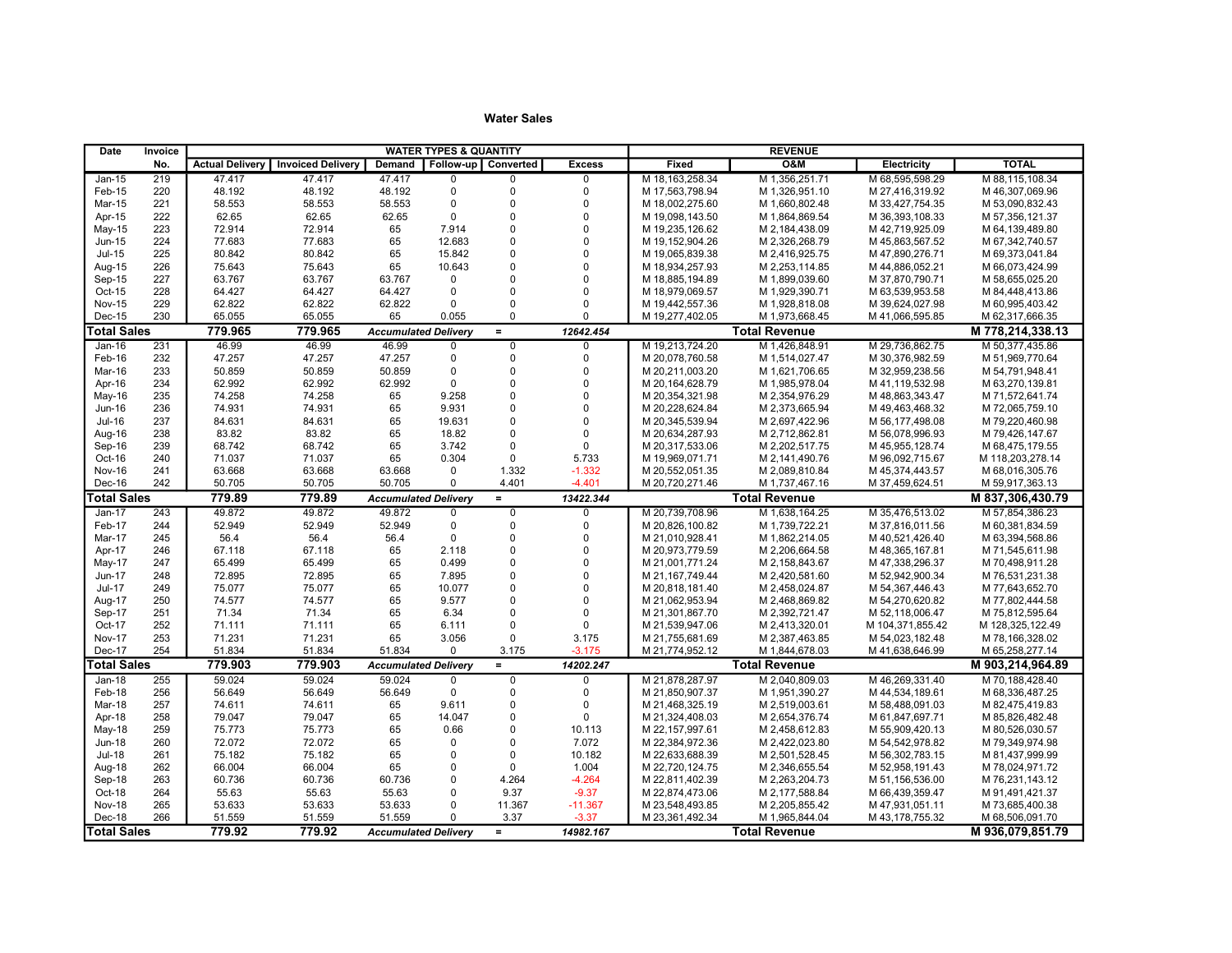| Date               | Invoice    | <b>WATER TYPES &amp; QUANTITY</b> |                                            |                             |                            |                         |                         | <b>REVENUE</b>                     |                                  |                                    |                                    |  |
|--------------------|------------|-----------------------------------|--------------------------------------------|-----------------------------|----------------------------|-------------------------|-------------------------|------------------------------------|----------------------------------|------------------------------------|------------------------------------|--|
|                    | No.        |                                   | <b>Actual Delivery   Invoiced Delivery</b> | Demand                      | Follow-up Converted        |                         | <b>Excess</b>           | Fixed                              | <b>O&amp;M</b>                   | <b>Electricity</b>                 | <b>TOTAL</b>                       |  |
| $Jan-15$           | 219        | 47.417                            | 47.417                                     | 47.417                      | $\mathbf 0$                | $\Omega$                | $\mathbf 0$             | M 18, 163, 258.34                  | M 1,356,251.71                   | M 68,595,598.29                    | M 88,115,108.34                    |  |
| Feb-15             | 220        | 48.192                            | 48.192                                     | 48.192                      | $\pmb{0}$                  | $\Omega$                | $\mathbf 0$             | M 17.563.798.94                    | M 1.326.951.10                   | M 27.416.319.92                    | M 46.307.069.96                    |  |
| Mar-15             | 221        | 58.553                            | 58.553                                     | 58.553                      | $\mathbf 0$                | $\Omega$                | $\Omega$                | M 18,002,275.60                    | M 1,660,802.48                   | M 33,427,754.35                    | M 53,090,832.43                    |  |
| Apr-15             | 222        | 62.65                             | 62.65                                      | 62.65                       | $\mathbf 0$                | $\Omega$                | $\mathbf 0$             | M 19,098,143.50                    | M 1,864,869.54                   | M 36,393,108.33                    | M 57,356,121.37                    |  |
| May-15             | 223        | 72.914                            | 72.914                                     | 65                          | 7.914                      | $\Omega$                | $\pmb{0}$               | M 19,235,126.62                    | M 2,184,438.09                   | M 42,719,925.09                    | M 64,139,489.80                    |  |
| <b>Jun-15</b>      | 224        | 77.683                            | 77.683                                     | 65                          | 12.683                     | $\Omega$                | $\mathbf{0}$            | M 19,152,904.26                    | M 2,326,268.79                   | M 45,863,567.52                    | M 67,342,740.57                    |  |
| <b>Jul-15</b>      | 225        | 80.842                            | 80.842                                     | 65                          | 15.842                     | $\Omega$                | $\mathbf 0$             | M 19,065,839.38                    | M 2,416,925.75                   | M 47,890,276.71                    | M 69,373,041.84                    |  |
| Aug-15             | 226        | 75.643                            | 75.643                                     | 65                          | 10.643                     | $\Omega$                | $\mathbf 0$             | M 18,934,257.93                    | M 2,253,114.85                   | M 44,886,052.21                    | M 66,073,424.99                    |  |
| Sep-15             | 227        | 63.767                            | 63.767                                     | 63.767                      | $\mathbf 0$                | $\Omega$                | $\mathbf 0$             | M 18,885,194.89                    | M 1,899,039.60                   | M 37,870,790.71                    | M 58,655,025.20                    |  |
| Oct-15             | 228        | 64.427                            | 64.427                                     | 64.427                      | $\mathbf 0$                | $\Omega$                | $\Omega$                | M 18,979,069.57                    | M 1,929,390.71                   | M 63,539,953.58                    | M 84,448,413.86                    |  |
| <b>Nov-15</b>      | 229        | 62.822                            | 62.822                                     | 62.822                      | $\Omega$                   | $\Omega$                | $\mathbf 0$             | M 19,442,557.36                    | M 1,928,818.08                   | M 39,624,027.98                    | M 60,995,403.42                    |  |
| Dec-15             | 230        | 65.055                            | 65.055                                     | 65                          | 0.055                      | $\Omega$                | $\Omega$                | M 19,277,402.05                    | M 1,973,668.45                   | M 41,066,595.85                    | M 62,317,666.35                    |  |
| <b>Total Sales</b> |            | 779.965                           | 779.965                                    | <b>Accumulated Delivery</b> |                            | $\equiv$                | 12642.454               |                                    | <b>Total Revenue</b>             |                                    | M 778.214.338.13                   |  |
| $Jan-16$           | 231        | 46.99                             | 46.99                                      | 46.99                       | $\overline{0}$             | $\overline{0}$          | $\overline{0}$          | M 19,213,724.20                    | M 1.426.848.91                   | M 29,736,862.75                    | M 50,377,435.86                    |  |
| Feb-16             | 232        | 47.257                            | 47.257                                     | 47.257                      | $\pmb{0}$                  | $\Omega$                | $\mathbf 0$             | M 20,078,760.58                    | M 1,514,027.47                   | M 30,376,982.59                    | M 51,969,770.64                    |  |
| Mar-16             | 233        | 50.859                            | 50.859                                     | 50.859                      | $\mathbf 0$                | $\Omega$                | $\mathbf 0$             | M 20,211,003.20                    | M 1,621,706.65                   | M 32,959,238.56                    | M 54,791,948.41                    |  |
| Apr-16             | 234        | 62.992                            | 62.992                                     | 62.992                      | $\Omega$                   | $\Omega$                | $\mathbf 0$             | M 20, 164, 628.79                  | M 1,985,978.04                   | M 41,119,532.98                    | M 63,270,139.81                    |  |
| May-16             | 235        | 74.258                            | 74.258                                     | 65                          | 9.258                      | $\mathbf 0$             | $\pmb{0}$               | M 20,354,321.98                    | M 2,354,976.29                   | M 48,863,343.47                    | M 71,572,641.74                    |  |
| <b>Jun-16</b>      | 236        | 74.931                            | 74.931                                     | 65                          | 9.931                      | $\Omega$                | $\mathbf 0$             | M 20,228,624.84                    | M 2,373,665.94                   | M 49,463,468.32                    | M 72,065,759.10                    |  |
| <b>Jul-16</b>      | 237        | 84.631                            | 84.631                                     | 65                          | 19.631                     | $\mathbf 0$             | $\pmb{0}$               | M 20,345,539.94                    | M 2,697,422.96                   | M 56,177,498.08                    | M 79,220,460.98                    |  |
| Aug-16             | 238        | 83.82                             | 83.82                                      | 65                          | 18.82                      | $\mathbf 0$             | $\pmb{0}$               | M 20,634,287.93                    | M 2,712,862.81                   | M 56,078,996.93                    | M 79,426,147.67                    |  |
| Sep-16             | 239        | 68.742                            | 68.742                                     | 65                          | 3.742                      | $\Omega$                | $\mathbf 0$             | M 20,317,533.06                    | M 2,202,517.75                   | M 45,955,128.74                    | M 68,475,179.55                    |  |
| Oct-16             | 240        | 71.037                            | 71.037                                     | 65                          | 0.304                      | $\mathbf 0$             | 5.733                   | M 19,969,071.71                    | M 2,141,490.76                   | M 96,092,715.67                    | M 118,203,278.14                   |  |
| Nov-16             | 241        | 63.668                            | 63.668                                     | 63.668                      | 0                          | 1.332                   | $-1.332$                | M 20,552,051.35                    | M 2,089,810.84                   | M 45,374,443.57                    | M 68,016,305.76                    |  |
| Dec-16             | 242        | 50.705                            | 50.705                                     | 50.705                      | $\mathbf 0$                | 4.401                   | $-4.401$                | M 20,720,271.46                    | M 1,737,467.16                   | M 37,459,624.51                    | M 59,917,363.13                    |  |
| <b>Total Sales</b> |            | 779.89                            | 779.89                                     | <b>Accumulated Delivery</b> |                            | $\equiv$                | 13422.344               |                                    | <b>Total Revenue</b>             |                                    | M 837.306.430.79                   |  |
| $Jan-17$           | 243        | 49.872                            | 49.872                                     | 49.872                      | $\overline{0}$             | $\overline{0}$          | $\mathbf 0$             | M 20.739.708.96                    | M 1.638.164.25                   | M 35.476.513.02                    | M 57.854.386.23                    |  |
| Feb-17             | 244        | 52.949                            | 52.949                                     | 52.949                      | $\mathbf 0$                | $\Omega$                | $\mathbf 0$             | M 20,826,100.82                    | M 1,739,722.21                   | M 37,816,011.56                    | M 60,381,834.59                    |  |
| Mar-17             | 245        | 56.4                              | 56.4                                       | 56.4                        | $\mathbf{0}$               | $\Omega$                | $\mathbf 0$             | M 21,010,928.41                    | M 1,862,214.05                   | M 40,521,426.40                    | M 63,394,568.86                    |  |
| Apr-17             | 246        | 67.118                            | 67.118                                     | 65                          | 2.118                      | $\Omega$                | $\Omega$                | M 20,973,779.59                    | M 2,206,664.58                   | M 48,365,167.81                    | M 71,545,611.98                    |  |
| May-17             | 247        | 65.499                            | 65.499                                     | 65                          | 0.499                      | $\Omega$                | $\pmb{0}$               | M 21,001,771.24                    | M 2,158,843.67                   | M 47,338,296.37                    | M 70,498,911.28                    |  |
| Jun-17             | 248        | 72.895                            | 72.895                                     | 65                          | 7.895                      | $\Omega$                | $\Omega$                | M 21, 167, 749.44                  | M 2,420,581.60                   | M 52,942,900.34                    | M 76,531,231.38                    |  |
| <b>Jul-17</b>      | 249        | 75.077                            | 75.077                                     | 65                          | 10.077                     | $\Omega$                | $\Omega$                | M 20,818,181.40                    | M 2,458,024.87                   | M 54,367,446.43                    | M 77,643,652.70                    |  |
| Aug-17             | 250        | 74.577                            | 74.577                                     | 65                          | 9.577                      | $\mathbf 0$             | $\pmb{0}$               | M 21,062,953.94                    | M 2,468,869.82                   | M 54,270,620.82                    | M 77,802,444.58                    |  |
| Sep-17             | 251        | 71.34                             | 71.34                                      | 65                          | 6.34                       | $\Omega$                | $\mathbf 0$             | M 21,301,867.70                    | M 2,392,721.47                   | M 52,118,006.47                    | M 75,812,595.64                    |  |
| Oct-17             | 252        | 71.111                            | 71.111                                     | 65                          | 6.111                      | $\Omega$                | $\mathbf 0$             | M 21,539,947.06                    | M 2,413,320.01                   | M 104,371,855.42                   | M 128,325,122.49                   |  |
| Nov-17             | 253        | 71.231                            | 71.231                                     | 65                          | 3.056                      | $\mathbf 0$             | 3.175                   | M 21,755,681.69                    | M 2,387,463.85                   | M 54,023,182.48                    | M 78,166,328.02                    |  |
| Dec-17             | 254        | 51.834                            | 51.834                                     | 51.834                      | $\mathbf 0$                | 3.175                   | $-3.175$                | M 21,774,952.12                    | M 1,844,678.03                   | M 41,638,646.99                    | M 65,258,277.14                    |  |
| <b>Total Sales</b> |            | 779.903                           | 779.903                                    | <b>Accumulated Delivery</b> |                            | $\equiv$                | 14202.247               |                                    | <b>Total Revenue</b>             |                                    | M 903.214.964.89                   |  |
| $Jan-18$           | 255        | 59.024                            | 59.024                                     | 59.024                      | $\overline{0}$             | $\overline{0}$          | $\overline{0}$          | M 21.878.287.97                    | M 2.040.809.03                   | M46.269.331.40                     | M 70.188.428.40                    |  |
| Feb-18             | 256        | 56.649                            | 56.649                                     | 56.649                      | $\mathbf 0$<br>9.611       | $\Omega$<br>$\mathbf 0$ | $\Omega$<br>$\mathbf 0$ | M 21.850.907.37                    | M 1,951,390.27                   | M 44,534,189.61                    | M 68,336,487.25                    |  |
| Mar-18             | 257        | 74.611                            | 74.611                                     | 65<br>65                    |                            | $\mathbf 0$             |                         | M 21,468,325.19                    | M 2,519,003.61                   | M 58,488,091.03                    | M 82,475,419.83                    |  |
| Apr-18             | 258        | 79.047                            | 79.047                                     |                             | 14.047                     | $\Omega$                | $\mathbf{0}$            | M 21,324,408.03                    | M 2,654,376.74                   | M 61,847,697.71                    | M 85,826,482.48                    |  |
| <b>May-18</b>      | 259        | 75.773                            | 75.773                                     | 65<br>65                    | 0.66                       | $\mathbf 0$             | 10.113                  | M 22,157,997.61                    | M 2,458,612.83                   | M 55,909,420.13                    | M 80,526,030.57                    |  |
| <b>Jun-18</b>      | 260        | 72.072                            | 72.072                                     | 65                          | $\mathbf 0$<br>$\mathbf 0$ | $\Omega$                | 7.072<br>10.182         | M 22,384,972.36                    | M 2,422,023.80                   | M 54,542,978.82                    | M 79,349,974.98                    |  |
| <b>Jul-18</b>      | 261        | 75.182                            | 75.182                                     | 65                          |                            | $\mathbf 0$             |                         | M 22,633,688.39                    | M 2,501,528.45                   | M 56,302,783.15                    | M 81,437,999.99                    |  |
| Aug-18             | 262        | 66.004                            | 66.004                                     |                             | $\mathbf 0$                |                         | 1.004                   | M 22,720,124.75                    | M 2,346,655.54                   | M 52,958,191.43                    | M 78,024,971.72                    |  |
| Sep-18<br>Oct-18   | 263<br>264 | 60.736<br>55.63                   | 60.736<br>55.63                            | 60.736<br>55.63             | $\mathbf 0$<br>$\mathbf 0$ | 4.264<br>9.37           | $-4.264$<br>$-9.37$     | M 22,811,402.39                    | M 2,263,204.73                   | M 51,156,536.00<br>M 66,439,359.47 | M 76,231,143.12                    |  |
| <b>Nov-18</b>      | 265        |                                   |                                            | 53.633                      | $\pmb{0}$                  |                         |                         | M 22,874,473.06                    | M 2,177,588.84<br>M 2,205,855.42 | M 47,931,051.11                    | M 91,491,421.37                    |  |
| Dec-18             | 266        | 53.633<br>51.559                  | 53.633<br>51.559                           | 51.559                      | $\mathbf 0$                | 11.367<br>3.37          | $-11.367$<br>$-3.37$    | M 23,548,493.85<br>M 23,361,492.34 | M 1,965,844.04                   | M 43,178,755.32                    | M 73,685,400.38<br>M 68,506,091.70 |  |
|                    |            |                                   |                                            |                             |                            |                         |                         |                                    |                                  |                                    |                                    |  |
| <b>Total Sales</b> |            | 779.92                            | 779.92                                     | <b>Accumulated Delivery</b> |                            | $\equiv$                | 14982.167               |                                    | <b>Total Revenue</b>             |                                    | M 936,079,851.79                   |  |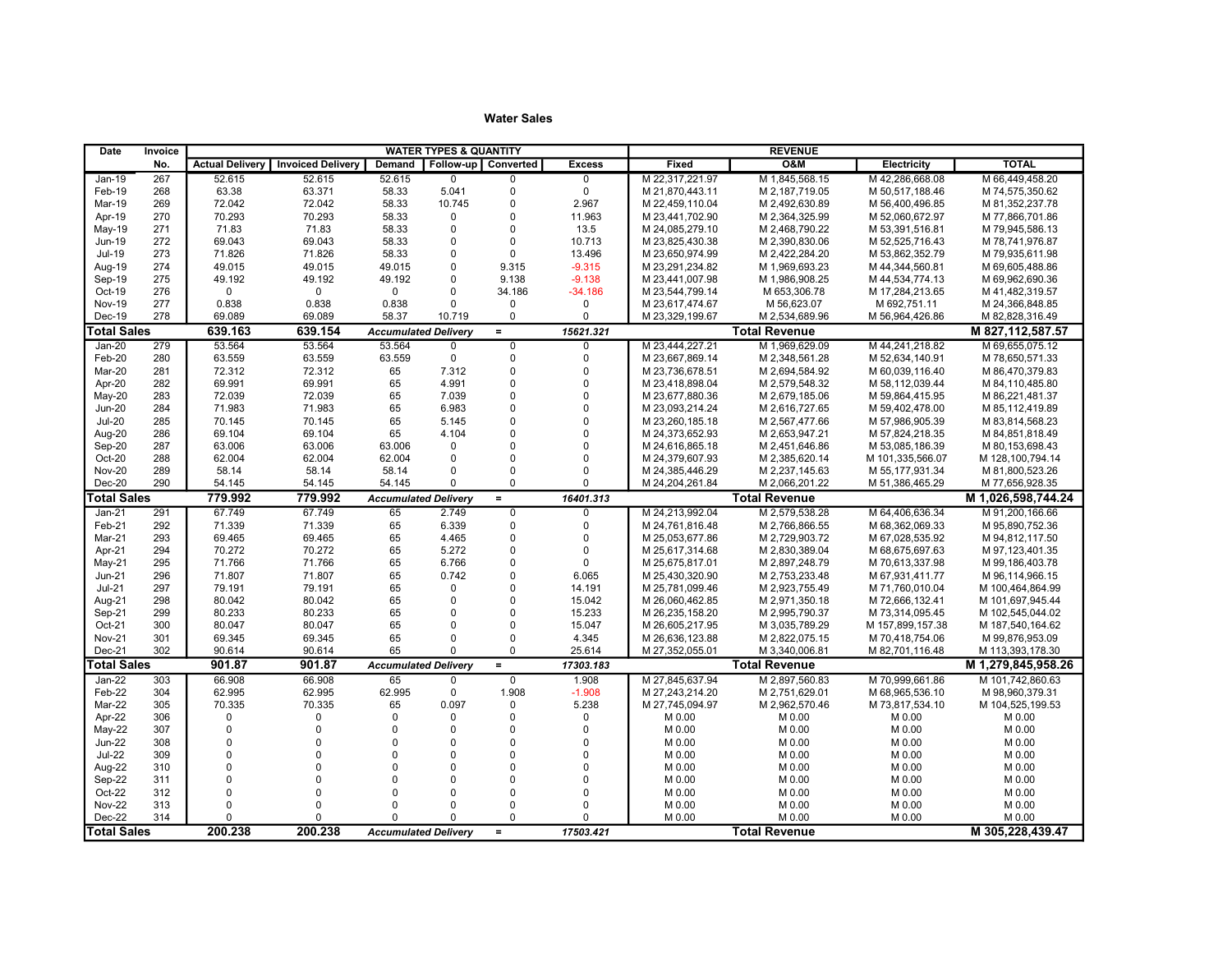| Date               | Invoice    | <b>WATER TYPES &amp; QUANTITY</b> |                          |                             |                            |                          |                            | <b>REVENUE</b>   |                      |                    |                    |
|--------------------|------------|-----------------------------------|--------------------------|-----------------------------|----------------------------|--------------------------|----------------------------|------------------|----------------------|--------------------|--------------------|
|                    | No.        | <b>Actual Delivery</b>            | <b>Invoiced Delivery</b> | Demand                      |                            | Follow-up   Converted    | <b>Excess</b>              | Fixed            | <b>O&amp;M</b>       | <b>Electricity</b> | <b>TOTAL</b>       |
| $Jan-19$           | 267        | 52.615                            | 52.615                   | 52.615                      | $\overline{0}$             | $\overline{0}$           | $\mathbf 0$                | M 22,317,221.97  | M 1,845,568.15       | M 42,286,668.08    | M 66,449,458.20    |
| Feb-19             | 268        | 63.38                             | 63.371                   | 58.33                       | 5.041                      | $\pmb{0}$                | $\mathbf 0$                | M 21.870.443.11  | M 2,187,719.05       | M 50.517.188.46    | M 74.575.350.62    |
| Mar-19             | 269        | 72.042                            | 72.042                   | 58.33                       | 10.745                     | $\mathbf 0$              | 2.967                      | M 22,459,110.04  | M 2,492,630.89       | M 56,400,496.85    | M 81,352,237.78    |
| Apr-19             | 270        | 70.293                            | 70.293                   | 58.33                       | 0                          | $\pmb{0}$                | 11.963                     | M 23,441,702.90  | M 2,364,325.99       | M 52,060,672.97    | M 77,866,701.86    |
| May-19             | 271        | 71.83                             | 71.83                    | 58.33                       | $\mathbf 0$                | $\mathbf 0$              | 13.5                       | M 24,085,279.10  | M 2,468,790.22       | M 53,391,516.81    | M 79,945,586.13    |
| Jun-19             | 272        | 69.043                            | 69.043                   | 58.33                       | $\mathbf 0$                | $\mathbf 0$              | 10.713                     | M 23,825,430.38  | M 2,390,830.06       | M 52,525,716.43    | M 78,741,976.87    |
| <b>Jul-19</b>      | 273        | 71.826                            | 71.826                   | 58.33                       | $\mathbf 0$                | $\mathbf 0$              | 13.496                     | M 23,650,974.99  | M 2,422,284.20       | M 53,862,352.79    | M 79,935,611.98    |
| Aug-19             | 274        | 49.015                            | 49.015                   | 49.015                      | $\mathbf 0$                | 9.315                    | $-9.315$                   | M 23,291,234.82  | M 1.969.693.23       | M 44.344.560.81    | M 69.605.488.86    |
| Sep-19             | 275        | 49.192                            | 49.192                   | 49.192                      | $\mathbf 0$                | 9.138                    | $-9.138$                   | M 23,441,007.98  | M 1,986,908.25       | M 44,534,774.13    | M 69,962,690.36    |
| Oct-19             | 276        | $\mathbf 0$                       | $\mathbf 0$              | $\mathbf 0$                 | $\mathbf 0$                | 34.186                   | $-34.186$                  | M 23,544,799.14  | M 653,306.78         | M 17,284,213.65    | M 41,482,319.57    |
| <b>Nov-19</b>      | 277        | 0.838                             | 0.838                    | 0.838                       | $\Omega$                   | $\mathbf 0$              | $\mathbf 0$                | M 23,617,474.67  | M 56,623.07          | M 692,751.11       | M 24,366,848.85    |
| Dec-19             | 278        | 69.089                            | 69.089                   | 58.37                       | 10.719                     | $\mathbf 0$              | $\mathbf 0$                | M 23,329,199.67  | M 2,534,689.96       | M 56,964,426.86    | M 82,828,316.49    |
| <b>Total Sales</b> |            | 639.163                           | 639.154                  | <b>Accumulated Delivery</b> |                            | $\equiv$                 | 15621.321                  |                  | <b>Total Revenue</b> |                    | M 827, 112, 587.57 |
| Jan-20             | 279        | 53.564                            | 53.564                   | 53.564                      | $\mathbf 0$                | $\mathbf 0$              | 0                          | M 23,444,227.21  | M 1,969,629.09       | M 44,241,218.82    | M 69,655,075.12    |
| Feb-20             | 280        | 63.559                            | 63.559                   | 63.559                      | $\mathbf 0$                | $\mathbf 0$              | $\mathbf 0$                | M 23,667,869.14  | M 2,348,561.28       | M 52,634,140.91    | M 78,650,571.33    |
| Mar-20             | 281        | 72.312                            | 72.312                   | 65                          | 7.312                      | $\pmb{0}$                | $\mathbf 0$                | M 23,736,678.51  | M 2,694,584.92       | M 60,039,116.40    | M 86,470,379.83    |
| Apr-20             | 282        | 69.991                            | 69.991                   | 65                          | 4.991                      | $\mathbf{0}$             | $\mathbf 0$                | M 23,418,898.04  | M 2,579,548.32       | M 58,112,039.44    | M 84,110,485.80    |
| May-20             | 283        | 72.039                            | 72.039                   | 65                          | 7.039                      | $\mathbf{0}$             | $\mathbf 0$                | M 23,677,880.36  | M 2,679,185.06       | M 59,864,415.95    | M 86,221,481.37    |
| <b>Jun-20</b>      | 284        | 71.983                            | 71.983                   | 65                          | 6.983                      | $\Omega$                 | $\mathbf 0$                | M 23,093,214.24  | M 2,616,727.65       | M 59,402,478.00    | M 85,112,419.89    |
| <b>Jul-20</b>      | 285        | 70.145                            | 70.145                   | 65                          | 5.145                      | $\mathbf{0}$             | $\mathbf 0$                | M 23,260,185.18  | M 2,567,477.66       | M 57,986,905.39    | M 83,814,568.23    |
| Aug-20             | 286        | 69.104                            | 69.104                   | 65                          | 4.104                      | $\mathbf{0}$             | $\mathbf 0$                | M 24,373,652.93  | M 2,653,947.21       | M 57,824,218.35    | M 84,851,818.49    |
| Sep-20             | 287        | 63.006                            | 63.006                   | 63.006                      | $\mathbf 0$                | $\Omega$                 | $\mathbf 0$                | M 24,616,865.18  | M 2,451,646.86       | M 53,085,186.39    | M 80,153,698.43    |
| Oct-20             | 288        | 62.004                            | 62.004                   | 62.004                      | $\mathbf 0$                | $\Omega$                 | $\mathbf 0$                | M 24,379,607.93  | M 2,385,620.14       | M 101,335,566.07   | M 128,100,794.14   |
| <b>Nov-20</b>      | 289        | 58.14                             | 58.14                    | 58.14                       | $\mathbf 0$                | $\mathbf 0$              | $\mathbf 0$                | M 24,385,446.29  | M 2,237,145.63       | M 55, 177, 931.34  | M 81,800,523.26    |
| Dec-20             | 290        | 54.145                            | 54.145                   | 54.145                      | $\Omega$                   | $\mathbf 0$              | $\Omega$                   | M 24,204,261.84  | M 2,066,201.22       | M 51,386,465.29    | M 77,656,928.35    |
| <b>Total Sales</b> |            | 779.992                           | 779.992                  | <b>Accumulated Deliverv</b> |                            | $=$                      | 16401.313                  |                  | <b>Total Revenue</b> |                    | M 1.026.598.744.24 |
| $Jan-21$           | 291        | 67.749                            | 67.749                   | 65                          | 2.749                      | $\overline{0}$           | $\overline{0}$             | M 24,213,992.04  | M 2.579.538.28       | M 64,406,636.34    | M 91.200.166.66    |
| Feb-21             | 292        | 71.339                            | 71.339                   | 65                          | 6.339                      | $\pmb{0}$                | $\mathbf 0$                | M 24,761,816.48  | M 2,766,866.55       | M 68,362,069.33    | M 95,890,752.36    |
| Mar-21             | 293        | 69.465                            | 69.465                   | 65                          | 4.465                      | $\mathbf{0}$             | $\mathbf 0$                | M 25,053,677.86  | M 2,729,903.72       | M 67,028,535.92    | M 94,812,117.50    |
| Apr-21             | 294        | 70.272                            | 70.272                   | 65                          | 5.272                      | $\mathbf{0}$             | $\mathbf 0$                | M 25,617,314.68  | M 2,830,389.04       | M 68,675,697.63    | M 97, 123, 401.35  |
| May-21             | 295        | 71.766                            | 71.766                   | 65                          | 6.766                      | $\pmb{0}$                | $\mathbf 0$                | M 25,675,817.01  | M 2,897,248.79       | M 70,613,337.98    | M 99,186,403.78    |
| Jun-21             | 296        | 71.807                            | 71.807                   | 65                          | 0.742                      | $\mathbf{0}$             | 6.065                      | M 25,430,320.90  | M 2,753,233.48       | M 67,931,411.77    | M 96,114,966.15    |
| $Jul-21$           | 297        | 79.191                            | 79.191                   | 65                          | 0                          | $\mathbf 0$              | 14.191                     | M 25,781,099.46  | M 2,923,755.49       | M 71,760,010.04    | M 100,464,864.99   |
| Aug-21             | 298        | 80.042                            | 80.042                   | 65                          | $\mathbf 0$                | $\pmb{0}$                | 15.042                     | M 26,060,462.85  | M 2,971,350.18       | M 72,666,132.41    | M 101,697,945.44   |
| Sep-21             | 299        | 80.233                            | 80.233                   | 65                          | $\Omega$                   | $\Omega$                 | 15.233                     | M 26,235,158.20  | M 2,995,790.37       | M 73,314,095.45    | M 102,545,044.02   |
| $Oct-21$           | 300        | 80.047                            | 80.047                   | 65                          | $\Omega$                   | $\mathbf{0}$             | 15.047                     | M 26,605,217.95  | M 3,035,789.29       | M 157,899,157.38   | M 187,540,164.62   |
| <b>Nov-21</b>      | 301        | 69.345                            | 69.345                   | 65                          | $\mathbf{0}$               | $\mathbf{0}$             | 4.345                      | M 26,636,123.88  | M 2,822,075.15       | M 70,418,754.06    | M 99,876,953.09    |
| Dec-21             | 302        | 90.614                            | 90.614                   | 65                          | $\Omega$                   | $\mathbf 0$              | 25.614                     | M 27,352,055.01  | M 3,340,006.81       | M 82,701,116.48    | M 113,393,178.30   |
| <b>Total Sales</b> |            | 901.87                            | 901.87                   | <b>Accumulated Delivery</b> |                            | $=$                      | 17303.183                  |                  | <b>Total Revenue</b> |                    | M 1,279,845,958.26 |
| Jan-22             | 303        | 66.908                            | 66.908                   | 65                          | $\overline{0}$             | $\overline{0}$           | 1.908                      | M 27,845,637.94  | M 2,897,560.83       | M 70,999,661.86    | M 101,742,860.63   |
| Feb-22             | 304        | 62.995                            | 62.995                   | 62.995                      | $\mathbf 0$                | 1.908                    | $-1.908$                   | M 27,243,214.20  | M 2,751,629.01       | M 68,965,536.10    | M 98,960,379.31    |
| Mar-22             | 305        | 70.335                            | 70.335                   | 65                          | 0.097                      | $\mathbf 0$              | 5.238                      | M 27,745,094.97  | M 2,962,570.46       | M 73,817,534.10    | M 104,525,199.53   |
| Apr-22             | 306        | 0<br>$\Omega$                     | 0                        | $\mathbf 0$                 | $\mathbf 0$                | $\Omega$                 | $\mathbf 0$                | M 0.00           | M 0.00               | M 0.00             | M 0.00             |
| May-22             | 307        |                                   | 0<br>$\Omega$            | $\Omega$                    | $\mathbf 0$                | $\Omega$                 | $\mathbf 0$                | M 0.00           | M 0.00               | M 0.00             | M 0.00             |
| <b>Jun-22</b>      | 308<br>309 | $\Omega$<br>$\Omega$              | $\Omega$                 | $\Omega$<br>$\Omega$        | $\Omega$<br>$\mathbf 0$    | $\Omega$<br>$\Omega$     | $\Omega$<br>$\mathbf 0$    | M 0.00           | M 0.00               | M 0.00             | M 0.00             |
| <b>Jul-22</b>      |            | $\Omega$                          | $\Omega$                 | $\Omega$                    |                            |                          |                            | M 0.00           | M 0.00               | M 0.00             | M 0.00             |
| Aug-22             | 310        | $\Omega$                          | $\Omega$                 | $\Omega$                    | $\mathbf 0$<br>$\mathbf 0$ | $\mathbf{0}$<br>$\Omega$ | $\mathbf 0$<br>$\mathbf 0$ | M 0.00           | M 0.00               | M 0.00             | M 0.00             |
| Sep-22<br>Oct-22   | 311        | $\Omega$                          | $\Omega$                 | $\Omega$                    | $\mathbf 0$                | $\Omega$                 | $\mathbf 0$                | M 0.00           | M 0.00               | M 0.00             | M 0.00             |
| <b>Nov-22</b>      | 312<br>313 | $\Omega$                          | $\Omega$                 | $\Omega$                    | $\mathbf 0$                | $\Omega$                 | $\mathbf 0$                | M 0.00           | M 0.00<br>M 0.00     | M 0.00             | M 0.00             |
| Dec-22             | 314        | $\Omega$                          | $\Omega$                 | $\Omega$                    | $\Omega$                   | $\Omega$                 | $\Omega$                   | M 0.00<br>M 0.00 | M 0.00               | M 0.00<br>M 0.00   | M 0.00<br>M 0.00   |
|                    |            |                                   |                          |                             |                            |                          |                            |                  |                      |                    |                    |
| <b>Total Sales</b> |            | 200.238                           | 200.238                  | <b>Accumulated Delivery</b> |                            | $\equiv$                 | 17503.421                  |                  | <b>Total Revenue</b> |                    | M 305,228,439.47   |